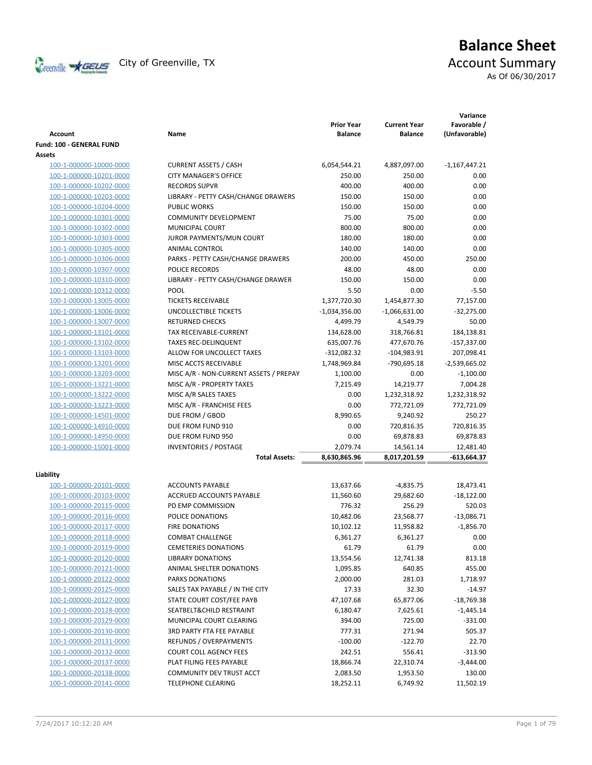

# **Balance Sheet** Creenville <del>X<sub>GEUS</sub></del> City of Greenville, TX **ACCOUNT** ACCOUNT Summary

As Of 06/30/2017

| <b>CURRENT ASSETS / CASH</b><br>6,054,544.21<br>4,887,097.00<br>100-1-000000-10000-0000<br>$-1,167,447.21$<br><b>CITY MANAGER'S OFFICE</b><br>250.00<br>250.00<br>0.00<br>100-1-000000-10201-0000<br><b>RECORDS SUPVR</b><br>400.00<br>400.00<br>100-1-000000-10202-0000<br>0.00<br>LIBRARY - PETTY CASH/CHANGE DRAWERS<br>0.00<br>100-1-000000-10203-0000<br>150.00<br>150.00<br><b>PUBLIC WORKS</b><br>150.00<br>150.00<br>0.00<br>100-1-000000-10204-0000<br>100-1-000000-10301-0000<br><b>COMMUNITY DEVELOPMENT</b><br>75.00<br>75.00<br>0.00<br>MUNICIPAL COURT<br>800.00<br>800.00<br>0.00<br>100-1-000000-10302-0000<br>JUROR PAYMENTS/MUN COURT<br>180.00<br>180.00<br>0.00<br>100-1-000000-10303-0000<br>140.00<br>0.00<br>100-1-000000-10305-0000<br>ANIMAL CONTROL<br>140.00<br>PARKS - PETTY CASH/CHANGE DRAWERS<br>200.00<br>250.00<br>100-1-000000-10306-0000<br>450.00<br>100-1-000000-10307-0000<br>POLICE RECORDS<br>48.00<br>48.00<br>0.00<br>LIBRARY - PETTY CASH/CHANGE DRAWER<br>150.00<br>150.00<br>0.00<br>100-1-000000-10310-0000<br><b>POOL</b><br>5.50<br>0.00<br>$-5.50$<br>100-1-000000-10312-0000<br><b>TICKETS RECEIVABLE</b><br>1,377,720.30<br>1,454,877.30<br>77,157.00<br>100-1-000000-13005-0000<br><b>UNCOLLECTIBLE TICKETS</b><br>$-1,066,631.00$<br>$-32,275.00$<br>100-1-000000-13006-0000<br>$-1,034,356.00$<br>50.00<br>100-1-000000-13007-0000<br><b>RETURNED CHECKS</b><br>4,499.79<br>4,549.79<br>TAX RECEIVABLE-CURRENT<br>134,628.00<br>318,766.81<br>184,138.81<br>100-1-000000-13101-0000<br><b>TAXES REC-DELINQUENT</b><br>477,670.76<br>$-157,337.00$<br>100-1-000000-13102-0000<br>635,007.76<br>ALLOW FOR UNCOLLECT TAXES<br>100-1-000000-13103-0000<br>-312,082.32<br>-104,983.91<br>207,098.41<br>MISC ACCTS RECEIVABLE<br>1,748,969.84<br>100-1-000000-13201-0000<br>-790,695.18<br>$-2,539,665.02$<br>100-1-000000-13203-0000<br>MISC A/R - NON-CURRENT ASSETS / PREPAY<br>1,100.00<br>0.00<br>$-1,100.00$<br>MISC A/R - PROPERTY TAXES<br>7,215.49<br>14,219.77<br>7,004.28<br>100-1-000000-13221-0000<br>MISC A/R SALES TAXES<br>0.00<br>1,232,318.92<br>1,232,318.92<br>100-1-000000-13222-0000<br>0.00<br>772,721.09<br>772,721.09<br>100-1-000000-13223-0000<br>MISC A/R - FRANCHISE FEES<br>DUE FROM / GBOD<br>8,990.65<br>9,240.92<br>250.27<br>100-1-000000-14501-0000<br>100-1-000000-14910-0000<br>DUE FROM FUND 910<br>0.00<br>720,816.35<br>720,816.35<br>DUE FROM FUND 950<br>100-1-000000-14950-0000<br>0.00<br>69,878.83<br>69,878.83<br><b>INVENTORIES / POSTAGE</b><br>2,079.74<br>12,481.40<br>100-1-000000-15001-0000<br>14,561.14<br>8,630,865.96<br>-613,664.37<br><b>Total Assets:</b><br>8,017,201.59<br>Liability<br><b>ACCOUNTS PAYABLE</b><br>100-1-000000-20101-0000<br>13,637.66<br>$-4,835.75$<br>18,473.41<br>100-1-000000-20103-0000<br>ACCRUED ACCOUNTS PAYABLE<br>11,560.60<br>29,682.60<br>$-18,122.00$<br>100-1-000000-20115-0000<br>PD EMP COMMISSION<br>776.32<br>256.29<br>520.03<br>POLICE DONATIONS<br>10,482.06<br>$-13,086.71$<br>100-1-000000-20116-0000<br>23,568.77<br>$-1,856.70$<br>100-1-000000-20117-0000<br><b>FIRE DONATIONS</b><br>10,102.12<br>11,958.82<br>100-1-000000-20118-0000<br><b>COMBAT CHALLENGE</b><br>6,361.27<br>6,361.27<br>0.00<br>61.79<br>0.00<br>100-1-000000-20119-0000<br><b>CEMETERIES DONATIONS</b><br>61.79<br><b>LIBRARY DONATIONS</b><br>13,554.56<br>12,741.38<br>813.18<br>100-1-000000-20120-0000<br>ANIMAL SHELTER DONATIONS<br>455.00<br>100-1-000000-20121-0000<br>1,095.85<br>640.85<br>100-1-000000-20122-0000<br>PARKS DONATIONS<br>2,000.00<br>281.03<br>1,718.97<br>SALES TAX PAYABLE / IN THE CITY<br>17.33<br>32.30<br>$-14.97$<br>100-1-000000-20125-0000<br>100-1-000000-20127-0000<br>STATE COURT COST/FEE PAYB<br>47,107.68<br>65,877.06<br>$-18,769.38$<br>100-1-000000-20128-0000<br>SEATBELT& CHILD RESTRAINT<br>7,625.61<br>6,180.47<br>$-1,445.14$<br>100-1-000000-20129-0000<br>MUNICIPAL COURT CLEARING<br>725.00<br>394.00<br>$-331.00$<br>100-1-000000-20130-0000<br>777.31<br>271.94<br>505.37<br><b>3RD PARTY FTA FEE PAYABLE</b><br>REFUNDS / OVERPAYMENTS<br>$-100.00$<br>$-122.70$<br>22.70<br>100-1-000000-20131-0000<br>$-313.90$<br>100-1-000000-20132-0000<br><b>COURT COLL AGENCY FEES</b><br>242.51<br>556.41<br>100-1-000000-20137-0000<br>PLAT FILING FEES PAYABLE<br>18,866.74<br>22,310.74<br>$-3,444.00$<br>100-1-000000-20138-0000<br>COMMUNITY DEV TRUST ACCT<br>130.00<br>2,083.50<br>1,953.50 | Account                  | Name | <b>Prior Year</b><br><b>Balance</b> | <b>Current Year</b><br><b>Balance</b> | Variance<br>Favorable /<br>(Unfavorable) |
|-----------------------------------------------------------------------------------------------------------------------------------------------------------------------------------------------------------------------------------------------------------------------------------------------------------------------------------------------------------------------------------------------------------------------------------------------------------------------------------------------------------------------------------------------------------------------------------------------------------------------------------------------------------------------------------------------------------------------------------------------------------------------------------------------------------------------------------------------------------------------------------------------------------------------------------------------------------------------------------------------------------------------------------------------------------------------------------------------------------------------------------------------------------------------------------------------------------------------------------------------------------------------------------------------------------------------------------------------------------------------------------------------------------------------------------------------------------------------------------------------------------------------------------------------------------------------------------------------------------------------------------------------------------------------------------------------------------------------------------------------------------------------------------------------------------------------------------------------------------------------------------------------------------------------------------------------------------------------------------------------------------------------------------------------------------------------------------------------------------------------------------------------------------------------------------------------------------------------------------------------------------------------------------------------------------------------------------------------------------------------------------------------------------------------------------------------------------------------------------------------------------------------------------------------------------------------------------------------------------------------------------------------------------------------------------------------------------------------------------------------------------------------------------------------------------------------------------------------------------------------------------------------------------------------------------------------------------------------------------------------------------------------------------------------------------------------------------------------------------------------------------------------------------------------------------------------------------------------------------------------------------------------------------------------------------------------------------------------------------------------------------------------------------------------------------------------------------------------------------------------------------------------------------------------------------------------------------------------------------------------------------------------------------------------------------------------------------------------------------------------------------------------------------------------------------------------------------------------------------------------------------------------------------------------------------------------------------------------------------------------------------------------------------------------------------------------------------------------------------------------------------------------------------------------------------------------------------------------------------------------------------------------------------------------------------------------------------------------------------------------------------------------------------------------------------------------------------------------------------|--------------------------|------|-------------------------------------|---------------------------------------|------------------------------------------|
|                                                                                                                                                                                                                                                                                                                                                                                                                                                                                                                                                                                                                                                                                                                                                                                                                                                                                                                                                                                                                                                                                                                                                                                                                                                                                                                                                                                                                                                                                                                                                                                                                                                                                                                                                                                                                                                                                                                                                                                                                                                                                                                                                                                                                                                                                                                                                                                                                                                                                                                                                                                                                                                                                                                                                                                                                                                                                                                                                                                                                                                                                                                                                                                                                                                                                                                                                                                                                                                                                                                                                                                                                                                                                                                                                                                                                                                                                                                                                                                                                                                                                                                                                                                                                                                                                                                                                                                                                                                                                   | Fund: 100 - GENERAL FUND |      |                                     |                                       |                                          |
|                                                                                                                                                                                                                                                                                                                                                                                                                                                                                                                                                                                                                                                                                                                                                                                                                                                                                                                                                                                                                                                                                                                                                                                                                                                                                                                                                                                                                                                                                                                                                                                                                                                                                                                                                                                                                                                                                                                                                                                                                                                                                                                                                                                                                                                                                                                                                                                                                                                                                                                                                                                                                                                                                                                                                                                                                                                                                                                                                                                                                                                                                                                                                                                                                                                                                                                                                                                                                                                                                                                                                                                                                                                                                                                                                                                                                                                                                                                                                                                                                                                                                                                                                                                                                                                                                                                                                                                                                                                                                   | Assets                   |      |                                     |                                       |                                          |
|                                                                                                                                                                                                                                                                                                                                                                                                                                                                                                                                                                                                                                                                                                                                                                                                                                                                                                                                                                                                                                                                                                                                                                                                                                                                                                                                                                                                                                                                                                                                                                                                                                                                                                                                                                                                                                                                                                                                                                                                                                                                                                                                                                                                                                                                                                                                                                                                                                                                                                                                                                                                                                                                                                                                                                                                                                                                                                                                                                                                                                                                                                                                                                                                                                                                                                                                                                                                                                                                                                                                                                                                                                                                                                                                                                                                                                                                                                                                                                                                                                                                                                                                                                                                                                                                                                                                                                                                                                                                                   |                          |      |                                     |                                       |                                          |
|                                                                                                                                                                                                                                                                                                                                                                                                                                                                                                                                                                                                                                                                                                                                                                                                                                                                                                                                                                                                                                                                                                                                                                                                                                                                                                                                                                                                                                                                                                                                                                                                                                                                                                                                                                                                                                                                                                                                                                                                                                                                                                                                                                                                                                                                                                                                                                                                                                                                                                                                                                                                                                                                                                                                                                                                                                                                                                                                                                                                                                                                                                                                                                                                                                                                                                                                                                                                                                                                                                                                                                                                                                                                                                                                                                                                                                                                                                                                                                                                                                                                                                                                                                                                                                                                                                                                                                                                                                                                                   |                          |      |                                     |                                       |                                          |
|                                                                                                                                                                                                                                                                                                                                                                                                                                                                                                                                                                                                                                                                                                                                                                                                                                                                                                                                                                                                                                                                                                                                                                                                                                                                                                                                                                                                                                                                                                                                                                                                                                                                                                                                                                                                                                                                                                                                                                                                                                                                                                                                                                                                                                                                                                                                                                                                                                                                                                                                                                                                                                                                                                                                                                                                                                                                                                                                                                                                                                                                                                                                                                                                                                                                                                                                                                                                                                                                                                                                                                                                                                                                                                                                                                                                                                                                                                                                                                                                                                                                                                                                                                                                                                                                                                                                                                                                                                                                                   |                          |      |                                     |                                       |                                          |
|                                                                                                                                                                                                                                                                                                                                                                                                                                                                                                                                                                                                                                                                                                                                                                                                                                                                                                                                                                                                                                                                                                                                                                                                                                                                                                                                                                                                                                                                                                                                                                                                                                                                                                                                                                                                                                                                                                                                                                                                                                                                                                                                                                                                                                                                                                                                                                                                                                                                                                                                                                                                                                                                                                                                                                                                                                                                                                                                                                                                                                                                                                                                                                                                                                                                                                                                                                                                                                                                                                                                                                                                                                                                                                                                                                                                                                                                                                                                                                                                                                                                                                                                                                                                                                                                                                                                                                                                                                                                                   |                          |      |                                     |                                       |                                          |
|                                                                                                                                                                                                                                                                                                                                                                                                                                                                                                                                                                                                                                                                                                                                                                                                                                                                                                                                                                                                                                                                                                                                                                                                                                                                                                                                                                                                                                                                                                                                                                                                                                                                                                                                                                                                                                                                                                                                                                                                                                                                                                                                                                                                                                                                                                                                                                                                                                                                                                                                                                                                                                                                                                                                                                                                                                                                                                                                                                                                                                                                                                                                                                                                                                                                                                                                                                                                                                                                                                                                                                                                                                                                                                                                                                                                                                                                                                                                                                                                                                                                                                                                                                                                                                                                                                                                                                                                                                                                                   |                          |      |                                     |                                       |                                          |
|                                                                                                                                                                                                                                                                                                                                                                                                                                                                                                                                                                                                                                                                                                                                                                                                                                                                                                                                                                                                                                                                                                                                                                                                                                                                                                                                                                                                                                                                                                                                                                                                                                                                                                                                                                                                                                                                                                                                                                                                                                                                                                                                                                                                                                                                                                                                                                                                                                                                                                                                                                                                                                                                                                                                                                                                                                                                                                                                                                                                                                                                                                                                                                                                                                                                                                                                                                                                                                                                                                                                                                                                                                                                                                                                                                                                                                                                                                                                                                                                                                                                                                                                                                                                                                                                                                                                                                                                                                                                                   |                          |      |                                     |                                       |                                          |
|                                                                                                                                                                                                                                                                                                                                                                                                                                                                                                                                                                                                                                                                                                                                                                                                                                                                                                                                                                                                                                                                                                                                                                                                                                                                                                                                                                                                                                                                                                                                                                                                                                                                                                                                                                                                                                                                                                                                                                                                                                                                                                                                                                                                                                                                                                                                                                                                                                                                                                                                                                                                                                                                                                                                                                                                                                                                                                                                                                                                                                                                                                                                                                                                                                                                                                                                                                                                                                                                                                                                                                                                                                                                                                                                                                                                                                                                                                                                                                                                                                                                                                                                                                                                                                                                                                                                                                                                                                                                                   |                          |      |                                     |                                       |                                          |
|                                                                                                                                                                                                                                                                                                                                                                                                                                                                                                                                                                                                                                                                                                                                                                                                                                                                                                                                                                                                                                                                                                                                                                                                                                                                                                                                                                                                                                                                                                                                                                                                                                                                                                                                                                                                                                                                                                                                                                                                                                                                                                                                                                                                                                                                                                                                                                                                                                                                                                                                                                                                                                                                                                                                                                                                                                                                                                                                                                                                                                                                                                                                                                                                                                                                                                                                                                                                                                                                                                                                                                                                                                                                                                                                                                                                                                                                                                                                                                                                                                                                                                                                                                                                                                                                                                                                                                                                                                                                                   |                          |      |                                     |                                       |                                          |
|                                                                                                                                                                                                                                                                                                                                                                                                                                                                                                                                                                                                                                                                                                                                                                                                                                                                                                                                                                                                                                                                                                                                                                                                                                                                                                                                                                                                                                                                                                                                                                                                                                                                                                                                                                                                                                                                                                                                                                                                                                                                                                                                                                                                                                                                                                                                                                                                                                                                                                                                                                                                                                                                                                                                                                                                                                                                                                                                                                                                                                                                                                                                                                                                                                                                                                                                                                                                                                                                                                                                                                                                                                                                                                                                                                                                                                                                                                                                                                                                                                                                                                                                                                                                                                                                                                                                                                                                                                                                                   |                          |      |                                     |                                       |                                          |
|                                                                                                                                                                                                                                                                                                                                                                                                                                                                                                                                                                                                                                                                                                                                                                                                                                                                                                                                                                                                                                                                                                                                                                                                                                                                                                                                                                                                                                                                                                                                                                                                                                                                                                                                                                                                                                                                                                                                                                                                                                                                                                                                                                                                                                                                                                                                                                                                                                                                                                                                                                                                                                                                                                                                                                                                                                                                                                                                                                                                                                                                                                                                                                                                                                                                                                                                                                                                                                                                                                                                                                                                                                                                                                                                                                                                                                                                                                                                                                                                                                                                                                                                                                                                                                                                                                                                                                                                                                                                                   |                          |      |                                     |                                       |                                          |
|                                                                                                                                                                                                                                                                                                                                                                                                                                                                                                                                                                                                                                                                                                                                                                                                                                                                                                                                                                                                                                                                                                                                                                                                                                                                                                                                                                                                                                                                                                                                                                                                                                                                                                                                                                                                                                                                                                                                                                                                                                                                                                                                                                                                                                                                                                                                                                                                                                                                                                                                                                                                                                                                                                                                                                                                                                                                                                                                                                                                                                                                                                                                                                                                                                                                                                                                                                                                                                                                                                                                                                                                                                                                                                                                                                                                                                                                                                                                                                                                                                                                                                                                                                                                                                                                                                                                                                                                                                                                                   |                          |      |                                     |                                       |                                          |
|                                                                                                                                                                                                                                                                                                                                                                                                                                                                                                                                                                                                                                                                                                                                                                                                                                                                                                                                                                                                                                                                                                                                                                                                                                                                                                                                                                                                                                                                                                                                                                                                                                                                                                                                                                                                                                                                                                                                                                                                                                                                                                                                                                                                                                                                                                                                                                                                                                                                                                                                                                                                                                                                                                                                                                                                                                                                                                                                                                                                                                                                                                                                                                                                                                                                                                                                                                                                                                                                                                                                                                                                                                                                                                                                                                                                                                                                                                                                                                                                                                                                                                                                                                                                                                                                                                                                                                                                                                                                                   |                          |      |                                     |                                       |                                          |
|                                                                                                                                                                                                                                                                                                                                                                                                                                                                                                                                                                                                                                                                                                                                                                                                                                                                                                                                                                                                                                                                                                                                                                                                                                                                                                                                                                                                                                                                                                                                                                                                                                                                                                                                                                                                                                                                                                                                                                                                                                                                                                                                                                                                                                                                                                                                                                                                                                                                                                                                                                                                                                                                                                                                                                                                                                                                                                                                                                                                                                                                                                                                                                                                                                                                                                                                                                                                                                                                                                                                                                                                                                                                                                                                                                                                                                                                                                                                                                                                                                                                                                                                                                                                                                                                                                                                                                                                                                                                                   |                          |      |                                     |                                       |                                          |
|                                                                                                                                                                                                                                                                                                                                                                                                                                                                                                                                                                                                                                                                                                                                                                                                                                                                                                                                                                                                                                                                                                                                                                                                                                                                                                                                                                                                                                                                                                                                                                                                                                                                                                                                                                                                                                                                                                                                                                                                                                                                                                                                                                                                                                                                                                                                                                                                                                                                                                                                                                                                                                                                                                                                                                                                                                                                                                                                                                                                                                                                                                                                                                                                                                                                                                                                                                                                                                                                                                                                                                                                                                                                                                                                                                                                                                                                                                                                                                                                                                                                                                                                                                                                                                                                                                                                                                                                                                                                                   |                          |      |                                     |                                       |                                          |
|                                                                                                                                                                                                                                                                                                                                                                                                                                                                                                                                                                                                                                                                                                                                                                                                                                                                                                                                                                                                                                                                                                                                                                                                                                                                                                                                                                                                                                                                                                                                                                                                                                                                                                                                                                                                                                                                                                                                                                                                                                                                                                                                                                                                                                                                                                                                                                                                                                                                                                                                                                                                                                                                                                                                                                                                                                                                                                                                                                                                                                                                                                                                                                                                                                                                                                                                                                                                                                                                                                                                                                                                                                                                                                                                                                                                                                                                                                                                                                                                                                                                                                                                                                                                                                                                                                                                                                                                                                                                                   |                          |      |                                     |                                       |                                          |
|                                                                                                                                                                                                                                                                                                                                                                                                                                                                                                                                                                                                                                                                                                                                                                                                                                                                                                                                                                                                                                                                                                                                                                                                                                                                                                                                                                                                                                                                                                                                                                                                                                                                                                                                                                                                                                                                                                                                                                                                                                                                                                                                                                                                                                                                                                                                                                                                                                                                                                                                                                                                                                                                                                                                                                                                                                                                                                                                                                                                                                                                                                                                                                                                                                                                                                                                                                                                                                                                                                                                                                                                                                                                                                                                                                                                                                                                                                                                                                                                                                                                                                                                                                                                                                                                                                                                                                                                                                                                                   |                          |      |                                     |                                       |                                          |
|                                                                                                                                                                                                                                                                                                                                                                                                                                                                                                                                                                                                                                                                                                                                                                                                                                                                                                                                                                                                                                                                                                                                                                                                                                                                                                                                                                                                                                                                                                                                                                                                                                                                                                                                                                                                                                                                                                                                                                                                                                                                                                                                                                                                                                                                                                                                                                                                                                                                                                                                                                                                                                                                                                                                                                                                                                                                                                                                                                                                                                                                                                                                                                                                                                                                                                                                                                                                                                                                                                                                                                                                                                                                                                                                                                                                                                                                                                                                                                                                                                                                                                                                                                                                                                                                                                                                                                                                                                                                                   |                          |      |                                     |                                       |                                          |
|                                                                                                                                                                                                                                                                                                                                                                                                                                                                                                                                                                                                                                                                                                                                                                                                                                                                                                                                                                                                                                                                                                                                                                                                                                                                                                                                                                                                                                                                                                                                                                                                                                                                                                                                                                                                                                                                                                                                                                                                                                                                                                                                                                                                                                                                                                                                                                                                                                                                                                                                                                                                                                                                                                                                                                                                                                                                                                                                                                                                                                                                                                                                                                                                                                                                                                                                                                                                                                                                                                                                                                                                                                                                                                                                                                                                                                                                                                                                                                                                                                                                                                                                                                                                                                                                                                                                                                                                                                                                                   |                          |      |                                     |                                       |                                          |
|                                                                                                                                                                                                                                                                                                                                                                                                                                                                                                                                                                                                                                                                                                                                                                                                                                                                                                                                                                                                                                                                                                                                                                                                                                                                                                                                                                                                                                                                                                                                                                                                                                                                                                                                                                                                                                                                                                                                                                                                                                                                                                                                                                                                                                                                                                                                                                                                                                                                                                                                                                                                                                                                                                                                                                                                                                                                                                                                                                                                                                                                                                                                                                                                                                                                                                                                                                                                                                                                                                                                                                                                                                                                                                                                                                                                                                                                                                                                                                                                                                                                                                                                                                                                                                                                                                                                                                                                                                                                                   |                          |      |                                     |                                       |                                          |
|                                                                                                                                                                                                                                                                                                                                                                                                                                                                                                                                                                                                                                                                                                                                                                                                                                                                                                                                                                                                                                                                                                                                                                                                                                                                                                                                                                                                                                                                                                                                                                                                                                                                                                                                                                                                                                                                                                                                                                                                                                                                                                                                                                                                                                                                                                                                                                                                                                                                                                                                                                                                                                                                                                                                                                                                                                                                                                                                                                                                                                                                                                                                                                                                                                                                                                                                                                                                                                                                                                                                                                                                                                                                                                                                                                                                                                                                                                                                                                                                                                                                                                                                                                                                                                                                                                                                                                                                                                                                                   |                          |      |                                     |                                       |                                          |
|                                                                                                                                                                                                                                                                                                                                                                                                                                                                                                                                                                                                                                                                                                                                                                                                                                                                                                                                                                                                                                                                                                                                                                                                                                                                                                                                                                                                                                                                                                                                                                                                                                                                                                                                                                                                                                                                                                                                                                                                                                                                                                                                                                                                                                                                                                                                                                                                                                                                                                                                                                                                                                                                                                                                                                                                                                                                                                                                                                                                                                                                                                                                                                                                                                                                                                                                                                                                                                                                                                                                                                                                                                                                                                                                                                                                                                                                                                                                                                                                                                                                                                                                                                                                                                                                                                                                                                                                                                                                                   |                          |      |                                     |                                       |                                          |
|                                                                                                                                                                                                                                                                                                                                                                                                                                                                                                                                                                                                                                                                                                                                                                                                                                                                                                                                                                                                                                                                                                                                                                                                                                                                                                                                                                                                                                                                                                                                                                                                                                                                                                                                                                                                                                                                                                                                                                                                                                                                                                                                                                                                                                                                                                                                                                                                                                                                                                                                                                                                                                                                                                                                                                                                                                                                                                                                                                                                                                                                                                                                                                                                                                                                                                                                                                                                                                                                                                                                                                                                                                                                                                                                                                                                                                                                                                                                                                                                                                                                                                                                                                                                                                                                                                                                                                                                                                                                                   |                          |      |                                     |                                       |                                          |
|                                                                                                                                                                                                                                                                                                                                                                                                                                                                                                                                                                                                                                                                                                                                                                                                                                                                                                                                                                                                                                                                                                                                                                                                                                                                                                                                                                                                                                                                                                                                                                                                                                                                                                                                                                                                                                                                                                                                                                                                                                                                                                                                                                                                                                                                                                                                                                                                                                                                                                                                                                                                                                                                                                                                                                                                                                                                                                                                                                                                                                                                                                                                                                                                                                                                                                                                                                                                                                                                                                                                                                                                                                                                                                                                                                                                                                                                                                                                                                                                                                                                                                                                                                                                                                                                                                                                                                                                                                                                                   |                          |      |                                     |                                       |                                          |
|                                                                                                                                                                                                                                                                                                                                                                                                                                                                                                                                                                                                                                                                                                                                                                                                                                                                                                                                                                                                                                                                                                                                                                                                                                                                                                                                                                                                                                                                                                                                                                                                                                                                                                                                                                                                                                                                                                                                                                                                                                                                                                                                                                                                                                                                                                                                                                                                                                                                                                                                                                                                                                                                                                                                                                                                                                                                                                                                                                                                                                                                                                                                                                                                                                                                                                                                                                                                                                                                                                                                                                                                                                                                                                                                                                                                                                                                                                                                                                                                                                                                                                                                                                                                                                                                                                                                                                                                                                                                                   |                          |      |                                     |                                       |                                          |
|                                                                                                                                                                                                                                                                                                                                                                                                                                                                                                                                                                                                                                                                                                                                                                                                                                                                                                                                                                                                                                                                                                                                                                                                                                                                                                                                                                                                                                                                                                                                                                                                                                                                                                                                                                                                                                                                                                                                                                                                                                                                                                                                                                                                                                                                                                                                                                                                                                                                                                                                                                                                                                                                                                                                                                                                                                                                                                                                                                                                                                                                                                                                                                                                                                                                                                                                                                                                                                                                                                                                                                                                                                                                                                                                                                                                                                                                                                                                                                                                                                                                                                                                                                                                                                                                                                                                                                                                                                                                                   |                          |      |                                     |                                       |                                          |
|                                                                                                                                                                                                                                                                                                                                                                                                                                                                                                                                                                                                                                                                                                                                                                                                                                                                                                                                                                                                                                                                                                                                                                                                                                                                                                                                                                                                                                                                                                                                                                                                                                                                                                                                                                                                                                                                                                                                                                                                                                                                                                                                                                                                                                                                                                                                                                                                                                                                                                                                                                                                                                                                                                                                                                                                                                                                                                                                                                                                                                                                                                                                                                                                                                                                                                                                                                                                                                                                                                                                                                                                                                                                                                                                                                                                                                                                                                                                                                                                                                                                                                                                                                                                                                                                                                                                                                                                                                                                                   |                          |      |                                     |                                       |                                          |
|                                                                                                                                                                                                                                                                                                                                                                                                                                                                                                                                                                                                                                                                                                                                                                                                                                                                                                                                                                                                                                                                                                                                                                                                                                                                                                                                                                                                                                                                                                                                                                                                                                                                                                                                                                                                                                                                                                                                                                                                                                                                                                                                                                                                                                                                                                                                                                                                                                                                                                                                                                                                                                                                                                                                                                                                                                                                                                                                                                                                                                                                                                                                                                                                                                                                                                                                                                                                                                                                                                                                                                                                                                                                                                                                                                                                                                                                                                                                                                                                                                                                                                                                                                                                                                                                                                                                                                                                                                                                                   |                          |      |                                     |                                       |                                          |
|                                                                                                                                                                                                                                                                                                                                                                                                                                                                                                                                                                                                                                                                                                                                                                                                                                                                                                                                                                                                                                                                                                                                                                                                                                                                                                                                                                                                                                                                                                                                                                                                                                                                                                                                                                                                                                                                                                                                                                                                                                                                                                                                                                                                                                                                                                                                                                                                                                                                                                                                                                                                                                                                                                                                                                                                                                                                                                                                                                                                                                                                                                                                                                                                                                                                                                                                                                                                                                                                                                                                                                                                                                                                                                                                                                                                                                                                                                                                                                                                                                                                                                                                                                                                                                                                                                                                                                                                                                                                                   |                          |      |                                     |                                       |                                          |
|                                                                                                                                                                                                                                                                                                                                                                                                                                                                                                                                                                                                                                                                                                                                                                                                                                                                                                                                                                                                                                                                                                                                                                                                                                                                                                                                                                                                                                                                                                                                                                                                                                                                                                                                                                                                                                                                                                                                                                                                                                                                                                                                                                                                                                                                                                                                                                                                                                                                                                                                                                                                                                                                                                                                                                                                                                                                                                                                                                                                                                                                                                                                                                                                                                                                                                                                                                                                                                                                                                                                                                                                                                                                                                                                                                                                                                                                                                                                                                                                                                                                                                                                                                                                                                                                                                                                                                                                                                                                                   |                          |      |                                     |                                       |                                          |
|                                                                                                                                                                                                                                                                                                                                                                                                                                                                                                                                                                                                                                                                                                                                                                                                                                                                                                                                                                                                                                                                                                                                                                                                                                                                                                                                                                                                                                                                                                                                                                                                                                                                                                                                                                                                                                                                                                                                                                                                                                                                                                                                                                                                                                                                                                                                                                                                                                                                                                                                                                                                                                                                                                                                                                                                                                                                                                                                                                                                                                                                                                                                                                                                                                                                                                                                                                                                                                                                                                                                                                                                                                                                                                                                                                                                                                                                                                                                                                                                                                                                                                                                                                                                                                                                                                                                                                                                                                                                                   |                          |      |                                     |                                       |                                          |
|                                                                                                                                                                                                                                                                                                                                                                                                                                                                                                                                                                                                                                                                                                                                                                                                                                                                                                                                                                                                                                                                                                                                                                                                                                                                                                                                                                                                                                                                                                                                                                                                                                                                                                                                                                                                                                                                                                                                                                                                                                                                                                                                                                                                                                                                                                                                                                                                                                                                                                                                                                                                                                                                                                                                                                                                                                                                                                                                                                                                                                                                                                                                                                                                                                                                                                                                                                                                                                                                                                                                                                                                                                                                                                                                                                                                                                                                                                                                                                                                                                                                                                                                                                                                                                                                                                                                                                                                                                                                                   |                          |      |                                     |                                       |                                          |
|                                                                                                                                                                                                                                                                                                                                                                                                                                                                                                                                                                                                                                                                                                                                                                                                                                                                                                                                                                                                                                                                                                                                                                                                                                                                                                                                                                                                                                                                                                                                                                                                                                                                                                                                                                                                                                                                                                                                                                                                                                                                                                                                                                                                                                                                                                                                                                                                                                                                                                                                                                                                                                                                                                                                                                                                                                                                                                                                                                                                                                                                                                                                                                                                                                                                                                                                                                                                                                                                                                                                                                                                                                                                                                                                                                                                                                                                                                                                                                                                                                                                                                                                                                                                                                                                                                                                                                                                                                                                                   |                          |      |                                     |                                       |                                          |
|                                                                                                                                                                                                                                                                                                                                                                                                                                                                                                                                                                                                                                                                                                                                                                                                                                                                                                                                                                                                                                                                                                                                                                                                                                                                                                                                                                                                                                                                                                                                                                                                                                                                                                                                                                                                                                                                                                                                                                                                                                                                                                                                                                                                                                                                                                                                                                                                                                                                                                                                                                                                                                                                                                                                                                                                                                                                                                                                                                                                                                                                                                                                                                                                                                                                                                                                                                                                                                                                                                                                                                                                                                                                                                                                                                                                                                                                                                                                                                                                                                                                                                                                                                                                                                                                                                                                                                                                                                                                                   |                          |      |                                     |                                       |                                          |
|                                                                                                                                                                                                                                                                                                                                                                                                                                                                                                                                                                                                                                                                                                                                                                                                                                                                                                                                                                                                                                                                                                                                                                                                                                                                                                                                                                                                                                                                                                                                                                                                                                                                                                                                                                                                                                                                                                                                                                                                                                                                                                                                                                                                                                                                                                                                                                                                                                                                                                                                                                                                                                                                                                                                                                                                                                                                                                                                                                                                                                                                                                                                                                                                                                                                                                                                                                                                                                                                                                                                                                                                                                                                                                                                                                                                                                                                                                                                                                                                                                                                                                                                                                                                                                                                                                                                                                                                                                                                                   |                          |      |                                     |                                       |                                          |
|                                                                                                                                                                                                                                                                                                                                                                                                                                                                                                                                                                                                                                                                                                                                                                                                                                                                                                                                                                                                                                                                                                                                                                                                                                                                                                                                                                                                                                                                                                                                                                                                                                                                                                                                                                                                                                                                                                                                                                                                                                                                                                                                                                                                                                                                                                                                                                                                                                                                                                                                                                                                                                                                                                                                                                                                                                                                                                                                                                                                                                                                                                                                                                                                                                                                                                                                                                                                                                                                                                                                                                                                                                                                                                                                                                                                                                                                                                                                                                                                                                                                                                                                                                                                                                                                                                                                                                                                                                                                                   |                          |      |                                     |                                       |                                          |
|                                                                                                                                                                                                                                                                                                                                                                                                                                                                                                                                                                                                                                                                                                                                                                                                                                                                                                                                                                                                                                                                                                                                                                                                                                                                                                                                                                                                                                                                                                                                                                                                                                                                                                                                                                                                                                                                                                                                                                                                                                                                                                                                                                                                                                                                                                                                                                                                                                                                                                                                                                                                                                                                                                                                                                                                                                                                                                                                                                                                                                                                                                                                                                                                                                                                                                                                                                                                                                                                                                                                                                                                                                                                                                                                                                                                                                                                                                                                                                                                                                                                                                                                                                                                                                                                                                                                                                                                                                                                                   |                          |      |                                     |                                       |                                          |
|                                                                                                                                                                                                                                                                                                                                                                                                                                                                                                                                                                                                                                                                                                                                                                                                                                                                                                                                                                                                                                                                                                                                                                                                                                                                                                                                                                                                                                                                                                                                                                                                                                                                                                                                                                                                                                                                                                                                                                                                                                                                                                                                                                                                                                                                                                                                                                                                                                                                                                                                                                                                                                                                                                                                                                                                                                                                                                                                                                                                                                                                                                                                                                                                                                                                                                                                                                                                                                                                                                                                                                                                                                                                                                                                                                                                                                                                                                                                                                                                                                                                                                                                                                                                                                                                                                                                                                                                                                                                                   |                          |      |                                     |                                       |                                          |
|                                                                                                                                                                                                                                                                                                                                                                                                                                                                                                                                                                                                                                                                                                                                                                                                                                                                                                                                                                                                                                                                                                                                                                                                                                                                                                                                                                                                                                                                                                                                                                                                                                                                                                                                                                                                                                                                                                                                                                                                                                                                                                                                                                                                                                                                                                                                                                                                                                                                                                                                                                                                                                                                                                                                                                                                                                                                                                                                                                                                                                                                                                                                                                                                                                                                                                                                                                                                                                                                                                                                                                                                                                                                                                                                                                                                                                                                                                                                                                                                                                                                                                                                                                                                                                                                                                                                                                                                                                                                                   |                          |      |                                     |                                       |                                          |
|                                                                                                                                                                                                                                                                                                                                                                                                                                                                                                                                                                                                                                                                                                                                                                                                                                                                                                                                                                                                                                                                                                                                                                                                                                                                                                                                                                                                                                                                                                                                                                                                                                                                                                                                                                                                                                                                                                                                                                                                                                                                                                                                                                                                                                                                                                                                                                                                                                                                                                                                                                                                                                                                                                                                                                                                                                                                                                                                                                                                                                                                                                                                                                                                                                                                                                                                                                                                                                                                                                                                                                                                                                                                                                                                                                                                                                                                                                                                                                                                                                                                                                                                                                                                                                                                                                                                                                                                                                                                                   |                          |      |                                     |                                       |                                          |
|                                                                                                                                                                                                                                                                                                                                                                                                                                                                                                                                                                                                                                                                                                                                                                                                                                                                                                                                                                                                                                                                                                                                                                                                                                                                                                                                                                                                                                                                                                                                                                                                                                                                                                                                                                                                                                                                                                                                                                                                                                                                                                                                                                                                                                                                                                                                                                                                                                                                                                                                                                                                                                                                                                                                                                                                                                                                                                                                                                                                                                                                                                                                                                                                                                                                                                                                                                                                                                                                                                                                                                                                                                                                                                                                                                                                                                                                                                                                                                                                                                                                                                                                                                                                                                                                                                                                                                                                                                                                                   |                          |      |                                     |                                       |                                          |
|                                                                                                                                                                                                                                                                                                                                                                                                                                                                                                                                                                                                                                                                                                                                                                                                                                                                                                                                                                                                                                                                                                                                                                                                                                                                                                                                                                                                                                                                                                                                                                                                                                                                                                                                                                                                                                                                                                                                                                                                                                                                                                                                                                                                                                                                                                                                                                                                                                                                                                                                                                                                                                                                                                                                                                                                                                                                                                                                                                                                                                                                                                                                                                                                                                                                                                                                                                                                                                                                                                                                                                                                                                                                                                                                                                                                                                                                                                                                                                                                                                                                                                                                                                                                                                                                                                                                                                                                                                                                                   |                          |      |                                     |                                       |                                          |
|                                                                                                                                                                                                                                                                                                                                                                                                                                                                                                                                                                                                                                                                                                                                                                                                                                                                                                                                                                                                                                                                                                                                                                                                                                                                                                                                                                                                                                                                                                                                                                                                                                                                                                                                                                                                                                                                                                                                                                                                                                                                                                                                                                                                                                                                                                                                                                                                                                                                                                                                                                                                                                                                                                                                                                                                                                                                                                                                                                                                                                                                                                                                                                                                                                                                                                                                                                                                                                                                                                                                                                                                                                                                                                                                                                                                                                                                                                                                                                                                                                                                                                                                                                                                                                                                                                                                                                                                                                                                                   |                          |      |                                     |                                       |                                          |
|                                                                                                                                                                                                                                                                                                                                                                                                                                                                                                                                                                                                                                                                                                                                                                                                                                                                                                                                                                                                                                                                                                                                                                                                                                                                                                                                                                                                                                                                                                                                                                                                                                                                                                                                                                                                                                                                                                                                                                                                                                                                                                                                                                                                                                                                                                                                                                                                                                                                                                                                                                                                                                                                                                                                                                                                                                                                                                                                                                                                                                                                                                                                                                                                                                                                                                                                                                                                                                                                                                                                                                                                                                                                                                                                                                                                                                                                                                                                                                                                                                                                                                                                                                                                                                                                                                                                                                                                                                                                                   |                          |      |                                     |                                       |                                          |
|                                                                                                                                                                                                                                                                                                                                                                                                                                                                                                                                                                                                                                                                                                                                                                                                                                                                                                                                                                                                                                                                                                                                                                                                                                                                                                                                                                                                                                                                                                                                                                                                                                                                                                                                                                                                                                                                                                                                                                                                                                                                                                                                                                                                                                                                                                                                                                                                                                                                                                                                                                                                                                                                                                                                                                                                                                                                                                                                                                                                                                                                                                                                                                                                                                                                                                                                                                                                                                                                                                                                                                                                                                                                                                                                                                                                                                                                                                                                                                                                                                                                                                                                                                                                                                                                                                                                                                                                                                                                                   |                          |      |                                     |                                       |                                          |
|                                                                                                                                                                                                                                                                                                                                                                                                                                                                                                                                                                                                                                                                                                                                                                                                                                                                                                                                                                                                                                                                                                                                                                                                                                                                                                                                                                                                                                                                                                                                                                                                                                                                                                                                                                                                                                                                                                                                                                                                                                                                                                                                                                                                                                                                                                                                                                                                                                                                                                                                                                                                                                                                                                                                                                                                                                                                                                                                                                                                                                                                                                                                                                                                                                                                                                                                                                                                                                                                                                                                                                                                                                                                                                                                                                                                                                                                                                                                                                                                                                                                                                                                                                                                                                                                                                                                                                                                                                                                                   |                          |      |                                     |                                       |                                          |
|                                                                                                                                                                                                                                                                                                                                                                                                                                                                                                                                                                                                                                                                                                                                                                                                                                                                                                                                                                                                                                                                                                                                                                                                                                                                                                                                                                                                                                                                                                                                                                                                                                                                                                                                                                                                                                                                                                                                                                                                                                                                                                                                                                                                                                                                                                                                                                                                                                                                                                                                                                                                                                                                                                                                                                                                                                                                                                                                                                                                                                                                                                                                                                                                                                                                                                                                                                                                                                                                                                                                                                                                                                                                                                                                                                                                                                                                                                                                                                                                                                                                                                                                                                                                                                                                                                                                                                                                                                                                                   |                          |      |                                     |                                       |                                          |
|                                                                                                                                                                                                                                                                                                                                                                                                                                                                                                                                                                                                                                                                                                                                                                                                                                                                                                                                                                                                                                                                                                                                                                                                                                                                                                                                                                                                                                                                                                                                                                                                                                                                                                                                                                                                                                                                                                                                                                                                                                                                                                                                                                                                                                                                                                                                                                                                                                                                                                                                                                                                                                                                                                                                                                                                                                                                                                                                                                                                                                                                                                                                                                                                                                                                                                                                                                                                                                                                                                                                                                                                                                                                                                                                                                                                                                                                                                                                                                                                                                                                                                                                                                                                                                                                                                                                                                                                                                                                                   |                          |      |                                     |                                       |                                          |
|                                                                                                                                                                                                                                                                                                                                                                                                                                                                                                                                                                                                                                                                                                                                                                                                                                                                                                                                                                                                                                                                                                                                                                                                                                                                                                                                                                                                                                                                                                                                                                                                                                                                                                                                                                                                                                                                                                                                                                                                                                                                                                                                                                                                                                                                                                                                                                                                                                                                                                                                                                                                                                                                                                                                                                                                                                                                                                                                                                                                                                                                                                                                                                                                                                                                                                                                                                                                                                                                                                                                                                                                                                                                                                                                                                                                                                                                                                                                                                                                                                                                                                                                                                                                                                                                                                                                                                                                                                                                                   |                          |      |                                     |                                       |                                          |
|                                                                                                                                                                                                                                                                                                                                                                                                                                                                                                                                                                                                                                                                                                                                                                                                                                                                                                                                                                                                                                                                                                                                                                                                                                                                                                                                                                                                                                                                                                                                                                                                                                                                                                                                                                                                                                                                                                                                                                                                                                                                                                                                                                                                                                                                                                                                                                                                                                                                                                                                                                                                                                                                                                                                                                                                                                                                                                                                                                                                                                                                                                                                                                                                                                                                                                                                                                                                                                                                                                                                                                                                                                                                                                                                                                                                                                                                                                                                                                                                                                                                                                                                                                                                                                                                                                                                                                                                                                                                                   |                          |      |                                     |                                       |                                          |
| 100-1-000000-20141-0000<br><b>TELEPHONE CLEARING</b><br>11,502.19<br>18,252.11<br>6,749.92                                                                                                                                                                                                                                                                                                                                                                                                                                                                                                                                                                                                                                                                                                                                                                                                                                                                                                                                                                                                                                                                                                                                                                                                                                                                                                                                                                                                                                                                                                                                                                                                                                                                                                                                                                                                                                                                                                                                                                                                                                                                                                                                                                                                                                                                                                                                                                                                                                                                                                                                                                                                                                                                                                                                                                                                                                                                                                                                                                                                                                                                                                                                                                                                                                                                                                                                                                                                                                                                                                                                                                                                                                                                                                                                                                                                                                                                                                                                                                                                                                                                                                                                                                                                                                                                                                                                                                                        |                          |      |                                     |                                       |                                          |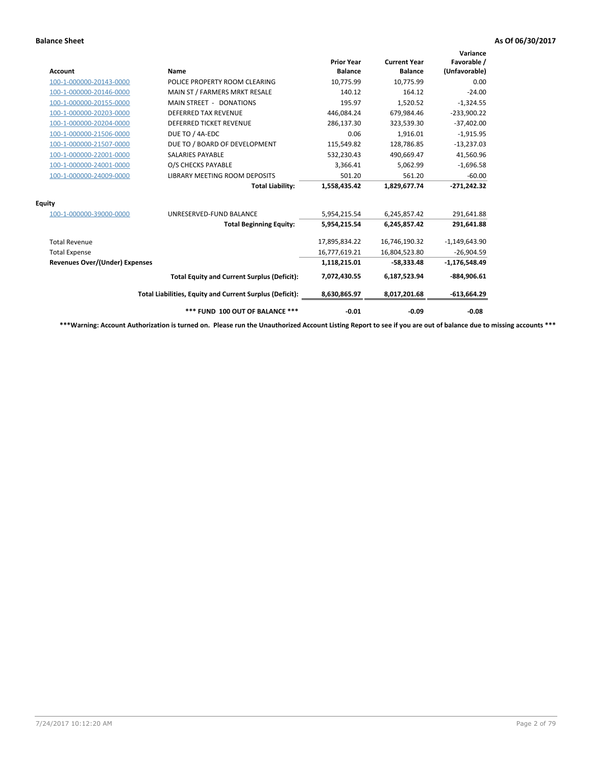| <b>Account</b>                        | Name                                                     | <b>Prior Year</b><br><b>Balance</b> | <b>Current Year</b><br><b>Balance</b> | Variance<br>Favorable /<br>(Unfavorable) |
|---------------------------------------|----------------------------------------------------------|-------------------------------------|---------------------------------------|------------------------------------------|
| 100-1-000000-20143-0000               | POLICE PROPERTY ROOM CLEARING                            | 10,775.99                           | 10,775.99                             | 0.00                                     |
| 100-1-000000-20146-0000               | MAIN ST / FARMERS MRKT RESALE                            | 140.12                              | 164.12                                | $-24.00$                                 |
| 100-1-000000-20155-0000               | MAIN STREET - DONATIONS                                  | 195.97                              | 1,520.52                              | $-1,324.55$                              |
| 100-1-000000-20203-0000               | <b>DEFERRED TAX REVENUE</b>                              | 446,084.24                          | 679.984.46                            | $-233,900.22$                            |
| 100-1-000000-20204-0000               | <b>DEFERRED TICKET REVENUE</b>                           | 286,137.30                          | 323,539.30                            | $-37,402.00$                             |
| 100-1-000000-21506-0000               | DUE TO / 4A-EDC                                          | 0.06                                | 1,916.01                              | $-1,915.95$                              |
| 100-1-000000-21507-0000               | DUE TO / BOARD OF DEVELOPMENT                            | 115,549.82                          | 128,786.85                            | $-13,237.03$                             |
| 100-1-000000-22001-0000               | <b>SALARIES PAYABLE</b>                                  | 532,230.43                          | 490,669.47                            | 41,560.96                                |
| 100-1-000000-24001-0000               | O/S CHECKS PAYABLE                                       | 3,366.41                            | 5,062.99                              | $-1,696.58$                              |
| 100-1-000000-24009-0000               | LIBRARY MEETING ROOM DEPOSITS                            | 501.20                              | 561.20                                | $-60.00$                                 |
|                                       | <b>Total Liability:</b>                                  | 1,558,435.42                        | 1,829,677.74                          | $-271,242.32$                            |
| <b>Equity</b>                         |                                                          |                                     |                                       |                                          |
| 100-1-000000-39000-0000               | UNRESERVED-FUND BALANCE                                  | 5,954,215.54                        | 6,245,857.42                          | 291,641.88                               |
|                                       | <b>Total Beginning Equity:</b>                           | 5,954,215.54                        | 6,245,857.42                          | 291,641.88                               |
| <b>Total Revenue</b>                  |                                                          | 17,895,834.22                       | 16,746,190.32                         | $-1,149,643.90$                          |
| <b>Total Expense</b>                  |                                                          | 16,777,619.21                       | 16,804,523.80                         | $-26,904.59$                             |
| <b>Revenues Over/(Under) Expenses</b> |                                                          | 1,118,215.01                        | $-58,333.48$                          | $-1,176,548.49$                          |
|                                       | <b>Total Equity and Current Surplus (Deficit):</b>       | 7,072,430.55                        | 6,187,523.94                          | $-884,906.61$                            |
|                                       | Total Liabilities, Equity and Current Surplus (Deficit): | 8,630,865.97                        | 8,017,201.68                          | $-613,664.29$                            |
|                                       | *** FUND 100 OUT OF BALANCE ***                          | $-0.01$                             | $-0.09$                               | $-0.08$                                  |

**\*\*\*Warning: Account Authorization is turned on. Please run the Unauthorized Account Listing Report to see if you are out of balance due to missing accounts \*\*\***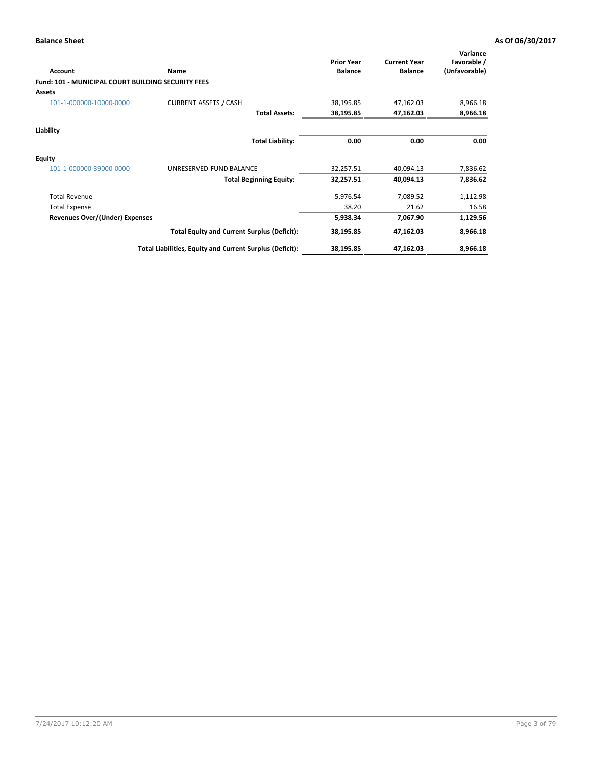| <b>Account</b>                                            | <b>Name</b>                                              | <b>Prior Year</b><br><b>Balance</b> | <b>Current Year</b><br><b>Balance</b> | Variance<br>Favorable /<br>(Unfavorable) |
|-----------------------------------------------------------|----------------------------------------------------------|-------------------------------------|---------------------------------------|------------------------------------------|
| <b>Fund: 101 - MUNICIPAL COURT BUILDING SECURITY FEES</b> |                                                          |                                     |                                       |                                          |
| <b>Assets</b>                                             |                                                          |                                     |                                       |                                          |
| 101-1-000000-10000-0000                                   | <b>CURRENT ASSETS / CASH</b>                             | 38,195.85                           | 47,162.03                             | 8,966.18                                 |
|                                                           | <b>Total Assets:</b>                                     | 38,195.85                           | 47,162.03                             | 8,966.18                                 |
| Liability                                                 |                                                          |                                     |                                       |                                          |
|                                                           | <b>Total Liability:</b>                                  | 0.00                                | 0.00                                  | 0.00                                     |
| <b>Equity</b>                                             |                                                          |                                     |                                       |                                          |
| 101-1-000000-39000-0000                                   | UNRESERVED-FUND BALANCE                                  | 32,257.51                           | 40,094.13                             | 7,836.62                                 |
|                                                           | <b>Total Beginning Equity:</b>                           | 32,257.51                           | 40,094.13                             | 7,836.62                                 |
| <b>Total Revenue</b>                                      |                                                          | 5,976.54                            | 7,089.52                              | 1,112.98                                 |
| <b>Total Expense</b>                                      |                                                          | 38.20                               | 21.62                                 | 16.58                                    |
| Revenues Over/(Under) Expenses                            |                                                          | 5,938.34                            | 7,067.90                              | 1,129.56                                 |
|                                                           | <b>Total Equity and Current Surplus (Deficit):</b>       | 38,195.85                           | 47,162.03                             | 8,966.18                                 |
|                                                           | Total Liabilities, Equity and Current Surplus (Deficit): | 38,195.85                           | 47,162.03                             | 8,966.18                                 |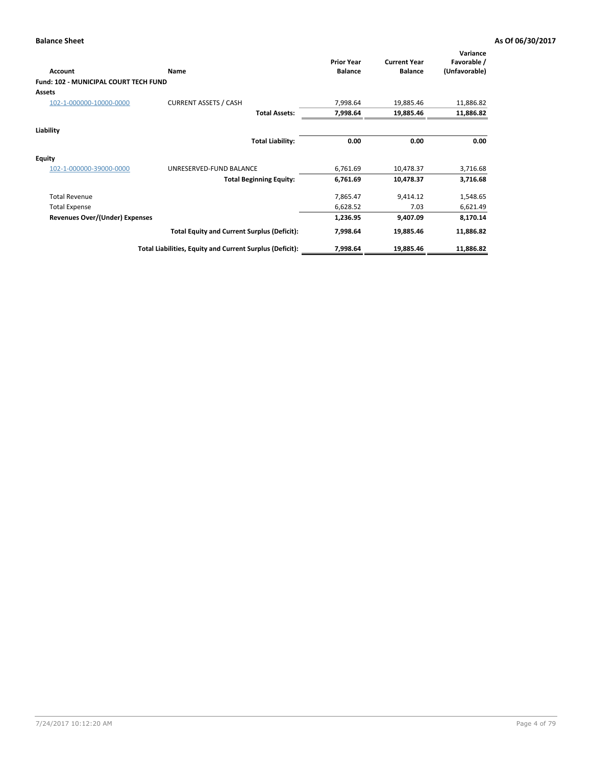| Account                               | Name                                                     | <b>Prior Year</b><br><b>Balance</b> | <b>Current Year</b><br><b>Balance</b> | Variance<br>Favorable /<br>(Unfavorable) |
|---------------------------------------|----------------------------------------------------------|-------------------------------------|---------------------------------------|------------------------------------------|
| Fund: 102 - MUNICIPAL COURT TECH FUND |                                                          |                                     |                                       |                                          |
| <b>Assets</b>                         |                                                          |                                     |                                       |                                          |
| 102-1-000000-10000-0000               | <b>CURRENT ASSETS / CASH</b>                             | 7,998.64                            | 19,885.46                             | 11,886.82                                |
|                                       | <b>Total Assets:</b>                                     | 7,998.64                            | 19,885.46                             | 11,886.82                                |
| Liability                             |                                                          |                                     |                                       |                                          |
|                                       | <b>Total Liability:</b>                                  | 0.00                                | 0.00                                  | 0.00                                     |
| <b>Equity</b>                         |                                                          |                                     |                                       |                                          |
| 102-1-000000-39000-0000               | UNRESERVED-FUND BALANCE                                  | 6,761.69                            | 10,478.37                             | 3,716.68                                 |
|                                       | <b>Total Beginning Equity:</b>                           | 6,761.69                            | 10,478.37                             | 3,716.68                                 |
| <b>Total Revenue</b>                  |                                                          | 7,865.47                            | 9,414.12                              | 1,548.65                                 |
| <b>Total Expense</b>                  |                                                          | 6,628.52                            | 7.03                                  | 6,621.49                                 |
| <b>Revenues Over/(Under) Expenses</b> |                                                          | 1,236.95                            | 9,407.09                              | 8,170.14                                 |
|                                       | <b>Total Equity and Current Surplus (Deficit):</b>       | 7,998.64                            | 19,885.46                             | 11,886.82                                |
|                                       | Total Liabilities, Equity and Current Surplus (Deficit): | 7,998.64                            | 19,885.46                             | 11,886.82                                |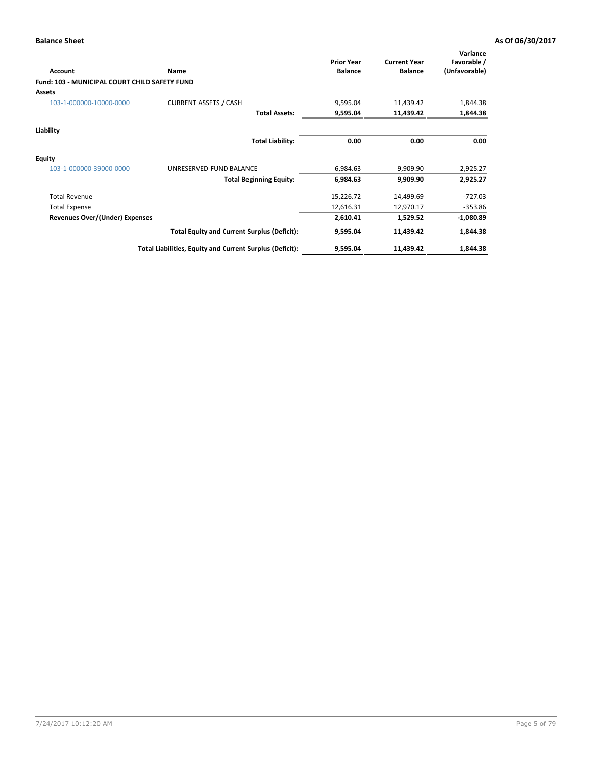| Account                                       | Name                                                     | <b>Prior Year</b><br><b>Balance</b> | <b>Current Year</b><br><b>Balance</b> | Variance<br>Favorable /<br>(Unfavorable) |
|-----------------------------------------------|----------------------------------------------------------|-------------------------------------|---------------------------------------|------------------------------------------|
| Fund: 103 - MUNICIPAL COURT CHILD SAFETY FUND |                                                          |                                     |                                       |                                          |
| <b>Assets</b>                                 |                                                          |                                     |                                       |                                          |
| 103-1-000000-10000-0000                       | <b>CURRENT ASSETS / CASH</b>                             | 9,595.04                            | 11,439.42                             | 1,844.38                                 |
|                                               | <b>Total Assets:</b>                                     | 9,595.04                            | 11,439.42                             | 1,844.38                                 |
| Liability                                     |                                                          |                                     |                                       |                                          |
|                                               | <b>Total Liability:</b>                                  | 0.00                                | 0.00                                  | 0.00                                     |
| <b>Equity</b>                                 |                                                          |                                     |                                       |                                          |
| 103-1-000000-39000-0000                       | UNRESERVED-FUND BALANCE                                  | 6,984.63                            | 9,909.90                              | 2,925.27                                 |
|                                               | <b>Total Beginning Equity:</b>                           | 6,984.63                            | 9,909.90                              | 2,925.27                                 |
| <b>Total Revenue</b>                          |                                                          | 15,226.72                           | 14,499.69                             | $-727.03$                                |
| <b>Total Expense</b>                          |                                                          | 12,616.31                           | 12,970.17                             | $-353.86$                                |
| <b>Revenues Over/(Under) Expenses</b>         |                                                          | 2,610.41                            | 1,529.52                              | $-1,080.89$                              |
|                                               | <b>Total Equity and Current Surplus (Deficit):</b>       | 9,595.04                            | 11,439.42                             | 1,844.38                                 |
|                                               | Total Liabilities, Equity and Current Surplus (Deficit): | 9,595.04                            | 11,439.42                             | 1,844.38                                 |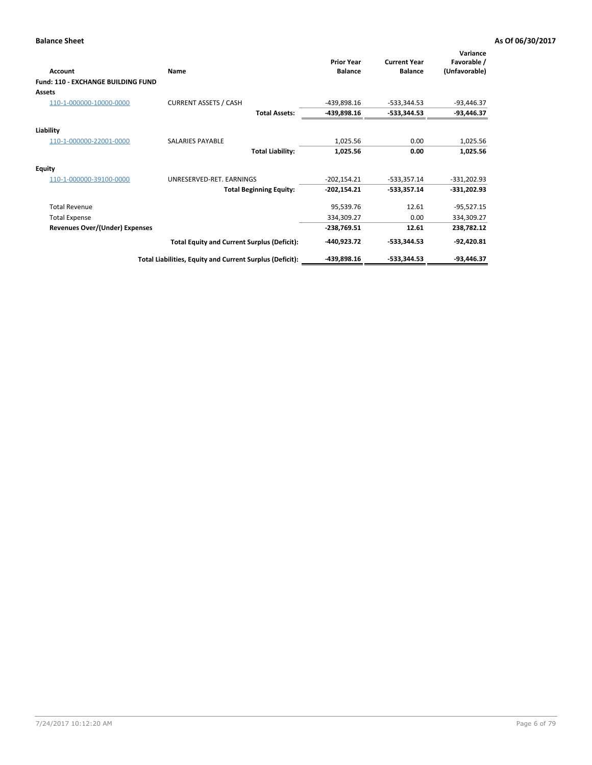| <b>Account</b>                               | Name                                                     | <b>Prior Year</b><br><b>Balance</b> | <b>Current Year</b><br><b>Balance</b> | Variance<br>Favorable /<br>(Unfavorable) |
|----------------------------------------------|----------------------------------------------------------|-------------------------------------|---------------------------------------|------------------------------------------|
| Fund: 110 - EXCHANGE BUILDING FUND<br>Assets |                                                          |                                     |                                       |                                          |
| 110-1-000000-10000-0000                      | <b>CURRENT ASSETS / CASH</b>                             | -439,898.16                         | $-533,344.53$                         | $-93,446.37$                             |
|                                              | <b>Total Assets:</b>                                     | -439,898.16                         | $-533,344.53$                         | $-93,446.37$                             |
| Liability                                    |                                                          |                                     |                                       |                                          |
| 110-1-000000-22001-0000                      | SALARIES PAYABLE                                         | 1,025.56                            | 0.00                                  | 1,025.56                                 |
|                                              | <b>Total Liability:</b>                                  | 1,025.56                            | 0.00                                  | 1,025.56                                 |
| Equity                                       |                                                          |                                     |                                       |                                          |
| 110-1-000000-39100-0000                      | UNRESERVED-RET. EARNINGS                                 | $-202,154.21$                       | $-533,357.14$                         | $-331,202.93$                            |
|                                              | <b>Total Beginning Equity:</b>                           | $-202,154.21$                       | $-533,357.14$                         | $-331,202.93$                            |
| <b>Total Revenue</b>                         |                                                          | 95,539.76                           | 12.61                                 | $-95,527.15$                             |
| <b>Total Expense</b>                         |                                                          | 334,309.27                          | 0.00                                  | 334,309.27                               |
| <b>Revenues Over/(Under) Expenses</b>        |                                                          | $-238,769.51$                       | 12.61                                 | 238,782.12                               |
|                                              | <b>Total Equity and Current Surplus (Deficit):</b>       | -440,923.72                         | $-533,344.53$                         | $-92,420.81$                             |
|                                              | Total Liabilities, Equity and Current Surplus (Deficit): | -439,898.16                         | $-533,344.53$                         | $-93,446.37$                             |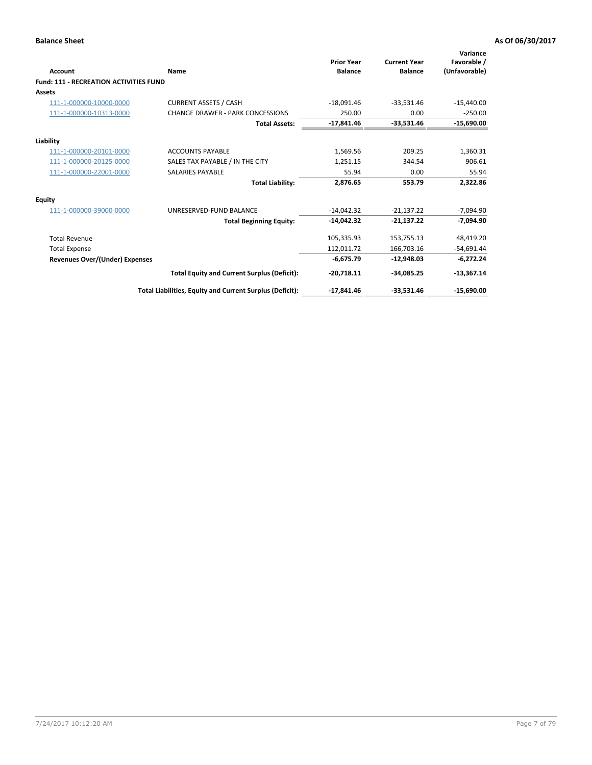| Account                                       | Name                                                     | <b>Prior Year</b><br><b>Balance</b> | <b>Current Year</b><br><b>Balance</b> | Variance<br>Favorable /<br>(Unfavorable) |
|-----------------------------------------------|----------------------------------------------------------|-------------------------------------|---------------------------------------|------------------------------------------|
| <b>Fund: 111 - RECREATION ACTIVITIES FUND</b> |                                                          |                                     |                                       |                                          |
| Assets                                        |                                                          |                                     |                                       |                                          |
| 111-1-000000-10000-0000                       | <b>CURRENT ASSETS / CASH</b>                             | $-18,091.46$                        | $-33,531.46$                          | $-15,440.00$                             |
| 111-1-000000-10313-0000                       | <b>CHANGE DRAWER - PARK CONCESSIONS</b>                  | 250.00                              | 0.00                                  | $-250.00$                                |
|                                               | <b>Total Assets:</b>                                     | $-17,841.46$                        | $-33,531.46$                          | $-15,690.00$                             |
| Liability                                     |                                                          |                                     |                                       |                                          |
| 111-1-000000-20101-0000                       | <b>ACCOUNTS PAYABLE</b>                                  | 1,569.56                            | 209.25                                | 1,360.31                                 |
| 111-1-000000-20125-0000                       | SALES TAX PAYABLE / IN THE CITY                          | 1.251.15                            | 344.54                                | 906.61                                   |
| 111-1-000000-22001-0000                       | <b>SALARIES PAYABLE</b>                                  | 55.94                               | 0.00                                  | 55.94                                    |
|                                               | <b>Total Liability:</b>                                  | 2,876.65                            | 553.79                                | 2,322.86                                 |
| <b>Equity</b>                                 |                                                          |                                     |                                       |                                          |
| 111-1-000000-39000-0000                       | UNRESERVED-FUND BALANCE                                  | $-14,042.32$                        | $-21,137.22$                          | $-7,094.90$                              |
|                                               | <b>Total Beginning Equity:</b>                           | $-14.042.32$                        | $-21.137.22$                          | $-7.094.90$                              |
| <b>Total Revenue</b>                          |                                                          | 105,335.93                          | 153,755.13                            | 48,419.20                                |
| <b>Total Expense</b>                          |                                                          | 112,011.72                          | 166,703.16                            | $-54,691.44$                             |
| <b>Revenues Over/(Under) Expenses</b>         |                                                          | $-6,675.79$                         | $-12,948.03$                          | $-6,272.24$                              |
|                                               | <b>Total Equity and Current Surplus (Deficit):</b>       | $-20,718.11$                        | $-34.085.25$                          | $-13,367.14$                             |
|                                               | Total Liabilities, Equity and Current Surplus (Deficit): | $-17,841.46$                        | $-33,531.46$                          | $-15,690.00$                             |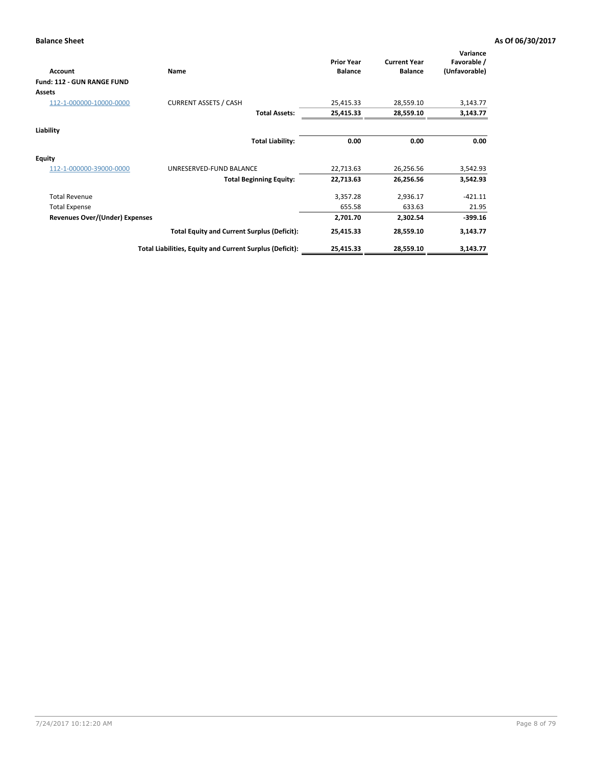| <b>Account</b>                    | Name                                                     | <b>Prior Year</b><br><b>Balance</b> | <b>Current Year</b><br><b>Balance</b> | Variance<br>Favorable /<br>(Unfavorable) |
|-----------------------------------|----------------------------------------------------------|-------------------------------------|---------------------------------------|------------------------------------------|
| <b>Fund: 112 - GUN RANGE FUND</b> |                                                          |                                     |                                       |                                          |
| Assets                            |                                                          |                                     |                                       |                                          |
| 112-1-000000-10000-0000           | <b>CURRENT ASSETS / CASH</b>                             | 25,415.33                           | 28,559.10                             | 3,143.77                                 |
|                                   | <b>Total Assets:</b>                                     | 25,415.33                           | 28,559.10                             | 3,143.77                                 |
| Liability                         |                                                          |                                     |                                       |                                          |
|                                   | <b>Total Liability:</b>                                  | 0.00                                | 0.00                                  | 0.00                                     |
| <b>Equity</b>                     |                                                          |                                     |                                       |                                          |
| 112-1-000000-39000-0000           | UNRESERVED-FUND BALANCE                                  | 22,713.63                           | 26,256.56                             | 3,542.93                                 |
|                                   | <b>Total Beginning Equity:</b>                           | 22,713.63                           | 26,256.56                             | 3,542.93                                 |
| <b>Total Revenue</b>              |                                                          | 3,357.28                            | 2,936.17                              | $-421.11$                                |
| <b>Total Expense</b>              |                                                          | 655.58                              | 633.63                                | 21.95                                    |
| Revenues Over/(Under) Expenses    |                                                          | 2,701.70                            | 2,302.54                              | $-399.16$                                |
|                                   | <b>Total Equity and Current Surplus (Deficit):</b>       | 25,415.33                           | 28,559.10                             | 3,143.77                                 |
|                                   | Total Liabilities, Equity and Current Surplus (Deficit): | 25,415.33                           | 28,559.10                             | 3,143.77                                 |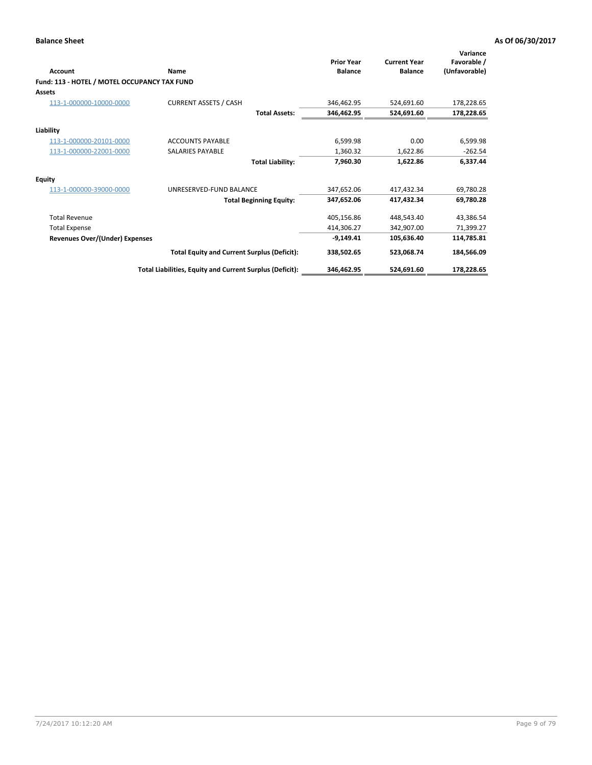| <b>Account</b>                               | Name                                                     | <b>Prior Year</b><br><b>Balance</b> | <b>Current Year</b><br><b>Balance</b> | Variance<br>Favorable /<br>(Unfavorable) |
|----------------------------------------------|----------------------------------------------------------|-------------------------------------|---------------------------------------|------------------------------------------|
| Fund: 113 - HOTEL / MOTEL OCCUPANCY TAX FUND |                                                          |                                     |                                       |                                          |
| Assets                                       |                                                          |                                     |                                       |                                          |
| 113-1-000000-10000-0000                      | <b>CURRENT ASSETS / CASH</b>                             | 346.462.95                          | 524.691.60                            | 178,228.65                               |
|                                              | <b>Total Assets:</b>                                     | 346,462.95                          | 524,691.60                            | 178,228.65                               |
| Liability                                    |                                                          |                                     |                                       |                                          |
| 113-1-000000-20101-0000                      | <b>ACCOUNTS PAYABLE</b>                                  | 6,599.98                            | 0.00                                  | 6,599.98                                 |
| 113-1-000000-22001-0000                      | <b>SALARIES PAYABLE</b>                                  | 1.360.32                            | 1,622.86                              | $-262.54$                                |
|                                              | <b>Total Liability:</b>                                  | 7,960.30                            | 1,622.86                              | 6,337.44                                 |
| <b>Equity</b>                                |                                                          |                                     |                                       |                                          |
| 113-1-000000-39000-0000                      | UNRESERVED-FUND BALANCE                                  | 347.652.06                          | 417.432.34                            | 69,780.28                                |
|                                              | <b>Total Beginning Equity:</b>                           | 347,652.06                          | 417,432.34                            | 69,780.28                                |
| <b>Total Revenue</b>                         |                                                          | 405,156.86                          | 448,543.40                            | 43,386.54                                |
| <b>Total Expense</b>                         |                                                          | 414,306.27                          | 342,907.00                            | 71,399.27                                |
| <b>Revenues Over/(Under) Expenses</b>        |                                                          | $-9,149.41$                         | 105,636.40                            | 114,785.81                               |
|                                              | <b>Total Equity and Current Surplus (Deficit):</b>       | 338,502.65                          | 523,068.74                            | 184,566.09                               |
|                                              | Total Liabilities, Equity and Current Surplus (Deficit): | 346,462.95                          | 524,691.60                            | 178,228.65                               |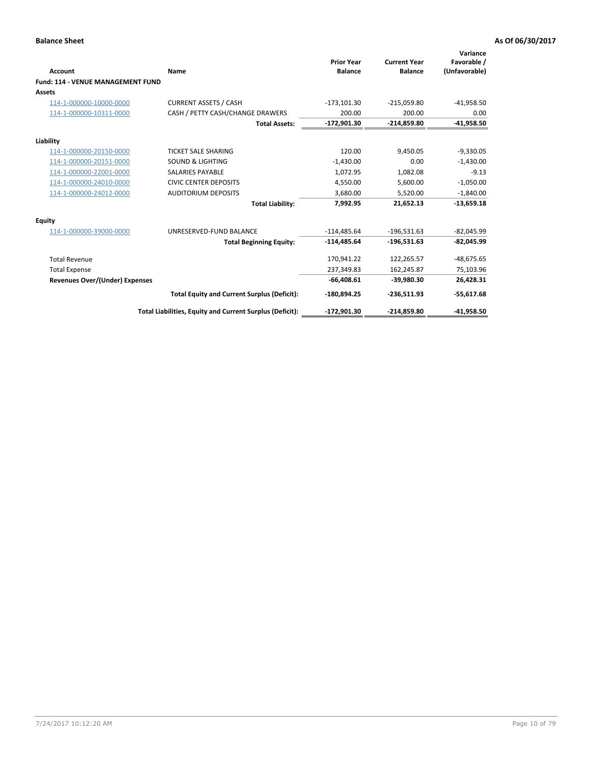| <b>Account</b>                           | Name                                                     | <b>Prior Year</b><br><b>Balance</b> | <b>Current Year</b><br><b>Balance</b> | Variance<br>Favorable /<br>(Unfavorable) |
|------------------------------------------|----------------------------------------------------------|-------------------------------------|---------------------------------------|------------------------------------------|
| <b>Fund: 114 - VENUE MANAGEMENT FUND</b> |                                                          |                                     |                                       |                                          |
| Assets                                   |                                                          |                                     |                                       |                                          |
| 114-1-000000-10000-0000                  | <b>CURRENT ASSETS / CASH</b>                             | $-173, 101.30$                      | $-215,059.80$                         | $-41,958.50$                             |
| 114-1-000000-10311-0000                  | CASH / PETTY CASH/CHANGE DRAWERS                         | 200.00                              | 200.00                                | 0.00                                     |
|                                          | <b>Total Assets:</b>                                     | $-172,901.30$                       | $-214,859.80$                         | $-41,958.50$                             |
| Liability                                |                                                          |                                     |                                       |                                          |
| 114-1-000000-20150-0000                  | <b>TICKET SALE SHARING</b>                               | 120.00                              | 9,450.05                              | $-9,330.05$                              |
| 114-1-000000-20151-0000                  | <b>SOUND &amp; LIGHTING</b>                              | $-1,430.00$                         | 0.00                                  | $-1,430.00$                              |
| 114-1-000000-22001-0000                  | <b>SALARIES PAYABLE</b>                                  | 1,072.95                            | 1,082.08                              | $-9.13$                                  |
| 114-1-000000-24010-0000                  | <b>CIVIC CENTER DEPOSITS</b>                             | 4,550.00                            | 5,600.00                              | $-1,050.00$                              |
| 114-1-000000-24012-0000                  | <b>AUDITORIUM DEPOSITS</b>                               | 3,680.00                            | 5,520.00                              | $-1,840.00$                              |
|                                          | <b>Total Liability:</b>                                  | 7,992.95                            | 21,652.13                             | $-13,659.18$                             |
| Equity                                   |                                                          |                                     |                                       |                                          |
| 114-1-000000-39000-0000                  | UNRESERVED-FUND BALANCE                                  | $-114,485.64$                       | $-196,531.63$                         | $-82,045.99$                             |
|                                          | <b>Total Beginning Equity:</b>                           | $-114,485.64$                       | $-196,531.63$                         | $-82,045.99$                             |
| <b>Total Revenue</b>                     |                                                          | 170,941.22                          | 122.265.57                            | $-48,675.65$                             |
| <b>Total Expense</b>                     |                                                          | 237,349.83                          | 162,245.87                            | 75,103.96                                |
| <b>Revenues Over/(Under) Expenses</b>    |                                                          | $-66,408.61$                        | -39,980.30                            | 26,428.31                                |
|                                          | <b>Total Equity and Current Surplus (Deficit):</b>       | $-180,894.25$                       | $-236,511.93$                         | $-55,617.68$                             |
|                                          | Total Liabilities, Equity and Current Surplus (Deficit): | $-172,901.30$                       | $-214,859.80$                         | $-41.958.50$                             |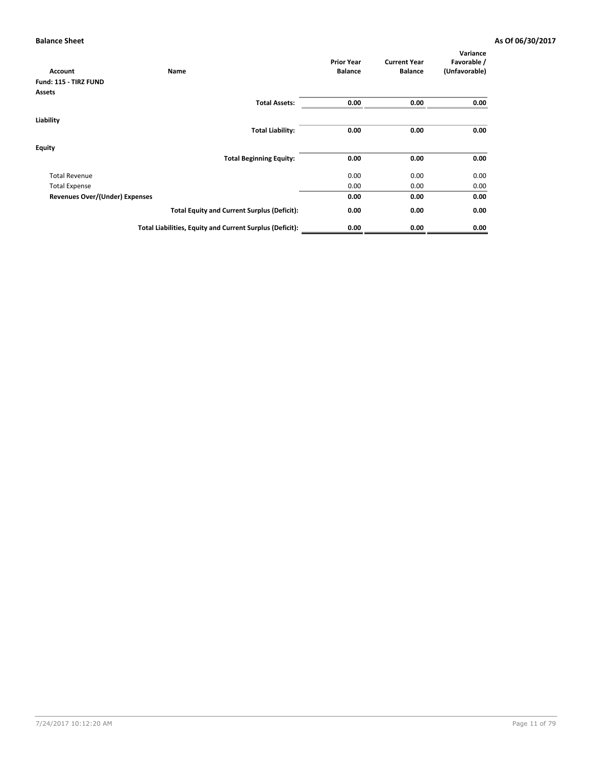| Account                        | Name                                                     | <b>Prior Year</b><br><b>Balance</b> | <b>Current Year</b><br><b>Balance</b> | Variance<br>Favorable /<br>(Unfavorable) |
|--------------------------------|----------------------------------------------------------|-------------------------------------|---------------------------------------|------------------------------------------|
| Fund: 115 - TIRZ FUND          |                                                          |                                     |                                       |                                          |
| Assets                         |                                                          |                                     |                                       |                                          |
|                                | <b>Total Assets:</b>                                     | 0.00                                | 0.00                                  | 0.00                                     |
| Liability                      |                                                          |                                     |                                       |                                          |
|                                | <b>Total Liability:</b>                                  | 0.00                                | 0.00                                  | 0.00                                     |
| Equity                         |                                                          |                                     |                                       |                                          |
|                                | <b>Total Beginning Equity:</b>                           | 0.00                                | 0.00                                  | 0.00                                     |
| <b>Total Revenue</b>           |                                                          | 0.00                                | 0.00                                  | 0.00                                     |
| <b>Total Expense</b>           |                                                          | 0.00                                | 0.00                                  | 0.00                                     |
| Revenues Over/(Under) Expenses |                                                          | 0.00                                | 0.00                                  | 0.00                                     |
|                                | <b>Total Equity and Current Surplus (Deficit):</b>       | 0.00                                | 0.00                                  | 0.00                                     |
|                                | Total Liabilities, Equity and Current Surplus (Deficit): | 0.00                                | 0.00                                  | 0.00                                     |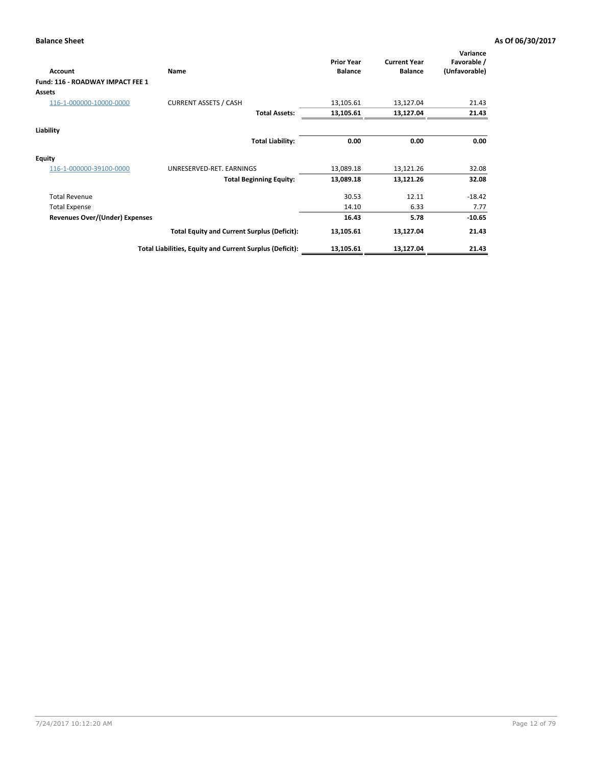| <b>Account</b>                   | Name                                                     | <b>Prior Year</b><br><b>Balance</b> | <b>Current Year</b><br><b>Balance</b> | Variance<br>Favorable /<br>(Unfavorable) |
|----------------------------------|----------------------------------------------------------|-------------------------------------|---------------------------------------|------------------------------------------|
| Fund: 116 - ROADWAY IMPACT FEE 1 |                                                          |                                     |                                       |                                          |
| <b>Assets</b>                    |                                                          |                                     |                                       |                                          |
| 116-1-000000-10000-0000          | <b>CURRENT ASSETS / CASH</b>                             | 13,105.61                           | 13,127.04                             | 21.43                                    |
|                                  | <b>Total Assets:</b>                                     | 13,105.61                           | 13,127.04                             | 21.43                                    |
| Liability                        |                                                          |                                     |                                       |                                          |
|                                  | <b>Total Liability:</b>                                  | 0.00                                | 0.00                                  | 0.00                                     |
| <b>Equity</b>                    |                                                          |                                     |                                       |                                          |
| 116-1-000000-39100-0000          | UNRESERVED-RET. EARNINGS                                 | 13,089.18                           | 13,121.26                             | 32.08                                    |
|                                  | <b>Total Beginning Equity:</b>                           | 13,089.18                           | 13,121.26                             | 32.08                                    |
| <b>Total Revenue</b>             |                                                          | 30.53                               | 12.11                                 | $-18.42$                                 |
| <b>Total Expense</b>             |                                                          | 14.10                               | 6.33                                  | 7.77                                     |
| Revenues Over/(Under) Expenses   |                                                          | 16.43                               | 5.78                                  | $-10.65$                                 |
|                                  | <b>Total Equity and Current Surplus (Deficit):</b>       | 13,105.61                           | 13,127.04                             | 21.43                                    |
|                                  | Total Liabilities, Equity and Current Surplus (Deficit): | 13,105.61                           | 13,127.04                             | 21.43                                    |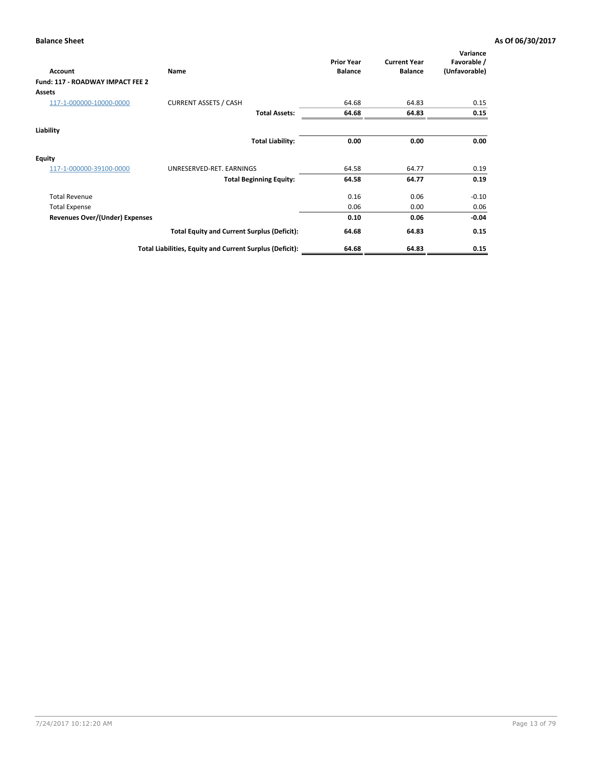| <b>Account</b>                        | Name                                                     | <b>Prior Year</b><br><b>Balance</b> | <b>Current Year</b><br><b>Balance</b> | Variance<br>Favorable /<br>(Unfavorable) |
|---------------------------------------|----------------------------------------------------------|-------------------------------------|---------------------------------------|------------------------------------------|
| Fund: 117 - ROADWAY IMPACT FEE 2      |                                                          |                                     |                                       |                                          |
| Assets                                |                                                          |                                     |                                       |                                          |
| 117-1-000000-10000-0000               | <b>CURRENT ASSETS / CASH</b>                             | 64.68                               | 64.83                                 | 0.15                                     |
|                                       | <b>Total Assets:</b>                                     | 64.68                               | 64.83                                 | 0.15                                     |
| Liability                             |                                                          |                                     |                                       |                                          |
|                                       | <b>Total Liability:</b>                                  | 0.00                                | 0.00                                  | 0.00                                     |
| <b>Equity</b>                         |                                                          |                                     |                                       |                                          |
| 117-1-000000-39100-0000               | UNRESERVED-RET. EARNINGS                                 | 64.58                               | 64.77                                 | 0.19                                     |
|                                       | <b>Total Beginning Equity:</b>                           | 64.58                               | 64.77                                 | 0.19                                     |
| <b>Total Revenue</b>                  |                                                          | 0.16                                | 0.06                                  | $-0.10$                                  |
| <b>Total Expense</b>                  |                                                          | 0.06                                | 0.00                                  | 0.06                                     |
| <b>Revenues Over/(Under) Expenses</b> |                                                          | 0.10                                | 0.06                                  | $-0.04$                                  |
|                                       | <b>Total Equity and Current Surplus (Deficit):</b>       | 64.68                               | 64.83                                 | 0.15                                     |
|                                       | Total Liabilities, Equity and Current Surplus (Deficit): | 64.68                               | 64.83                                 | 0.15                                     |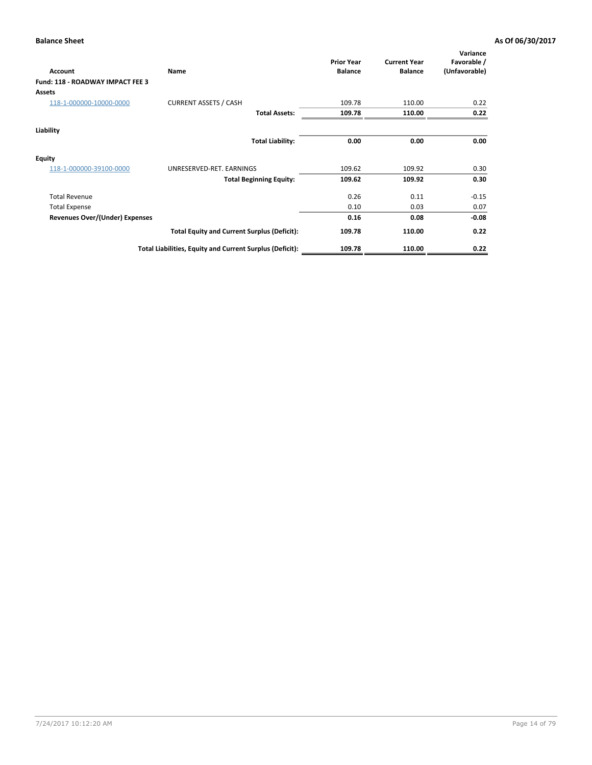| <b>Account</b>                          | Name                                                     | <b>Prior Year</b><br><b>Balance</b> | <b>Current Year</b><br><b>Balance</b> | Variance<br>Favorable /<br>(Unfavorable) |
|-----------------------------------------|----------------------------------------------------------|-------------------------------------|---------------------------------------|------------------------------------------|
| <b>Fund: 118 - ROADWAY IMPACT FEE 3</b> |                                                          |                                     |                                       |                                          |
| <b>Assets</b>                           |                                                          |                                     |                                       |                                          |
| 118-1-000000-10000-0000                 | <b>CURRENT ASSETS / CASH</b>                             | 109.78                              | 110.00                                | 0.22                                     |
|                                         | <b>Total Assets:</b>                                     | 109.78                              | 110.00                                | 0.22                                     |
| Liability                               |                                                          |                                     |                                       |                                          |
|                                         | <b>Total Liability:</b>                                  | 0.00                                | 0.00                                  | 0.00                                     |
| <b>Equity</b>                           |                                                          |                                     |                                       |                                          |
| 118-1-000000-39100-0000                 | UNRESERVED-RET. EARNINGS                                 | 109.62                              | 109.92                                | 0.30                                     |
|                                         | <b>Total Beginning Equity:</b>                           | 109.62                              | 109.92                                | 0.30                                     |
| <b>Total Revenue</b>                    |                                                          | 0.26                                | 0.11                                  | $-0.15$                                  |
| <b>Total Expense</b>                    |                                                          | 0.10                                | 0.03                                  | 0.07                                     |
| Revenues Over/(Under) Expenses          |                                                          | 0.16                                | 0.08                                  | $-0.08$                                  |
|                                         | <b>Total Equity and Current Surplus (Deficit):</b>       | 109.78                              | 110.00                                | 0.22                                     |
|                                         | Total Liabilities, Equity and Current Surplus (Deficit): | 109.78                              | 110.00                                | 0.22                                     |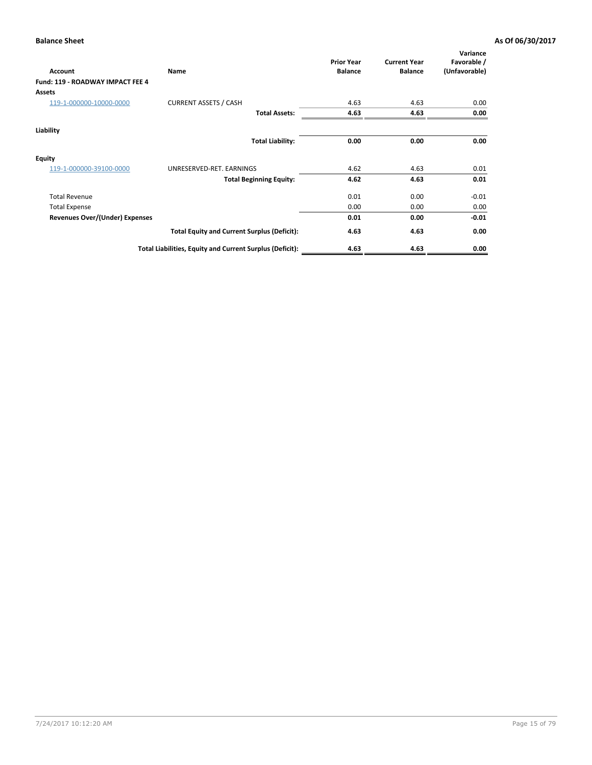| <b>Account</b>                   | Name                                                     | <b>Prior Year</b><br><b>Balance</b> | <b>Current Year</b><br><b>Balance</b> | Variance<br>Favorable /<br>(Unfavorable) |
|----------------------------------|----------------------------------------------------------|-------------------------------------|---------------------------------------|------------------------------------------|
| Fund: 119 - ROADWAY IMPACT FEE 4 |                                                          |                                     |                                       |                                          |
| <b>Assets</b>                    |                                                          |                                     |                                       |                                          |
| 119-1-000000-10000-0000          | <b>CURRENT ASSETS / CASH</b>                             | 4.63                                | 4.63                                  | 0.00                                     |
|                                  | <b>Total Assets:</b>                                     | 4.63                                | 4.63                                  | 0.00                                     |
| Liability                        |                                                          |                                     |                                       |                                          |
|                                  | <b>Total Liability:</b>                                  | 0.00                                | 0.00                                  | 0.00                                     |
| <b>Equity</b>                    |                                                          |                                     |                                       |                                          |
| 119-1-000000-39100-0000          | UNRESERVED-RET. EARNINGS                                 | 4.62                                | 4.63                                  | 0.01                                     |
|                                  | <b>Total Beginning Equity:</b>                           | 4.62                                | 4.63                                  | 0.01                                     |
| <b>Total Revenue</b>             |                                                          | 0.01                                | 0.00                                  | $-0.01$                                  |
| <b>Total Expense</b>             |                                                          | 0.00                                | 0.00                                  | 0.00                                     |
| Revenues Over/(Under) Expenses   |                                                          | 0.01                                | 0.00                                  | $-0.01$                                  |
|                                  | <b>Total Equity and Current Surplus (Deficit):</b>       | 4.63                                | 4.63                                  | 0.00                                     |
|                                  | Total Liabilities, Equity and Current Surplus (Deficit): | 4.63                                | 4.63                                  | 0.00                                     |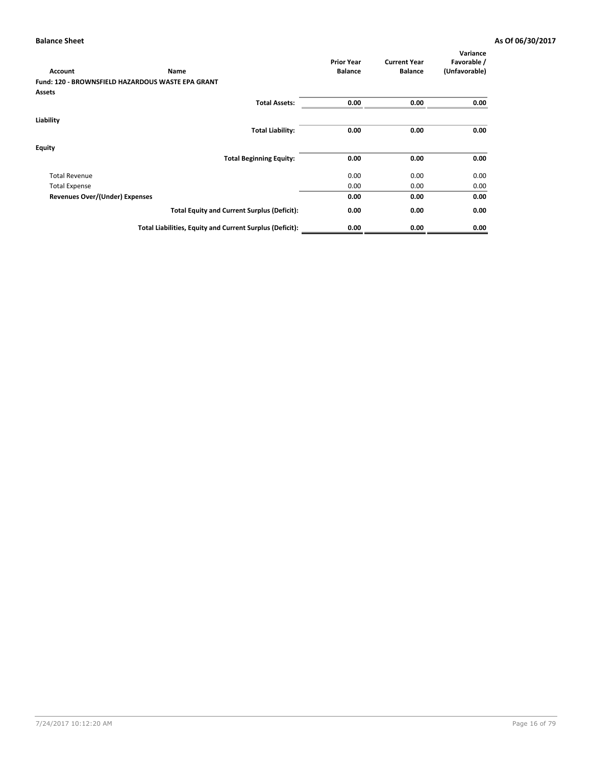| <b>Account</b>                 | Name                                                     | <b>Prior Year</b><br><b>Balance</b> | <b>Current Year</b><br><b>Balance</b> | Variance<br>Favorable /<br>(Unfavorable) |
|--------------------------------|----------------------------------------------------------|-------------------------------------|---------------------------------------|------------------------------------------|
|                                | <b>Fund: 120 - BROWNSFIELD HAZARDOUS WASTE EPA GRANT</b> |                                     |                                       |                                          |
| <b>Assets</b>                  |                                                          |                                     |                                       |                                          |
|                                | <b>Total Assets:</b>                                     | 0.00                                | 0.00                                  | 0.00                                     |
| Liability                      |                                                          |                                     |                                       |                                          |
|                                | <b>Total Liability:</b>                                  | 0.00                                | 0.00                                  | 0.00                                     |
| Equity                         |                                                          |                                     |                                       |                                          |
|                                | <b>Total Beginning Equity:</b>                           | 0.00                                | 0.00                                  | 0.00                                     |
| <b>Total Revenue</b>           |                                                          | 0.00                                | 0.00                                  | 0.00                                     |
| <b>Total Expense</b>           |                                                          | 0.00                                | 0.00                                  | 0.00                                     |
| Revenues Over/(Under) Expenses |                                                          | 0.00                                | 0.00                                  | 0.00                                     |
|                                | <b>Total Equity and Current Surplus (Deficit):</b>       | 0.00                                | 0.00                                  | 0.00                                     |
|                                | Total Liabilities, Equity and Current Surplus (Deficit): | 0.00                                | 0.00                                  | 0.00                                     |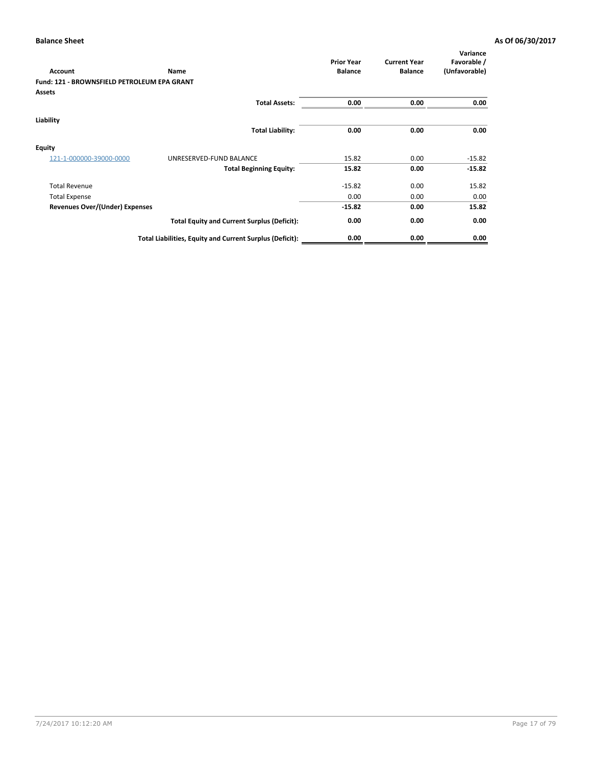| <b>Account</b>                              | Name                                                     | <b>Prior Year</b><br><b>Balance</b> | <b>Current Year</b><br><b>Balance</b> | Variance<br>Favorable /<br>(Unfavorable) |
|---------------------------------------------|----------------------------------------------------------|-------------------------------------|---------------------------------------|------------------------------------------|
| Fund: 121 - BROWNSFIELD PETROLEUM EPA GRANT |                                                          |                                     |                                       |                                          |
| <b>Assets</b>                               |                                                          |                                     |                                       |                                          |
|                                             | <b>Total Assets:</b>                                     | 0.00                                | 0.00                                  | 0.00                                     |
| Liability                                   |                                                          |                                     |                                       |                                          |
|                                             | <b>Total Liability:</b>                                  | 0.00                                | 0.00                                  | 0.00                                     |
| <b>Equity</b>                               |                                                          |                                     |                                       |                                          |
| 121-1-000000-39000-0000                     | UNRESERVED-FUND BALANCE                                  | 15.82                               | 0.00                                  | $-15.82$                                 |
|                                             | <b>Total Beginning Equity:</b>                           | 15.82                               | 0.00                                  | $-15.82$                                 |
| <b>Total Revenue</b>                        |                                                          | $-15.82$                            | 0.00                                  | 15.82                                    |
| <b>Total Expense</b>                        |                                                          | 0.00                                | 0.00                                  | 0.00                                     |
| <b>Revenues Over/(Under) Expenses</b>       |                                                          | $-15.82$                            | 0.00                                  | 15.82                                    |
|                                             | <b>Total Equity and Current Surplus (Deficit):</b>       | 0.00                                | 0.00                                  | 0.00                                     |
|                                             | Total Liabilities, Equity and Current Surplus (Deficit): | 0.00                                | 0.00                                  | 0.00                                     |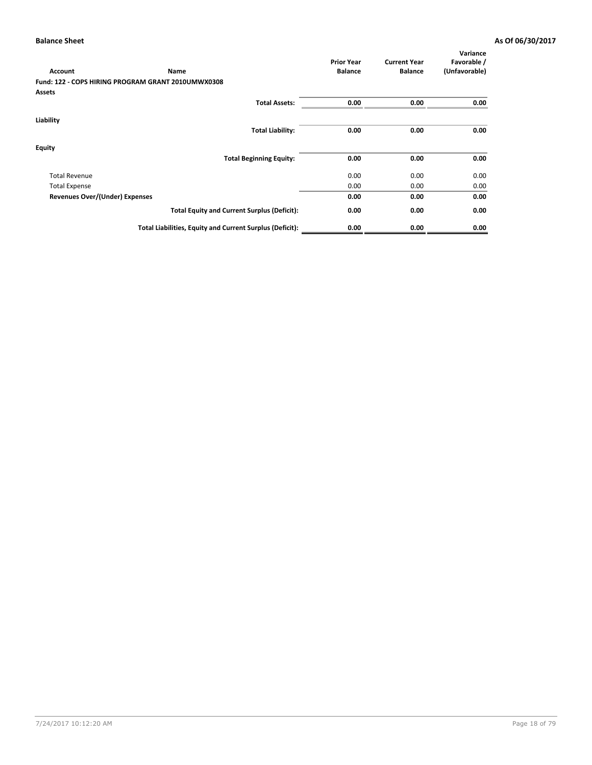|                                       |                                                          | <b>Prior Year</b> | <b>Current Year</b> | Variance<br>Favorable / |
|---------------------------------------|----------------------------------------------------------|-------------------|---------------------|-------------------------|
| <b>Account</b>                        | Name                                                     | <b>Balance</b>    | <b>Balance</b>      | (Unfavorable)           |
|                                       | Fund: 122 - COPS HIRING PROGRAM GRANT 2010UMWX0308       |                   |                     |                         |
| <b>Assets</b>                         |                                                          |                   |                     |                         |
|                                       | <b>Total Assets:</b>                                     | 0.00              | 0.00                | 0.00                    |
| Liability                             |                                                          |                   |                     |                         |
|                                       | <b>Total Liability:</b>                                  | 0.00              | 0.00                | 0.00                    |
| Equity                                |                                                          |                   |                     |                         |
|                                       | <b>Total Beginning Equity:</b>                           | 0.00              | 0.00                | 0.00                    |
| <b>Total Revenue</b>                  |                                                          | 0.00              | 0.00                | 0.00                    |
| <b>Total Expense</b>                  |                                                          | 0.00              | 0.00                | 0.00                    |
| <b>Revenues Over/(Under) Expenses</b> |                                                          | 0.00              | 0.00                | 0.00                    |
|                                       | <b>Total Equity and Current Surplus (Deficit):</b>       | 0.00              | 0.00                | 0.00                    |
|                                       | Total Liabilities, Equity and Current Surplus (Deficit): | 0.00              | 0.00                | 0.00                    |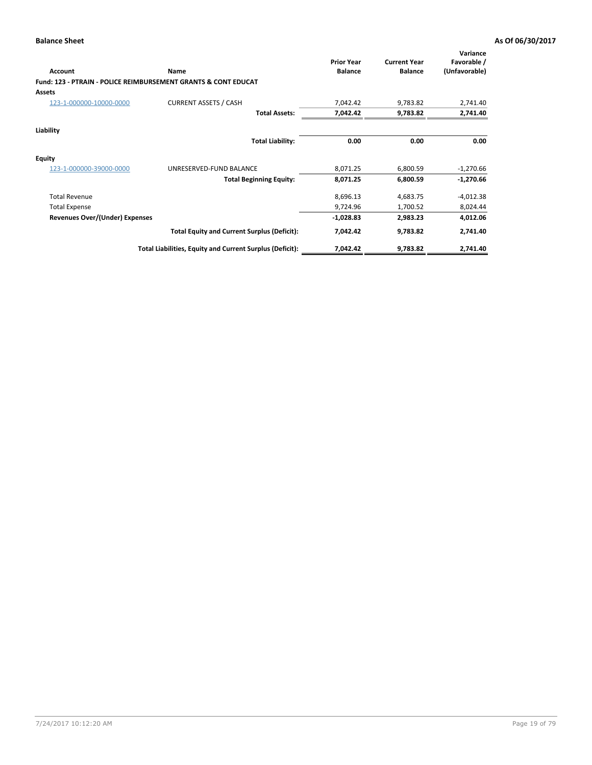| Account                        | Name                                                                      | <b>Prior Year</b><br><b>Balance</b> | <b>Current Year</b><br><b>Balance</b> | Variance<br>Favorable /<br>(Unfavorable) |
|--------------------------------|---------------------------------------------------------------------------|-------------------------------------|---------------------------------------|------------------------------------------|
|                                | <b>Fund: 123 - PTRAIN - POLICE REIMBURSEMENT GRANTS &amp; CONT EDUCAT</b> |                                     |                                       |                                          |
| Assets                         |                                                                           |                                     |                                       |                                          |
| 123-1-000000-10000-0000        | <b>CURRENT ASSETS / CASH</b>                                              | 7,042.42                            | 9,783.82                              | 2,741.40                                 |
|                                | <b>Total Assets:</b>                                                      | 7,042.42                            | 9,783.82                              | 2,741.40                                 |
| Liability                      |                                                                           |                                     |                                       |                                          |
|                                | <b>Total Liability:</b>                                                   | 0.00                                | 0.00                                  | 0.00                                     |
| <b>Equity</b>                  |                                                                           |                                     |                                       |                                          |
| 123-1-000000-39000-0000        | UNRESERVED-FUND BALANCE                                                   | 8,071.25                            | 6,800.59                              | $-1,270.66$                              |
|                                | <b>Total Beginning Equity:</b>                                            | 8,071.25                            | 6,800.59                              | $-1,270.66$                              |
| <b>Total Revenue</b>           |                                                                           | 8,696.13                            | 4,683.75                              | $-4,012.38$                              |
| <b>Total Expense</b>           |                                                                           | 9,724.96                            | 1,700.52                              | 8,024.44                                 |
| Revenues Over/(Under) Expenses |                                                                           | $-1,028.83$                         | 2,983.23                              | 4,012.06                                 |
|                                | <b>Total Equity and Current Surplus (Deficit):</b>                        | 7,042.42                            | 9,783.82                              | 2,741.40                                 |
|                                | Total Liabilities, Equity and Current Surplus (Deficit):                  | 7,042.42                            | 9,783.82                              | 2,741.40                                 |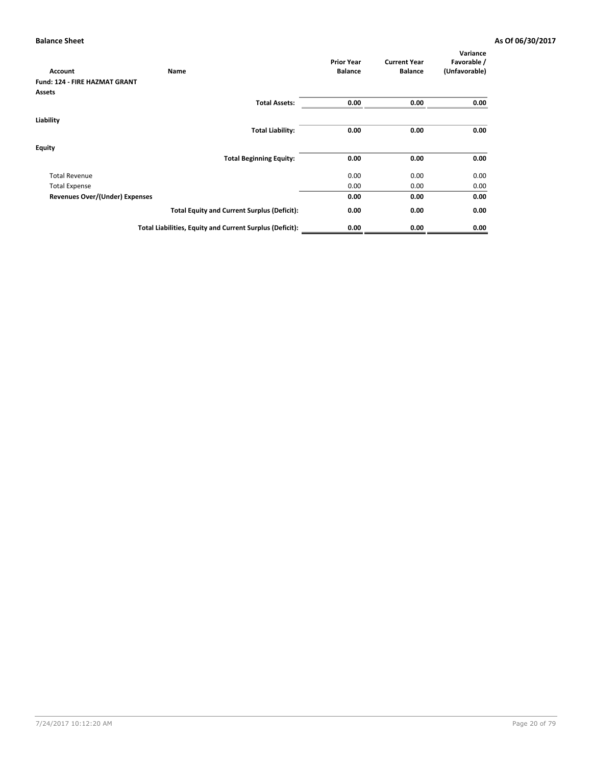|                                       |                                                          | <b>Prior Year</b> | <b>Current Year</b> | Variance<br>Favorable / |
|---------------------------------------|----------------------------------------------------------|-------------------|---------------------|-------------------------|
| <b>Account</b>                        | Name                                                     | <b>Balance</b>    | <b>Balance</b>      | (Unfavorable)           |
| <b>Fund: 124 - FIRE HAZMAT GRANT</b>  |                                                          |                   |                     |                         |
| <b>Assets</b>                         |                                                          |                   |                     |                         |
|                                       | <b>Total Assets:</b>                                     | 0.00              | 0.00                | 0.00                    |
| Liability                             |                                                          |                   |                     |                         |
|                                       | <b>Total Liability:</b>                                  | 0.00              | 0.00                | 0.00                    |
| Equity                                |                                                          |                   |                     |                         |
|                                       | <b>Total Beginning Equity:</b>                           | 0.00              | 0.00                | 0.00                    |
| <b>Total Revenue</b>                  |                                                          | 0.00              | 0.00                | 0.00                    |
| <b>Total Expense</b>                  |                                                          | 0.00              | 0.00                | 0.00                    |
| <b>Revenues Over/(Under) Expenses</b> |                                                          | 0.00              | 0.00                | 0.00                    |
|                                       | <b>Total Equity and Current Surplus (Deficit):</b>       | 0.00              | 0.00                | 0.00                    |
|                                       | Total Liabilities, Equity and Current Surplus (Deficit): | 0.00              | 0.00                | 0.00                    |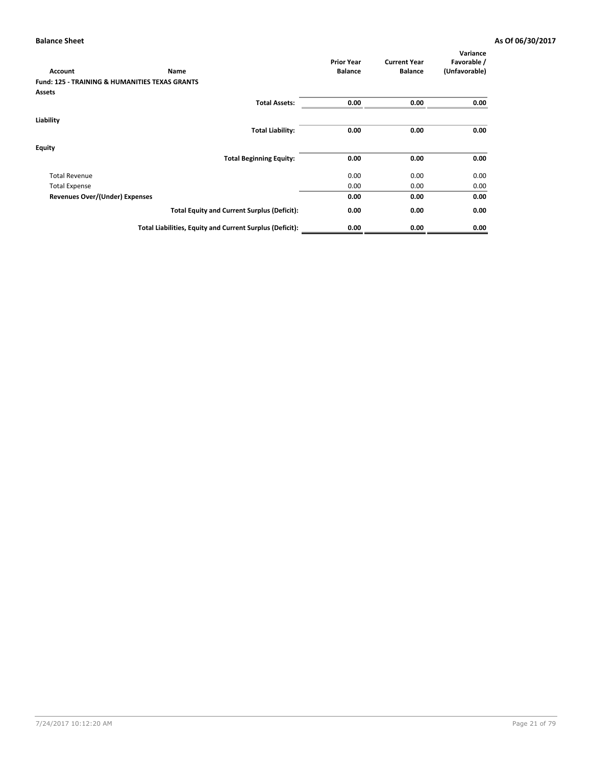| <b>Account</b>                                            | Name                                                     | <b>Prior Year</b><br><b>Balance</b> | <b>Current Year</b><br><b>Balance</b> | Variance<br>Favorable /<br>(Unfavorable) |
|-----------------------------------------------------------|----------------------------------------------------------|-------------------------------------|---------------------------------------|------------------------------------------|
| <b>Fund: 125 - TRAINING &amp; HUMANITIES TEXAS GRANTS</b> |                                                          |                                     |                                       |                                          |
| Assets                                                    |                                                          |                                     |                                       |                                          |
|                                                           | <b>Total Assets:</b>                                     | 0.00                                | 0.00                                  | 0.00                                     |
| Liability                                                 |                                                          |                                     |                                       |                                          |
|                                                           | <b>Total Liability:</b>                                  | 0.00                                | 0.00                                  | 0.00                                     |
| Equity                                                    |                                                          |                                     |                                       |                                          |
|                                                           | <b>Total Beginning Equity:</b>                           | 0.00                                | 0.00                                  | 0.00                                     |
| <b>Total Revenue</b>                                      |                                                          | 0.00                                | 0.00                                  | 0.00                                     |
| <b>Total Expense</b>                                      |                                                          | 0.00                                | 0.00                                  | 0.00                                     |
| <b>Revenues Over/(Under) Expenses</b>                     |                                                          | 0.00                                | 0.00                                  | 0.00                                     |
|                                                           | <b>Total Equity and Current Surplus (Deficit):</b>       | 0.00                                | 0.00                                  | 0.00                                     |
|                                                           | Total Liabilities, Equity and Current Surplus (Deficit): | 0.00                                | 0.00                                  | 0.00                                     |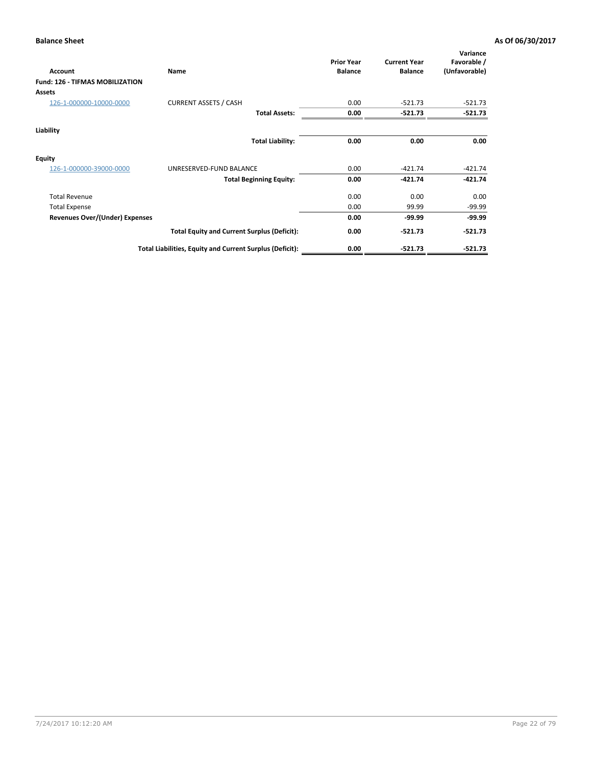| Account                                | Name                                                     | <b>Prior Year</b><br><b>Balance</b> | <b>Current Year</b><br><b>Balance</b> | Variance<br>Favorable /<br>(Unfavorable) |
|----------------------------------------|----------------------------------------------------------|-------------------------------------|---------------------------------------|------------------------------------------|
| <b>Fund: 126 - TIFMAS MOBILIZATION</b> |                                                          |                                     |                                       |                                          |
| Assets                                 |                                                          |                                     |                                       |                                          |
| 126-1-000000-10000-0000                | <b>CURRENT ASSETS / CASH</b>                             | 0.00                                | $-521.73$                             | $-521.73$                                |
|                                        | <b>Total Assets:</b>                                     | 0.00                                | $-521.73$                             | $-521.73$                                |
| Liability                              |                                                          |                                     |                                       |                                          |
|                                        | <b>Total Liability:</b>                                  | 0.00                                | 0.00                                  | 0.00                                     |
| <b>Equity</b>                          |                                                          |                                     |                                       |                                          |
| 126-1-000000-39000-0000                | UNRESERVED-FUND BALANCE                                  | 0.00                                | $-421.74$                             | $-421.74$                                |
|                                        | <b>Total Beginning Equity:</b>                           | 0.00                                | $-421.74$                             | $-421.74$                                |
| <b>Total Revenue</b>                   |                                                          | 0.00                                | 0.00                                  | 0.00                                     |
| <b>Total Expense</b>                   |                                                          | 0.00                                | 99.99                                 | $-99.99$                                 |
| Revenues Over/(Under) Expenses         |                                                          | 0.00                                | $-99.99$                              | $-99.99$                                 |
|                                        | <b>Total Equity and Current Surplus (Deficit):</b>       | 0.00                                | $-521.73$                             | -521.73                                  |
|                                        | Total Liabilities, Equity and Current Surplus (Deficit): | 0.00                                | $-521.73$                             | $-521.73$                                |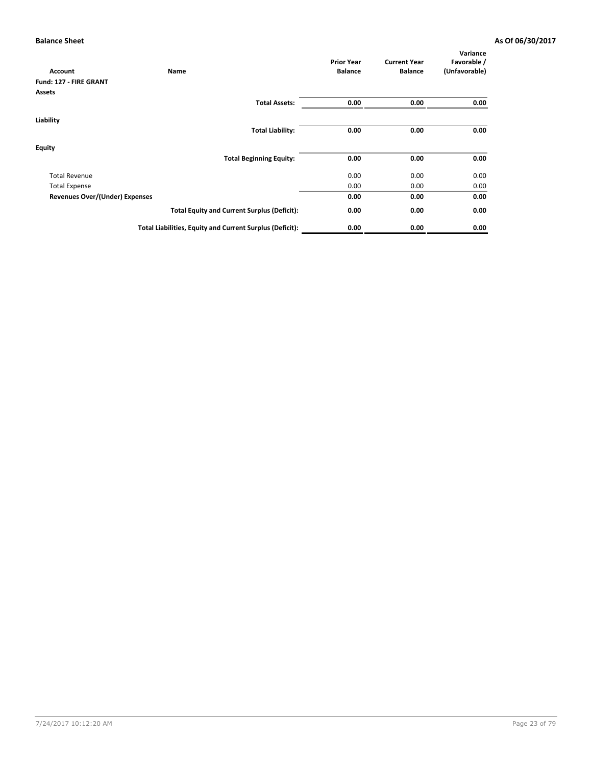|                                | Name                                                     | <b>Prior Year</b> | <b>Current Year</b> | Variance<br>Favorable / |
|--------------------------------|----------------------------------------------------------|-------------------|---------------------|-------------------------|
| Account                        |                                                          | <b>Balance</b>    | <b>Balance</b>      | (Unfavorable)           |
| Fund: 127 - FIRE GRANT         |                                                          |                   |                     |                         |
| Assets                         |                                                          |                   |                     |                         |
|                                | <b>Total Assets:</b>                                     | 0.00              | 0.00                | 0.00                    |
|                                |                                                          |                   |                     |                         |
| Liability                      |                                                          |                   |                     |                         |
|                                | <b>Total Liability:</b>                                  | 0.00              | 0.00                | 0.00                    |
| <b>Equity</b>                  |                                                          |                   |                     |                         |
|                                | <b>Total Beginning Equity:</b>                           | 0.00              | 0.00                | 0.00                    |
| <b>Total Revenue</b>           |                                                          | 0.00              | 0.00                | 0.00                    |
| <b>Total Expense</b>           |                                                          | 0.00              | 0.00                | 0.00                    |
| Revenues Over/(Under) Expenses |                                                          | 0.00              | 0.00                | 0.00                    |
|                                | <b>Total Equity and Current Surplus (Deficit):</b>       | 0.00              | 0.00                | 0.00                    |
|                                | Total Liabilities, Equity and Current Surplus (Deficit): | 0.00              | 0.00                | 0.00                    |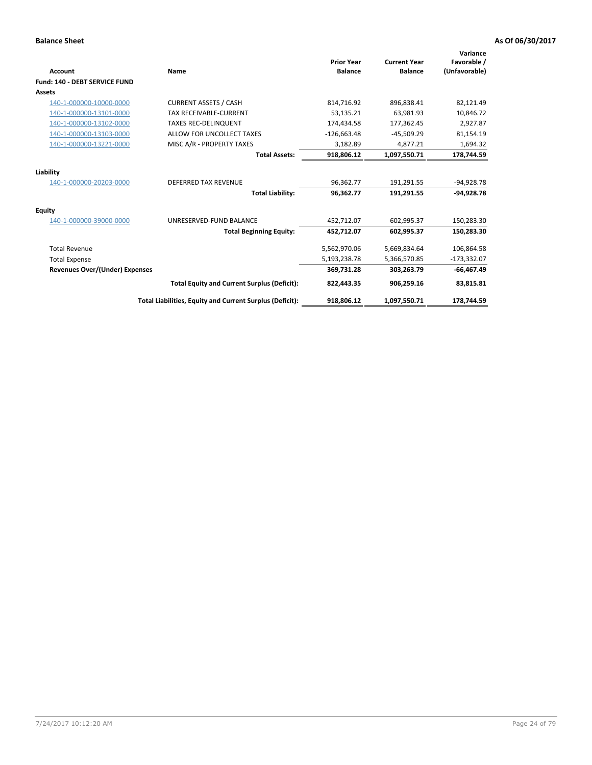| <b>Account</b>                        | Name                                                     | <b>Prior Year</b><br><b>Balance</b> | <b>Current Year</b><br><b>Balance</b> | Variance<br>Favorable /<br>(Unfavorable) |
|---------------------------------------|----------------------------------------------------------|-------------------------------------|---------------------------------------|------------------------------------------|
| Fund: 140 - DEBT SERVICE FUND         |                                                          |                                     |                                       |                                          |
| Assets                                |                                                          |                                     |                                       |                                          |
| 140-1-000000-10000-0000               | <b>CURRENT ASSETS / CASH</b>                             | 814,716.92                          | 896,838.41                            | 82,121.49                                |
| 140-1-000000-13101-0000               | <b>TAX RECEIVABLE-CURRENT</b>                            | 53,135.21                           | 63,981.93                             | 10,846.72                                |
| 140-1-000000-13102-0000               | <b>TAXES REC-DELINQUENT</b>                              | 174,434.58                          | 177,362.45                            | 2,927.87                                 |
| 140-1-000000-13103-0000               | ALLOW FOR UNCOLLECT TAXES                                | $-126,663.48$                       | $-45,509.29$                          | 81,154.19                                |
| 140-1-000000-13221-0000               | MISC A/R - PROPERTY TAXES                                | 3,182.89                            | 4,877.21                              | 1,694.32                                 |
|                                       | <b>Total Assets:</b>                                     | 918,806.12                          | 1,097,550.71                          | 178,744.59                               |
| Liability                             |                                                          |                                     |                                       |                                          |
| 140-1-000000-20203-0000               | <b>DEFERRED TAX REVENUE</b>                              | 96.362.77                           | 191,291.55                            | $-94,928.78$                             |
|                                       | <b>Total Liability:</b>                                  | 96,362.77                           | 191,291.55                            | $-94.928.78$                             |
| Equity                                |                                                          |                                     |                                       |                                          |
| 140-1-000000-39000-0000               | UNRESERVED-FUND BALANCE                                  | 452,712.07                          | 602,995.37                            | 150,283.30                               |
|                                       | <b>Total Beginning Equity:</b>                           | 452,712.07                          | 602.995.37                            | 150,283.30                               |
| <b>Total Revenue</b>                  |                                                          | 5,562,970.06                        | 5,669,834.64                          | 106,864.58                               |
| <b>Total Expense</b>                  |                                                          | 5,193,238.78                        | 5,366,570.85                          | $-173,332.07$                            |
| <b>Revenues Over/(Under) Expenses</b> |                                                          | 369,731.28                          | 303,263.79                            | $-66,467.49$                             |
|                                       | <b>Total Equity and Current Surplus (Deficit):</b>       | 822,443.35                          | 906,259.16                            | 83,815.81                                |
|                                       | Total Liabilities, Equity and Current Surplus (Deficit): | 918,806.12                          | 1,097,550.71                          | 178,744.59                               |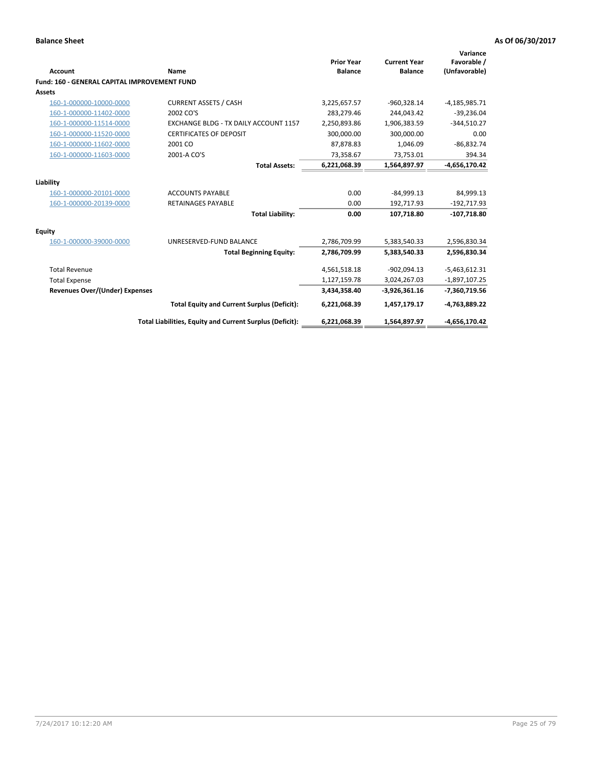| Account                                             | Name                                                     | <b>Prior Year</b><br><b>Balance</b> | <b>Current Year</b><br><b>Balance</b> | Variance<br>Favorable /<br>(Unfavorable) |
|-----------------------------------------------------|----------------------------------------------------------|-------------------------------------|---------------------------------------|------------------------------------------|
| <b>Fund: 160 - GENERAL CAPITAL IMPROVEMENT FUND</b> |                                                          |                                     |                                       |                                          |
| Assets                                              |                                                          |                                     |                                       |                                          |
| 160-1-000000-10000-0000                             | <b>CURRENT ASSETS / CASH</b>                             | 3,225,657.57                        | $-960,328.14$                         | $-4,185,985.71$                          |
| 160-1-000000-11402-0000                             | 2002 CO'S                                                | 283,279.46                          | 244.043.42                            | $-39,236.04$                             |
| 160-1-000000-11514-0000                             | <b>EXCHANGE BLDG - TX DAILY ACCOUNT 1157</b>             | 2,250,893.86                        | 1,906,383.59                          | $-344,510.27$                            |
| 160-1-000000-11520-0000                             | <b>CERTIFICATES OF DEPOSIT</b>                           | 300,000.00                          | 300,000.00                            | 0.00                                     |
| 160-1-000000-11602-0000                             | 2001 CO                                                  | 87,878.83                           | 1,046.09                              | $-86,832.74$                             |
| 160-1-000000-11603-0000                             | 2001-A CO'S                                              | 73,358.67                           | 73,753.01                             | 394.34                                   |
|                                                     | <b>Total Assets:</b>                                     | 6,221,068.39                        | 1,564,897.97                          | $-4,656,170.42$                          |
| Liability                                           |                                                          |                                     |                                       |                                          |
| 160-1-000000-20101-0000                             | <b>ACCOUNTS PAYABLE</b>                                  | 0.00                                | $-84,999.13$                          | 84,999.13                                |
| 160-1-000000-20139-0000                             | <b>RETAINAGES PAYABLE</b>                                | 0.00                                | 192,717.93                            | $-192,717.93$                            |
|                                                     | <b>Total Liability:</b>                                  | 0.00                                | 107,718.80                            | $-107,718.80$                            |
| <b>Equity</b>                                       |                                                          |                                     |                                       |                                          |
| 160-1-000000-39000-0000                             | UNRESERVED-FUND BALANCE                                  | 2,786,709.99                        | 5,383,540.33                          | 2,596,830.34                             |
|                                                     | <b>Total Beginning Equity:</b>                           | 2,786,709.99                        | 5,383,540.33                          | 2,596,830.34                             |
| <b>Total Revenue</b>                                |                                                          | 4,561,518.18                        | $-902.094.13$                         | $-5,463,612.31$                          |
| <b>Total Expense</b>                                |                                                          | 1,127,159.78                        | 3,024,267.03                          | $-1,897,107.25$                          |
| <b>Revenues Over/(Under) Expenses</b>               |                                                          | 3,434,358.40                        | $-3,926,361.16$                       | -7,360,719.56                            |
|                                                     | <b>Total Equity and Current Surplus (Deficit):</b>       | 6,221,068.39                        | 1,457,179.17                          | $-4,763,889.22$                          |
|                                                     | Total Liabilities, Equity and Current Surplus (Deficit): | 6,221,068.39                        | 1,564,897.97                          | -4,656,170.42                            |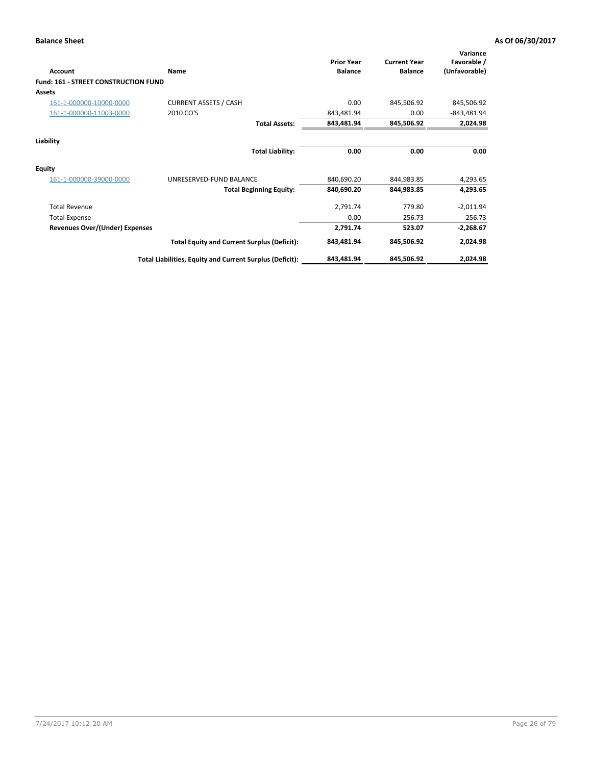| Account                              | Name                                                     | <b>Prior Year</b><br><b>Balance</b> | <b>Current Year</b><br><b>Balance</b> | Variance<br>Favorable /<br>(Unfavorable) |
|--------------------------------------|----------------------------------------------------------|-------------------------------------|---------------------------------------|------------------------------------------|
| Fund: 161 - STREET CONSTRUCTION FUND |                                                          |                                     |                                       |                                          |
| <b>Assets</b>                        |                                                          |                                     |                                       |                                          |
| 161-1-000000-10000-0000              | <b>CURRENT ASSETS / CASH</b>                             | 0.00                                | 845,506.92                            | 845,506.92                               |
| 161-1-000000-11003-0000              | 2010 CO'S                                                | 843,481.94                          | 0.00                                  | $-843,481.94$                            |
|                                      | <b>Total Assets:</b>                                     | 843,481.94                          | 845,506.92                            | 2,024.98                                 |
| Liability                            |                                                          |                                     |                                       |                                          |
|                                      | <b>Total Liability:</b>                                  | 0.00                                | 0.00                                  | 0.00                                     |
| Equity                               |                                                          |                                     |                                       |                                          |
| 161-1-000000-39000-0000              | UNRESERVED-FUND BALANCE                                  | 840,690.20                          | 844,983.85                            | 4,293.65                                 |
|                                      | <b>Total Beginning Equity:</b>                           | 840,690.20                          | 844,983.85                            | 4,293.65                                 |
| <b>Total Revenue</b>                 |                                                          | 2,791.74                            | 779.80                                | $-2,011.94$                              |
| <b>Total Expense</b>                 |                                                          | 0.00                                | 256.73                                | $-256.73$                                |
| Revenues Over/(Under) Expenses       |                                                          | 2,791.74                            | 523.07                                | $-2,268.67$                              |
|                                      | <b>Total Equity and Current Surplus (Deficit):</b>       | 843,481.94                          | 845,506.92                            | 2,024.98                                 |
|                                      | Total Liabilities, Equity and Current Surplus (Deficit): | 843,481.94                          | 845,506.92                            | 2,024.98                                 |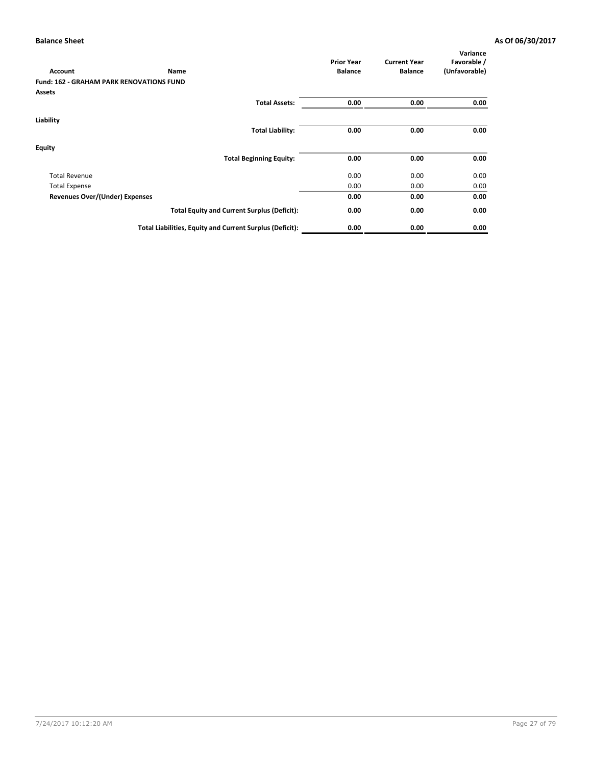| <b>Account</b>                                  | Name                                                     | <b>Prior Year</b><br><b>Balance</b> | <b>Current Year</b><br><b>Balance</b> | Variance<br>Favorable /<br>(Unfavorable) |
|-------------------------------------------------|----------------------------------------------------------|-------------------------------------|---------------------------------------|------------------------------------------|
| <b>Fund: 162 - GRAHAM PARK RENOVATIONS FUND</b> |                                                          |                                     |                                       |                                          |
| <b>Assets</b>                                   |                                                          |                                     |                                       |                                          |
|                                                 | <b>Total Assets:</b>                                     | 0.00                                | 0.00                                  | 0.00                                     |
| Liability                                       |                                                          |                                     |                                       |                                          |
|                                                 | <b>Total Liability:</b>                                  | 0.00                                | 0.00                                  | 0.00                                     |
| Equity                                          |                                                          |                                     |                                       |                                          |
|                                                 | <b>Total Beginning Equity:</b>                           | 0.00                                | 0.00                                  | 0.00                                     |
| <b>Total Revenue</b>                            |                                                          | 0.00                                | 0.00                                  | 0.00                                     |
| <b>Total Expense</b>                            |                                                          | 0.00                                | 0.00                                  | 0.00                                     |
| <b>Revenues Over/(Under) Expenses</b>           |                                                          | 0.00                                | 0.00                                  | 0.00                                     |
|                                                 | <b>Total Equity and Current Surplus (Deficit):</b>       | 0.00                                | 0.00                                  | 0.00                                     |
|                                                 | Total Liabilities, Equity and Current Surplus (Deficit): | 0.00                                | 0.00                                  | 0.00                                     |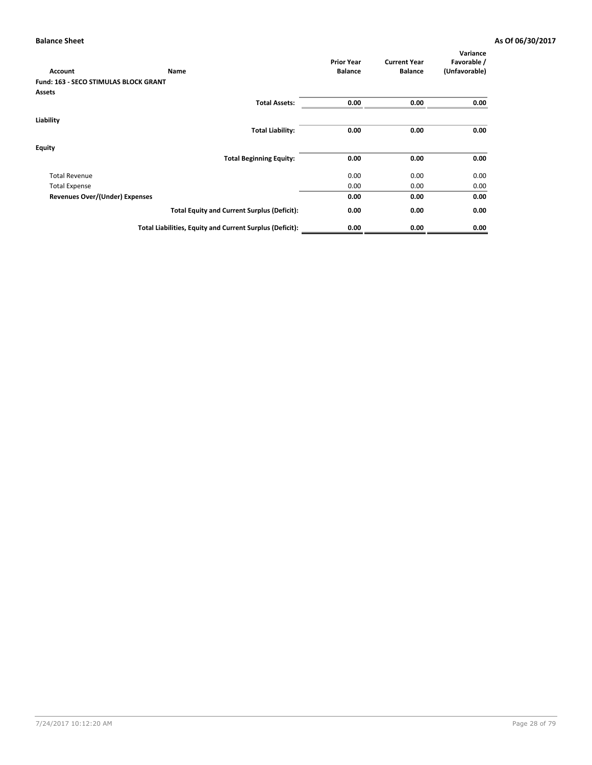| <b>Account</b>                               | Name                                                     | <b>Prior Year</b><br><b>Balance</b> | <b>Current Year</b><br><b>Balance</b> | Variance<br>Favorable /<br>(Unfavorable) |
|----------------------------------------------|----------------------------------------------------------|-------------------------------------|---------------------------------------|------------------------------------------|
| <b>Fund: 163 - SECO STIMULAS BLOCK GRANT</b> |                                                          |                                     |                                       |                                          |
| Assets                                       |                                                          |                                     |                                       |                                          |
|                                              | <b>Total Assets:</b>                                     | 0.00                                | 0.00                                  | 0.00                                     |
| Liability                                    |                                                          |                                     |                                       |                                          |
|                                              | <b>Total Liability:</b>                                  | 0.00                                | 0.00                                  | 0.00                                     |
| Equity                                       |                                                          |                                     |                                       |                                          |
|                                              | <b>Total Beginning Equity:</b>                           | 0.00                                | 0.00                                  | 0.00                                     |
| <b>Total Revenue</b>                         |                                                          | 0.00                                | 0.00                                  | 0.00                                     |
| <b>Total Expense</b>                         |                                                          | 0.00                                | 0.00                                  | 0.00                                     |
| Revenues Over/(Under) Expenses               |                                                          | 0.00                                | 0.00                                  | 0.00                                     |
|                                              | <b>Total Equity and Current Surplus (Deficit):</b>       | 0.00                                | 0.00                                  | 0.00                                     |
|                                              | Total Liabilities, Equity and Current Surplus (Deficit): | 0.00                                | 0.00                                  | 0.00                                     |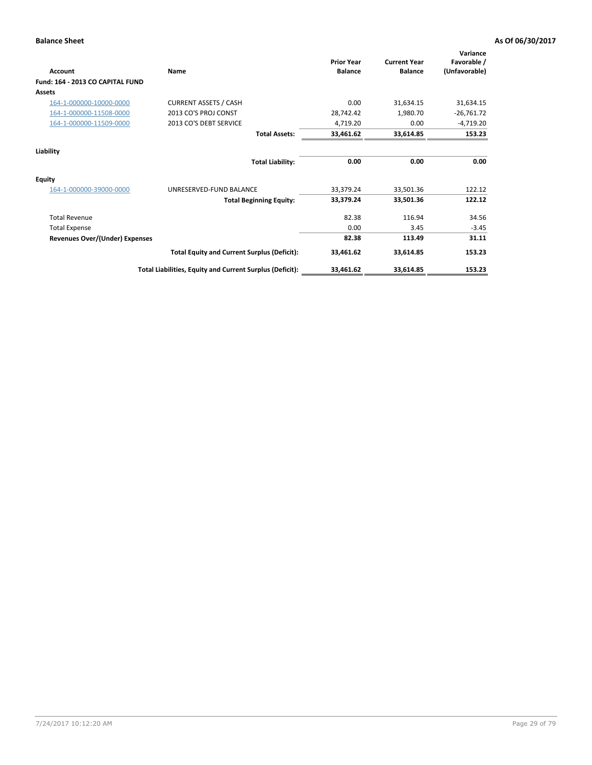| Account                          | Name                                                     | <b>Prior Year</b><br><b>Balance</b> | <b>Current Year</b><br><b>Balance</b> | Variance<br>Favorable /<br>(Unfavorable) |
|----------------------------------|----------------------------------------------------------|-------------------------------------|---------------------------------------|------------------------------------------|
| Fund: 164 - 2013 CO CAPITAL FUND |                                                          |                                     |                                       |                                          |
| Assets                           |                                                          |                                     |                                       |                                          |
| 164-1-000000-10000-0000          | <b>CURRENT ASSETS / CASH</b>                             | 0.00                                | 31,634.15                             | 31,634.15                                |
| 164-1-000000-11508-0000          | 2013 CO'S PROJ CONST                                     | 28,742.42                           | 1,980.70                              | $-26,761.72$                             |
| 164-1-000000-11509-0000          | 2013 CO'S DEBT SERVICE                                   | 4,719.20                            | 0.00                                  | $-4,719.20$                              |
|                                  | <b>Total Assets:</b>                                     | 33,461.62                           | 33,614.85                             | 153.23                                   |
| Liability                        |                                                          |                                     |                                       |                                          |
|                                  | <b>Total Liability:</b>                                  | 0.00                                | 0.00                                  | 0.00                                     |
| Equity                           |                                                          |                                     |                                       |                                          |
| 164-1-000000-39000-0000          | UNRESERVED-FUND BALANCE                                  | 33,379.24                           | 33,501.36                             | 122.12                                   |
|                                  | <b>Total Beginning Equity:</b>                           | 33,379.24                           | 33,501.36                             | 122.12                                   |
| <b>Total Revenue</b>             |                                                          | 82.38                               | 116.94                                | 34.56                                    |
| <b>Total Expense</b>             |                                                          | 0.00                                | 3.45                                  | $-3.45$                                  |
| Revenues Over/(Under) Expenses   |                                                          | 82.38                               | 113.49                                | 31.11                                    |
|                                  | <b>Total Equity and Current Surplus (Deficit):</b>       | 33,461.62                           | 33,614.85                             | 153.23                                   |
|                                  | Total Liabilities, Equity and Current Surplus (Deficit): | 33,461.62                           | 33,614.85                             | 153.23                                   |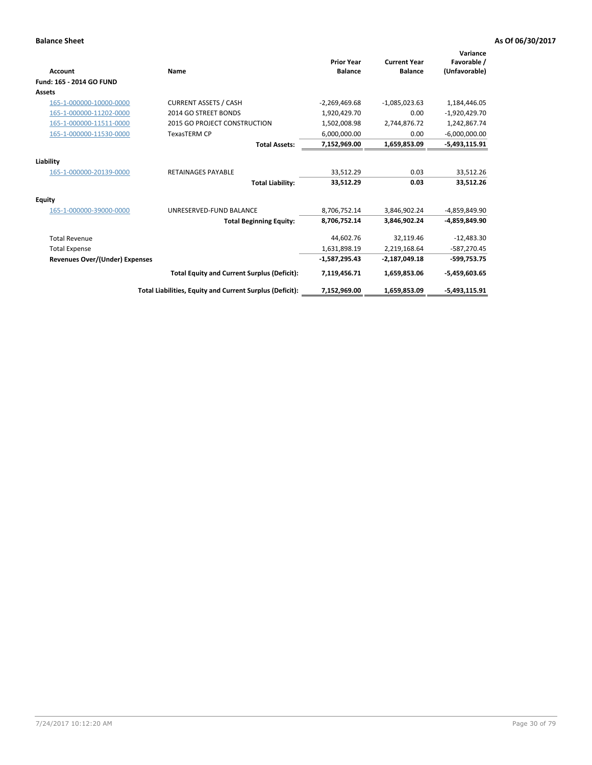| <b>Account</b>                        | Name                                                     | <b>Prior Year</b><br><b>Balance</b> | <b>Current Year</b><br><b>Balance</b> | Variance<br>Favorable /<br>(Unfavorable) |
|---------------------------------------|----------------------------------------------------------|-------------------------------------|---------------------------------------|------------------------------------------|
| Fund: 165 - 2014 GO FUND              |                                                          |                                     |                                       |                                          |
| Assets                                |                                                          |                                     |                                       |                                          |
| 165-1-000000-10000-0000               | <b>CURRENT ASSETS / CASH</b>                             | $-2,269,469.68$                     | $-1,085,023.63$                       | 1,184,446.05                             |
| 165-1-000000-11202-0000               | 2014 GO STREET BONDS                                     | 1,920,429.70                        | 0.00                                  | $-1,920,429.70$                          |
| 165-1-000000-11511-0000               | 2015 GO PROJECT CONSTRUCTION                             | 1,502,008.98                        | 2,744,876.72                          | 1,242,867.74                             |
| 165-1-000000-11530-0000               | <b>TexasTERM CP</b>                                      | 6,000,000.00                        | 0.00                                  | $-6,000,000.00$                          |
|                                       | <b>Total Assets:</b>                                     | 7,152,969.00                        | 1,659,853.09                          | $-5,493,115.91$                          |
| Liability                             |                                                          |                                     |                                       |                                          |
| 165-1-000000-20139-0000               | <b>RETAINAGES PAYABLE</b>                                | 33,512.29                           | 0.03                                  | 33,512.26                                |
|                                       | <b>Total Liability:</b>                                  | 33,512.29                           | 0.03                                  | 33,512.26                                |
| Equity                                |                                                          |                                     |                                       |                                          |
| 165-1-000000-39000-0000               | UNRESERVED-FUND BALANCE                                  | 8,706,752.14                        | 3,846,902.24                          | -4,859,849.90                            |
|                                       | <b>Total Beginning Equity:</b>                           | 8,706,752.14                        | 3,846,902.24                          | -4,859,849.90                            |
| <b>Total Revenue</b>                  |                                                          | 44,602.76                           | 32,119.46                             | $-12,483.30$                             |
| <b>Total Expense</b>                  |                                                          | 1,631,898.19                        | 2,219,168.64                          | $-587,270.45$                            |
| <b>Revenues Over/(Under) Expenses</b> |                                                          | $-1,587,295.43$                     | $-2,187,049.18$                       | $-599,753.75$                            |
|                                       | <b>Total Equity and Current Surplus (Deficit):</b>       | 7,119,456.71                        | 1,659,853.06                          | $-5,459,603.65$                          |
|                                       | Total Liabilities, Equity and Current Surplus (Deficit): | 7,152,969.00                        | 1,659,853.09                          | $-5,493,115.91$                          |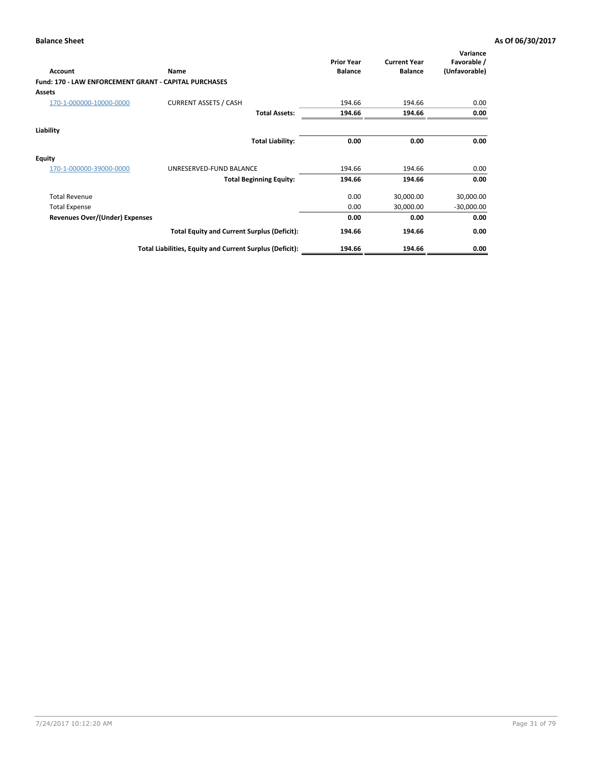| <b>Account</b>                                               | Name                                                     | <b>Prior Year</b><br><b>Balance</b> | <b>Current Year</b><br><b>Balance</b> | Variance<br>Favorable /<br>(Unfavorable) |
|--------------------------------------------------------------|----------------------------------------------------------|-------------------------------------|---------------------------------------|------------------------------------------|
| <b>Fund: 170 - LAW ENFORCEMENT GRANT - CAPITAL PURCHASES</b> |                                                          |                                     |                                       |                                          |
| <b>Assets</b>                                                |                                                          |                                     |                                       |                                          |
| 170-1-000000-10000-0000                                      | <b>CURRENT ASSETS / CASH</b>                             | 194.66                              | 194.66                                | 0.00                                     |
|                                                              | <b>Total Assets:</b>                                     | 194.66                              | 194.66                                | 0.00                                     |
| Liability                                                    |                                                          |                                     |                                       |                                          |
|                                                              | <b>Total Liability:</b>                                  | 0.00                                | 0.00                                  | 0.00                                     |
| <b>Equity</b>                                                |                                                          |                                     |                                       |                                          |
| 170-1-000000-39000-0000                                      | UNRESERVED-FUND BALANCE                                  | 194.66                              | 194.66                                | 0.00                                     |
|                                                              | <b>Total Beginning Equity:</b>                           | 194.66                              | 194.66                                | 0.00                                     |
| <b>Total Revenue</b>                                         |                                                          | 0.00                                | 30,000.00                             | 30,000.00                                |
| <b>Total Expense</b>                                         |                                                          | 0.00                                | 30,000.00                             | $-30,000.00$                             |
| Revenues Over/(Under) Expenses                               |                                                          | 0.00                                | 0.00                                  | 0.00                                     |
|                                                              | <b>Total Equity and Current Surplus (Deficit):</b>       | 194.66                              | 194.66                                | 0.00                                     |
|                                                              | Total Liabilities, Equity and Current Surplus (Deficit): | 194.66                              | 194.66                                | 0.00                                     |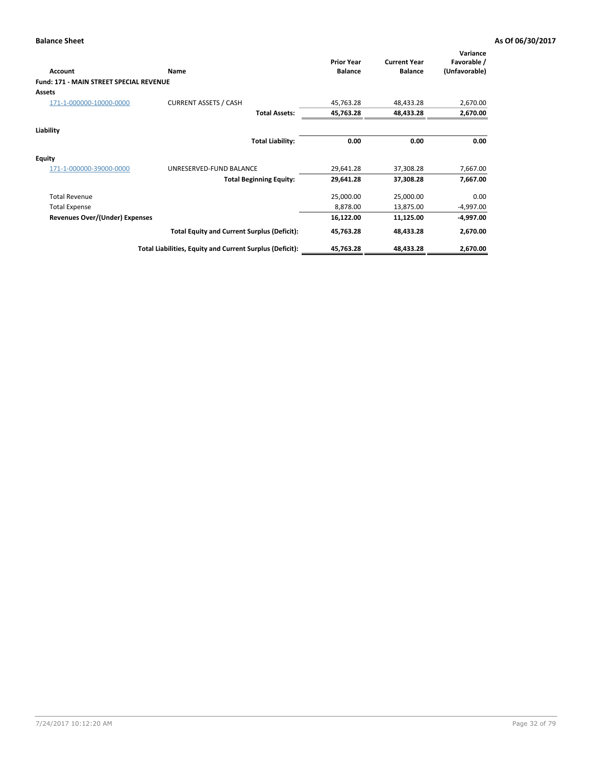| Account                                 | Name                                                     | <b>Prior Year</b><br><b>Balance</b> | <b>Current Year</b><br><b>Balance</b> | Variance<br>Favorable /<br>(Unfavorable) |
|-----------------------------------------|----------------------------------------------------------|-------------------------------------|---------------------------------------|------------------------------------------|
| Fund: 171 - MAIN STREET SPECIAL REVENUE |                                                          |                                     |                                       |                                          |
| <b>Assets</b>                           |                                                          |                                     |                                       |                                          |
| 171-1-000000-10000-0000                 | <b>CURRENT ASSETS / CASH</b>                             | 45,763.28                           | 48,433.28                             | 2,670.00                                 |
|                                         | <b>Total Assets:</b>                                     | 45,763.28                           | 48,433.28                             | 2,670.00                                 |
| Liability                               |                                                          |                                     |                                       |                                          |
|                                         | <b>Total Liability:</b>                                  | 0.00                                | 0.00                                  | 0.00                                     |
| <b>Equity</b>                           |                                                          |                                     |                                       |                                          |
| 171-1-000000-39000-0000                 | UNRESERVED-FUND BALANCE                                  | 29,641.28                           | 37,308.28                             | 7,667.00                                 |
|                                         | <b>Total Beginning Equity:</b>                           | 29,641.28                           | 37,308.28                             | 7,667.00                                 |
| <b>Total Revenue</b>                    |                                                          | 25,000.00                           | 25,000.00                             | 0.00                                     |
| <b>Total Expense</b>                    |                                                          | 8,878.00                            | 13,875.00                             | $-4,997.00$                              |
| <b>Revenues Over/(Under) Expenses</b>   |                                                          | 16,122.00                           | 11,125.00                             | -4,997.00                                |
|                                         | <b>Total Equity and Current Surplus (Deficit):</b>       | 45,763.28                           | 48,433.28                             | 2,670.00                                 |
|                                         | Total Liabilities, Equity and Current Surplus (Deficit): | 45,763.28                           | 48,433.28                             | 2,670.00                                 |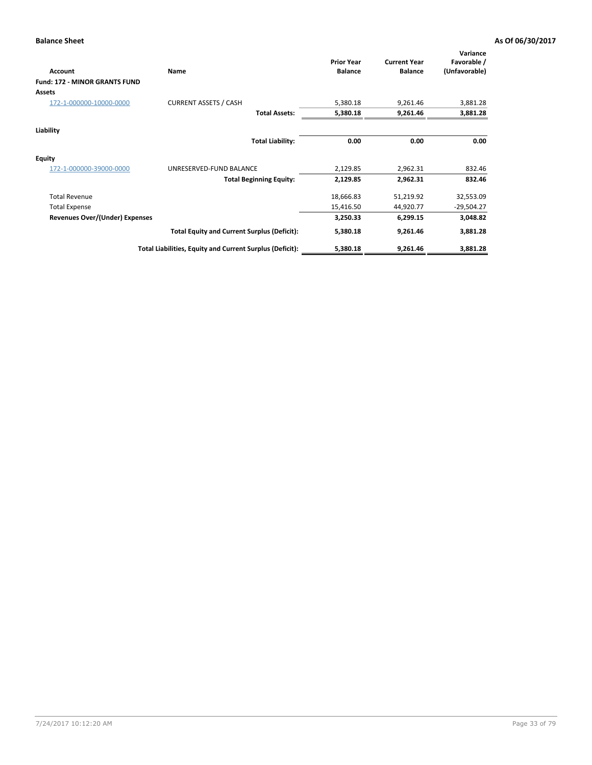| Account                        | Name                                                     | <b>Prior Year</b><br><b>Balance</b> | <b>Current Year</b><br><b>Balance</b> | Variance<br>Favorable /<br>(Unfavorable) |
|--------------------------------|----------------------------------------------------------|-------------------------------------|---------------------------------------|------------------------------------------|
| Fund: 172 - MINOR GRANTS FUND  |                                                          |                                     |                                       |                                          |
| <b>Assets</b>                  |                                                          |                                     |                                       |                                          |
| 172-1-000000-10000-0000        | <b>CURRENT ASSETS / CASH</b>                             | 5,380.18                            | 9,261.46                              | 3,881.28                                 |
|                                | <b>Total Assets:</b>                                     | 5,380.18                            | 9,261.46                              | 3,881.28                                 |
| Liability                      |                                                          |                                     |                                       |                                          |
|                                | <b>Total Liability:</b>                                  | 0.00                                | 0.00                                  | 0.00                                     |
| <b>Equity</b>                  |                                                          |                                     |                                       |                                          |
| 172-1-000000-39000-0000        | UNRESERVED-FUND BALANCE                                  | 2,129.85                            | 2,962.31                              | 832.46                                   |
|                                | <b>Total Beginning Equity:</b>                           | 2,129.85                            | 2,962.31                              | 832.46                                   |
| <b>Total Revenue</b>           |                                                          | 18,666.83                           | 51,219.92                             | 32,553.09                                |
| <b>Total Expense</b>           |                                                          | 15,416.50                           | 44,920.77                             | $-29,504.27$                             |
| Revenues Over/(Under) Expenses |                                                          | 3,250.33                            | 6,299.15                              | 3,048.82                                 |
|                                | <b>Total Equity and Current Surplus (Deficit):</b>       | 5,380.18                            | 9,261.46                              | 3,881.28                                 |
|                                | Total Liabilities, Equity and Current Surplus (Deficit): | 5,380.18                            | 9,261.46                              | 3,881.28                                 |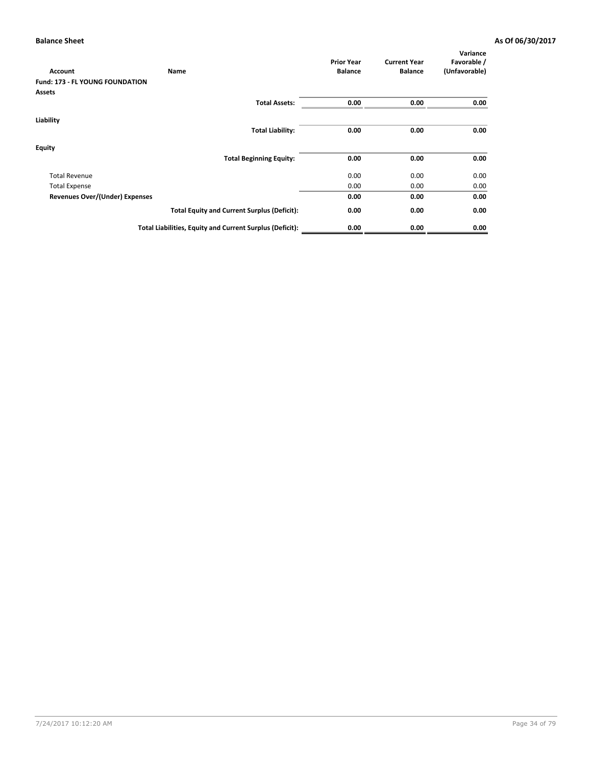| <b>Account</b>                         | Name                                                     | <b>Prior Year</b><br><b>Balance</b> | <b>Current Year</b><br><b>Balance</b> | Variance<br>Favorable /<br>(Unfavorable) |
|----------------------------------------|----------------------------------------------------------|-------------------------------------|---------------------------------------|------------------------------------------|
| <b>Fund: 173 - FL YOUNG FOUNDATION</b> |                                                          |                                     |                                       |                                          |
| <b>Assets</b>                          |                                                          |                                     |                                       |                                          |
|                                        | <b>Total Assets:</b>                                     | 0.00                                | 0.00                                  | 0.00                                     |
| Liability                              |                                                          |                                     |                                       |                                          |
|                                        | <b>Total Liability:</b>                                  | 0.00                                | 0.00                                  | 0.00                                     |
| Equity                                 |                                                          |                                     |                                       |                                          |
|                                        | <b>Total Beginning Equity:</b>                           | 0.00                                | 0.00                                  | 0.00                                     |
| <b>Total Revenue</b>                   |                                                          | 0.00                                | 0.00                                  | 0.00                                     |
| <b>Total Expense</b>                   |                                                          | 0.00                                | 0.00                                  | 0.00                                     |
| Revenues Over/(Under) Expenses         |                                                          | 0.00                                | 0.00                                  | 0.00                                     |
|                                        | <b>Total Equity and Current Surplus (Deficit):</b>       | 0.00                                | 0.00                                  | 0.00                                     |
|                                        | Total Liabilities, Equity and Current Surplus (Deficit): | 0.00                                | 0.00                                  | 0.00                                     |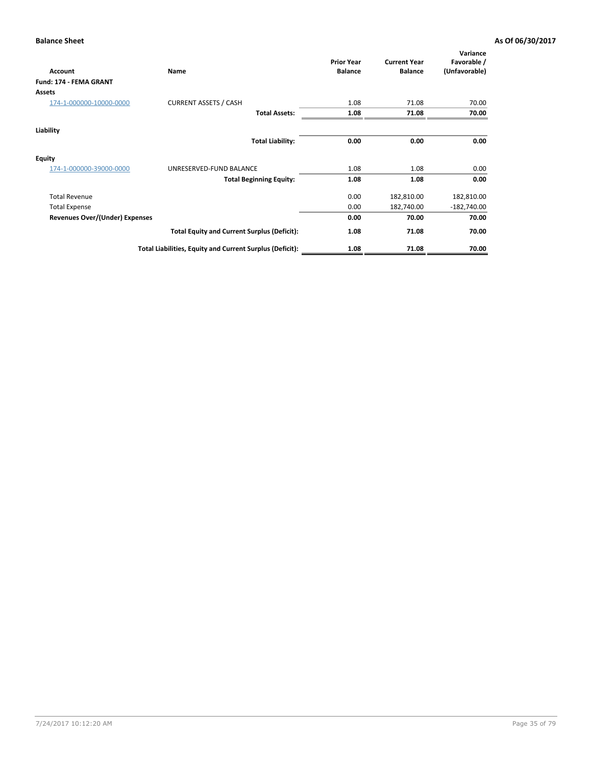| <b>Account</b>                 | Name                                                     | <b>Prior Year</b><br><b>Balance</b> | <b>Current Year</b><br><b>Balance</b> | Variance<br>Favorable /<br>(Unfavorable) |
|--------------------------------|----------------------------------------------------------|-------------------------------------|---------------------------------------|------------------------------------------|
| Fund: 174 - FEMA GRANT         |                                                          |                                     |                                       |                                          |
| <b>Assets</b>                  |                                                          |                                     |                                       |                                          |
| 174-1-000000-10000-0000        | <b>CURRENT ASSETS / CASH</b>                             | 1.08                                | 71.08                                 | 70.00                                    |
|                                | <b>Total Assets:</b>                                     | 1.08                                | 71.08                                 | 70.00                                    |
| Liability                      |                                                          |                                     |                                       |                                          |
|                                | <b>Total Liability:</b>                                  | 0.00                                | 0.00                                  | 0.00                                     |
| <b>Equity</b>                  |                                                          |                                     |                                       |                                          |
| 174-1-000000-39000-0000        | UNRESERVED-FUND BALANCE                                  | 1.08                                | 1.08                                  | 0.00                                     |
|                                | <b>Total Beginning Equity:</b>                           | 1.08                                | 1.08                                  | 0.00                                     |
| <b>Total Revenue</b>           |                                                          | 0.00                                | 182,810.00                            | 182,810.00                               |
| <b>Total Expense</b>           |                                                          | 0.00                                | 182,740.00                            | $-182,740.00$                            |
| Revenues Over/(Under) Expenses |                                                          | 0.00                                | 70.00                                 | 70.00                                    |
|                                | <b>Total Equity and Current Surplus (Deficit):</b>       | 1.08                                | 71.08                                 | 70.00                                    |
|                                | Total Liabilities, Equity and Current Surplus (Deficit): | 1.08                                | 71.08                                 | 70.00                                    |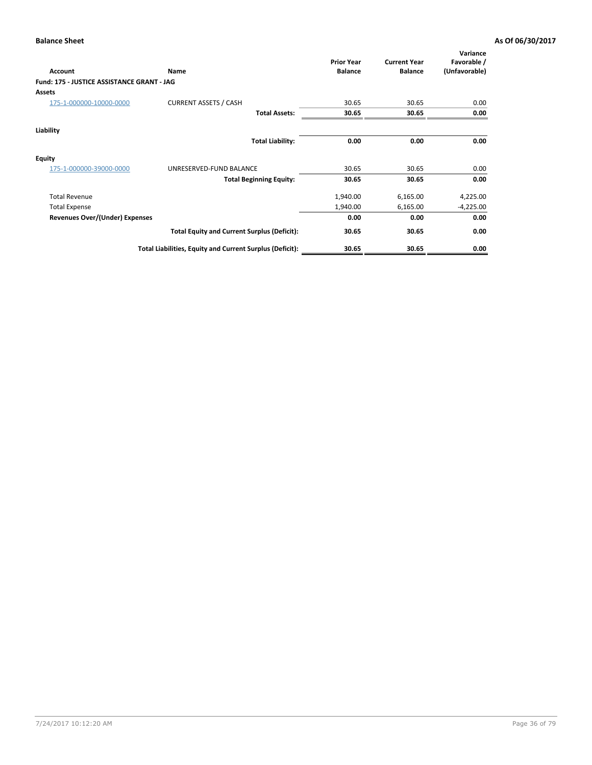| <b>Fund: 175 - JUSTICE ASSISTANCE GRANT - JAG</b><br>Assets<br><b>CURRENT ASSETS / CASH</b><br>175-1-000000-10000-0000<br>30.65<br>0.00<br>30.65<br><b>Total Assets:</b><br>30.65<br>30.65<br>0.00<br>Liability<br><b>Total Liability:</b><br>0.00<br>0.00<br>0.00<br>175-1-000000-39000-0000<br>UNRESERVED-FUND BALANCE<br>30.65<br>30.65<br>0.00<br>30.65<br>30.65<br>0.00<br><b>Total Beginning Equity:</b><br>4,225.00<br>1,940.00<br>6,165.00<br><b>Total Revenue</b><br>1,940.00<br><b>Total Expense</b><br>6,165.00<br>$-4,225.00$<br>Revenues Over/(Under) Expenses<br>0.00<br>0.00<br>0.00<br>0.00<br>30.65<br>30.65<br><b>Total Equity and Current Surplus (Deficit):</b><br>30.65<br>30.65<br>0.00<br>Total Liabilities, Equity and Current Surplus (Deficit): | Account       | Name | <b>Prior Year</b><br><b>Balance</b> | <b>Current Year</b><br><b>Balance</b> | Variance<br>Favorable /<br>(Unfavorable) |
|---------------------------------------------------------------------------------------------------------------------------------------------------------------------------------------------------------------------------------------------------------------------------------------------------------------------------------------------------------------------------------------------------------------------------------------------------------------------------------------------------------------------------------------------------------------------------------------------------------------------------------------------------------------------------------------------------------------------------------------------------------------------------|---------------|------|-------------------------------------|---------------------------------------|------------------------------------------|
|                                                                                                                                                                                                                                                                                                                                                                                                                                                                                                                                                                                                                                                                                                                                                                           |               |      |                                     |                                       |                                          |
|                                                                                                                                                                                                                                                                                                                                                                                                                                                                                                                                                                                                                                                                                                                                                                           |               |      |                                     |                                       |                                          |
|                                                                                                                                                                                                                                                                                                                                                                                                                                                                                                                                                                                                                                                                                                                                                                           |               |      |                                     |                                       |                                          |
|                                                                                                                                                                                                                                                                                                                                                                                                                                                                                                                                                                                                                                                                                                                                                                           |               |      |                                     |                                       |                                          |
|                                                                                                                                                                                                                                                                                                                                                                                                                                                                                                                                                                                                                                                                                                                                                                           |               |      |                                     |                                       |                                          |
|                                                                                                                                                                                                                                                                                                                                                                                                                                                                                                                                                                                                                                                                                                                                                                           |               |      |                                     |                                       |                                          |
|                                                                                                                                                                                                                                                                                                                                                                                                                                                                                                                                                                                                                                                                                                                                                                           | <b>Equity</b> |      |                                     |                                       |                                          |
|                                                                                                                                                                                                                                                                                                                                                                                                                                                                                                                                                                                                                                                                                                                                                                           |               |      |                                     |                                       |                                          |
|                                                                                                                                                                                                                                                                                                                                                                                                                                                                                                                                                                                                                                                                                                                                                                           |               |      |                                     |                                       |                                          |
|                                                                                                                                                                                                                                                                                                                                                                                                                                                                                                                                                                                                                                                                                                                                                                           |               |      |                                     |                                       |                                          |
|                                                                                                                                                                                                                                                                                                                                                                                                                                                                                                                                                                                                                                                                                                                                                                           |               |      |                                     |                                       |                                          |
|                                                                                                                                                                                                                                                                                                                                                                                                                                                                                                                                                                                                                                                                                                                                                                           |               |      |                                     |                                       |                                          |
|                                                                                                                                                                                                                                                                                                                                                                                                                                                                                                                                                                                                                                                                                                                                                                           |               |      |                                     |                                       |                                          |
|                                                                                                                                                                                                                                                                                                                                                                                                                                                                                                                                                                                                                                                                                                                                                                           |               |      |                                     |                                       |                                          |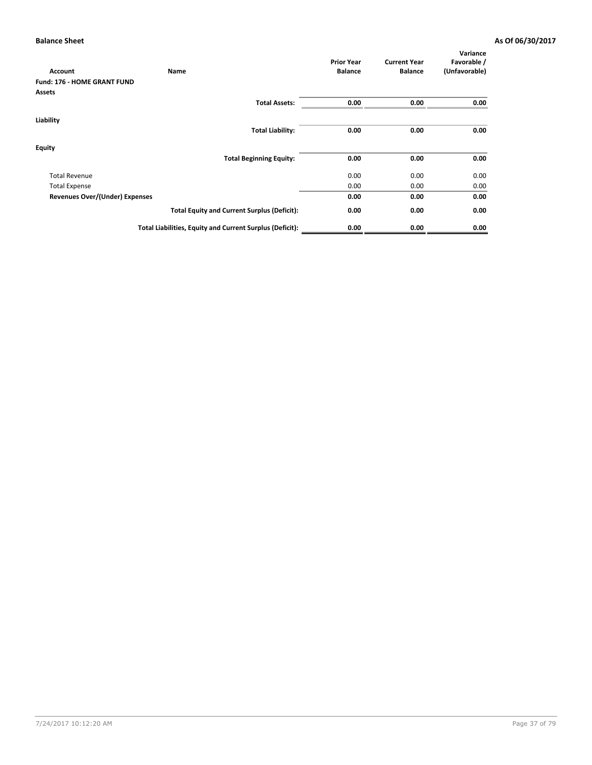| <b>Account</b>                     | Name                                                     | <b>Prior Year</b><br><b>Balance</b> | <b>Current Year</b><br><b>Balance</b> | Variance<br>Favorable /<br>(Unfavorable) |
|------------------------------------|----------------------------------------------------------|-------------------------------------|---------------------------------------|------------------------------------------|
| <b>Fund: 176 - HOME GRANT FUND</b> |                                                          |                                     |                                       |                                          |
| <b>Assets</b>                      |                                                          |                                     |                                       |                                          |
|                                    | <b>Total Assets:</b>                                     | 0.00                                | 0.00                                  | 0.00                                     |
| Liability                          |                                                          |                                     |                                       |                                          |
|                                    | <b>Total Liability:</b>                                  | 0.00                                | 0.00                                  | 0.00                                     |
| Equity                             |                                                          |                                     |                                       |                                          |
|                                    | <b>Total Beginning Equity:</b>                           | 0.00                                | 0.00                                  | 0.00                                     |
| <b>Total Revenue</b>               |                                                          | 0.00                                | 0.00                                  | 0.00                                     |
| <b>Total Expense</b>               |                                                          | 0.00                                | 0.00                                  | 0.00                                     |
| Revenues Over/(Under) Expenses     |                                                          | 0.00                                | 0.00                                  | 0.00                                     |
|                                    | <b>Total Equity and Current Surplus (Deficit):</b>       | 0.00                                | 0.00                                  | 0.00                                     |
|                                    | Total Liabilities, Equity and Current Surplus (Deficit): | 0.00                                | 0.00                                  | 0.00                                     |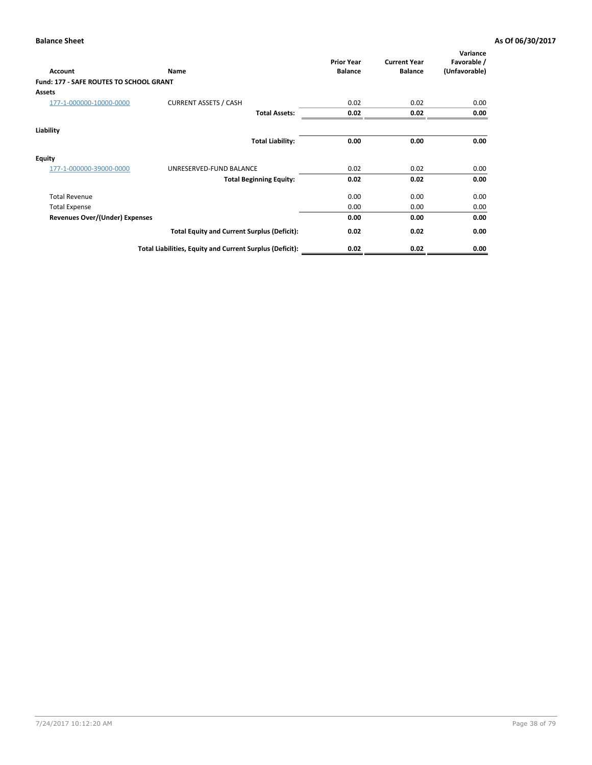| <b>Account</b>                                 | <b>Name</b>                                              | <b>Prior Year</b><br><b>Balance</b> | <b>Current Year</b><br><b>Balance</b> | Variance<br>Favorable /<br>(Unfavorable) |
|------------------------------------------------|----------------------------------------------------------|-------------------------------------|---------------------------------------|------------------------------------------|
| <b>Fund: 177 - SAFE ROUTES TO SCHOOL GRANT</b> |                                                          |                                     |                                       |                                          |
| <b>Assets</b>                                  |                                                          |                                     |                                       |                                          |
| 177-1-000000-10000-0000                        | <b>CURRENT ASSETS / CASH</b>                             | 0.02                                | 0.02                                  | 0.00                                     |
|                                                | <b>Total Assets:</b>                                     | 0.02                                | 0.02                                  | 0.00                                     |
| Liability                                      |                                                          |                                     |                                       |                                          |
|                                                | <b>Total Liability:</b>                                  | 0.00                                | 0.00                                  | 0.00                                     |
| <b>Equity</b>                                  |                                                          |                                     |                                       |                                          |
| 177-1-000000-39000-0000                        | UNRESERVED-FUND BALANCE                                  | 0.02                                | 0.02                                  | 0.00                                     |
|                                                | <b>Total Beginning Equity:</b>                           | 0.02                                | 0.02                                  | 0.00                                     |
| <b>Total Revenue</b>                           |                                                          | 0.00                                | 0.00                                  | 0.00                                     |
| <b>Total Expense</b>                           |                                                          | 0.00                                | 0.00                                  | 0.00                                     |
| <b>Revenues Over/(Under) Expenses</b>          |                                                          | 0.00                                | 0.00                                  | 0.00                                     |
|                                                | <b>Total Equity and Current Surplus (Deficit):</b>       | 0.02                                | 0.02                                  | 0.00                                     |
|                                                | Total Liabilities, Equity and Current Surplus (Deficit): | 0.02                                | 0.02                                  | 0.00                                     |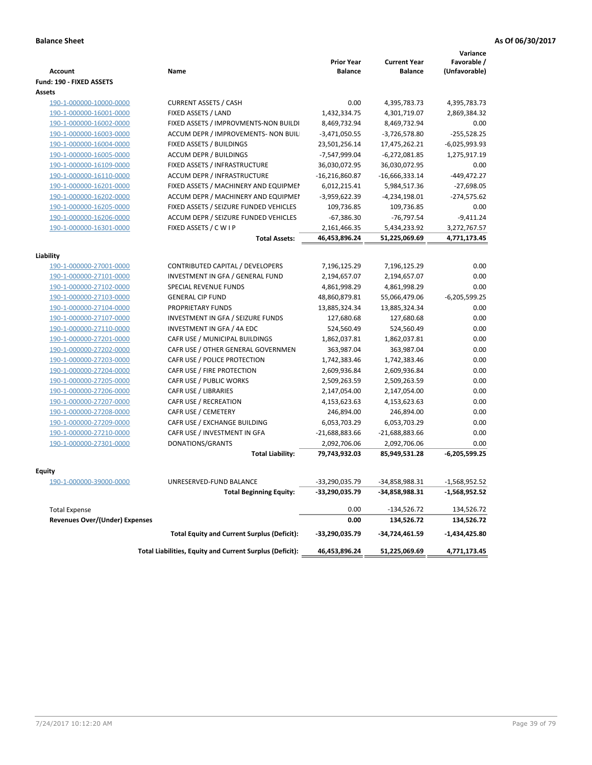|                                       |                                                          | <b>Prior Year</b> | <b>Current Year</b> | Variance<br>Favorable / |
|---------------------------------------|----------------------------------------------------------|-------------------|---------------------|-------------------------|
| <b>Account</b>                        | Name                                                     | <b>Balance</b>    | <b>Balance</b>      | (Unfavorable)           |
| Fund: 190 - FIXED ASSETS              |                                                          |                   |                     |                         |
| Assets                                |                                                          |                   |                     |                         |
| 190-1-000000-10000-0000               | <b>CURRENT ASSETS / CASH</b>                             | 0.00              | 4,395,783.73        | 4,395,783.73            |
| 190-1-000000-16001-0000               | FIXED ASSETS / LAND                                      | 1,432,334.75      | 4,301,719.07        | 2,869,384.32            |
| 190-1-000000-16002-0000               | FIXED ASSETS / IMPROVMENTS-NON BUILDI                    | 8,469,732.94      | 8,469,732.94        | 0.00                    |
| 190-1-000000-16003-0000               | ACCUM DEPR / IMPROVEMENTS- NON BUIL                      | $-3,471,050.55$   | $-3,726,578.80$     | $-255,528.25$           |
| 190-1-000000-16004-0000               | FIXED ASSETS / BUILDINGS                                 | 23,501,256.14     | 17,475,262.21       | $-6,025,993.93$         |
| 190-1-000000-16005-0000               | <b>ACCUM DEPR / BUILDINGS</b>                            | -7,547,999.04     | -6,272,081.85       | 1,275,917.19            |
| 190-1-000000-16109-0000               | FIXED ASSETS / INFRASTRUCTURE                            | 36,030,072.95     | 36,030,072.95       | 0.00                    |
| 190-1-000000-16110-0000               | ACCUM DEPR / INFRASTRUCTURE                              | $-16,216,860.87$  | $-16,666,333.14$    | -449,472.27             |
| 190-1-000000-16201-0000               | FIXED ASSETS / MACHINERY AND EQUIPMEN                    | 6,012,215.41      | 5,984,517.36        | $-27,698.05$            |
| 190-1-000000-16202-0000               | ACCUM DEPR / MACHINERY AND EQUIPMEI                      | $-3,959,622.39$   | $-4,234,198.01$     | $-274,575.62$           |
| 190-1-000000-16205-0000               | FIXED ASSETS / SEIZURE FUNDED VEHICLES                   | 109,736.85        | 109,736.85          | 0.00                    |
| 190-1-000000-16206-0000               | ACCUM DEPR / SEIZURE FUNDED VEHICLES                     | $-67,386.30$      | $-76,797.54$        | $-9,411.24$             |
| 190-1-000000-16301-0000               | FIXED ASSETS / C W I P                                   | 2,161,466.35      | 5,434,233.92        | 3,272,767.57            |
|                                       | <b>Total Assets:</b>                                     | 46.453.896.24     | 51,225,069.69       | 4,771,173.45            |
|                                       |                                                          |                   |                     |                         |
| Liability                             |                                                          |                   |                     |                         |
| 190-1-000000-27001-0000               | CONTRIBUTED CAPITAL / DEVELOPERS                         | 7,196,125.29      | 7,196,125.29        | 0.00                    |
| 190-1-000000-27101-0000               | INVESTMENT IN GFA / GENERAL FUND                         | 2,194,657.07      | 2,194,657.07        | 0.00                    |
| 190-1-000000-27102-0000               | SPECIAL REVENUE FUNDS                                    | 4,861,998.29      | 4,861,998.29        | 0.00                    |
| 190-1-000000-27103-0000               | <b>GENERAL CIP FUND</b>                                  | 48,860,879.81     | 55,066,479.06       | $-6,205,599.25$         |
| 190-1-000000-27104-0000               | PROPRIETARY FUNDS                                        | 13,885,324.34     | 13,885,324.34       | 0.00                    |
| 190-1-000000-27107-0000               | INVESTMENT IN GFA / SEIZURE FUNDS                        | 127,680.68        | 127,680.68          | 0.00                    |
| 190-1-000000-27110-0000               | INVESTMENT IN GFA / 4A EDC                               | 524,560.49        | 524,560.49          | 0.00                    |
| 190-1-000000-27201-0000               | CAFR USE / MUNICIPAL BUILDINGS                           | 1,862,037.81      | 1,862,037.81        | 0.00                    |
| 190-1-000000-27202-0000               | CAFR USE / OTHER GENERAL GOVERNMEN                       | 363,987.04        | 363,987.04          | 0.00                    |
| 190-1-000000-27203-0000               | CAFR USE / POLICE PROTECTION                             | 1,742,383.46      | 1,742,383.46        | 0.00                    |
| 190-1-000000-27204-0000               | CAFR USE / FIRE PROTECTION                               | 2,609,936.84      | 2,609,936.84        | 0.00                    |
| 190-1-000000-27205-0000               | CAFR USE / PUBLIC WORKS                                  | 2,509,263.59      | 2,509,263.59        | 0.00                    |
| 190-1-000000-27206-0000               | CAFR USE / LIBRARIES                                     | 2,147,054.00      | 2,147,054.00        | 0.00                    |
| 190-1-000000-27207-0000               | CAFR USE / RECREATION                                    | 4,153,623.63      | 4,153,623.63        | 0.00                    |
| 190-1-000000-27208-0000               | CAFR USE / CEMETERY                                      | 246,894.00        | 246,894.00          | 0.00                    |
| 190-1-000000-27209-0000               | CAFR USE / EXCHANGE BUILDING                             | 6,053,703.29      | 6,053,703.29        | 0.00                    |
| 190-1-000000-27210-0000               | CAFR USE / INVESTMENT IN GFA                             | $-21,688,883.66$  | $-21,688,883.66$    | 0.00                    |
| 190-1-000000-27301-0000               | DONATIONS/GRANTS                                         | 2,092,706.06      | 2,092,706.06        | 0.00                    |
|                                       | <b>Total Liability:</b>                                  | 79,743,932.03     | 85,949,531.28       | $-6,205,599.25$         |
|                                       |                                                          |                   |                     |                         |
| Equity                                |                                                          |                   |                     |                         |
| <u>190-1-000000-39000-0000</u>        | UNRESERVED-FUND BALANCE                                  | -33,290,035.79    | -34,858,988.31      | -1,568,952.52           |
|                                       | <b>Total Beginning Equity:</b>                           | -33,290,035.79    | -34,858,988.31      | -1,568,952.52           |
| <b>Total Expense</b>                  |                                                          | 0.00              | -134,526.72         | 134,526.72              |
| <b>Revenues Over/(Under) Expenses</b> |                                                          | 0.00              | 134,526.72          | 134,526.72              |
|                                       | <b>Total Equity and Current Surplus (Deficit):</b>       | -33,290,035.79    | -34,724,461.59      | -1,434,425.80           |
|                                       | Total Liabilities, Equity and Current Surplus (Deficit): | 46,453,896.24     | 51,225,069.69       | 4,771,173.45            |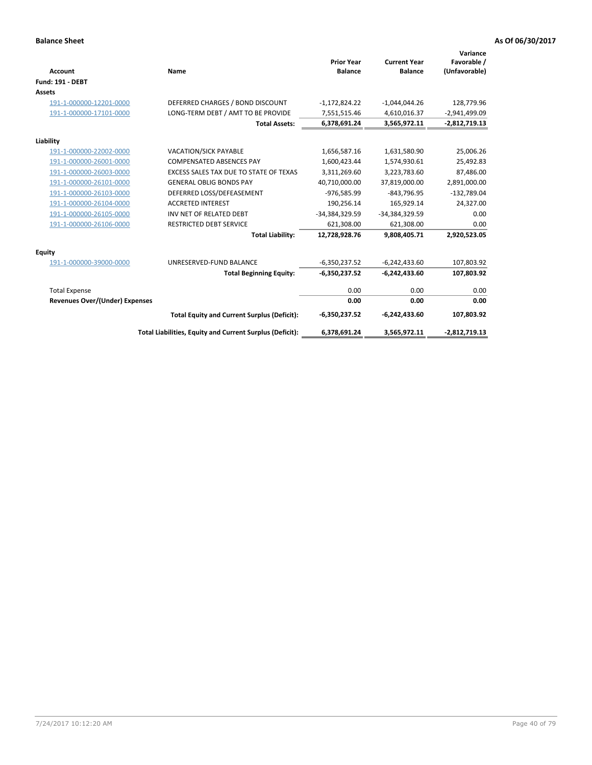| Account                               | Name                                                     | <b>Prior Year</b><br><b>Balance</b> | <b>Current Year</b><br><b>Balance</b> | Variance<br>Favorable /<br>(Unfavorable) |
|---------------------------------------|----------------------------------------------------------|-------------------------------------|---------------------------------------|------------------------------------------|
| <b>Fund: 191 - DEBT</b>               |                                                          |                                     |                                       |                                          |
| <b>Assets</b>                         |                                                          |                                     |                                       |                                          |
| 191-1-000000-12201-0000               | DEFERRED CHARGES / BOND DISCOUNT                         | $-1,172,824.22$                     | $-1,044,044.26$                       | 128,779.96                               |
| 191-1-000000-17101-0000               | LONG-TERM DEBT / AMT TO BE PROVIDE                       | 7,551,515.46                        | 4,610,016.37                          | $-2,941,499.09$                          |
|                                       | <b>Total Assets:</b>                                     | 6,378,691.24                        | 3,565,972.11                          | $-2,812,719.13$                          |
| Liability                             |                                                          |                                     |                                       |                                          |
| 191-1-000000-22002-0000               | VACATION/SICK PAYABLE                                    | 1,656,587.16                        | 1,631,580.90                          | 25,006.26                                |
| 191-1-000000-26001-0000               | <b>COMPENSATED ABSENCES PAY</b>                          | 1,600,423.44                        | 1,574,930.61                          | 25,492.83                                |
| 191-1-000000-26003-0000               | EXCESS SALES TAX DUE TO STATE OF TEXAS                   | 3,311,269.60                        | 3,223,783.60                          | 87,486.00                                |
| 191-1-000000-26101-0000               | <b>GENERAL OBLIG BONDS PAY</b>                           | 40,710,000.00                       | 37,819,000.00                         | 2,891,000.00                             |
| 191-1-000000-26103-0000               | DEFERRED LOSS/DEFEASEMENT                                | -976,585.99                         | $-843,796.95$                         | $-132,789.04$                            |
| 191-1-000000-26104-0000               | <b>ACCRETED INTEREST</b>                                 | 190,256.14                          | 165,929.14                            | 24,327.00                                |
| 191-1-000000-26105-0000               | INV NET OF RELATED DEBT                                  | -34,384,329.59                      | -34,384,329.59                        | 0.00                                     |
| 191-1-000000-26106-0000               | <b>RESTRICTED DEBT SERVICE</b>                           | 621,308.00                          | 621,308.00                            | 0.00                                     |
|                                       | <b>Total Liability:</b>                                  | 12,728,928.76                       | 9,808,405.71                          | 2,920,523.05                             |
| <b>Equity</b>                         |                                                          |                                     |                                       |                                          |
| 191-1-000000-39000-0000               | UNRESERVED-FUND BALANCE                                  | $-6,350,237.52$                     | $-6,242,433.60$                       | 107,803.92                               |
|                                       | <b>Total Beginning Equity:</b>                           | $-6,350,237.52$                     | $-6,242,433.60$                       | 107,803.92                               |
| <b>Total Expense</b>                  |                                                          | 0.00                                | 0.00                                  | 0.00                                     |
| <b>Revenues Over/(Under) Expenses</b> |                                                          | 0.00                                | 0.00                                  | 0.00                                     |
|                                       | <b>Total Equity and Current Surplus (Deficit):</b>       | $-6,350,237.52$                     | $-6,242,433.60$                       | 107,803.92                               |
|                                       | Total Liabilities, Equity and Current Surplus (Deficit): | 6,378,691.24                        | 3,565,972.11                          | $-2,812,719.13$                          |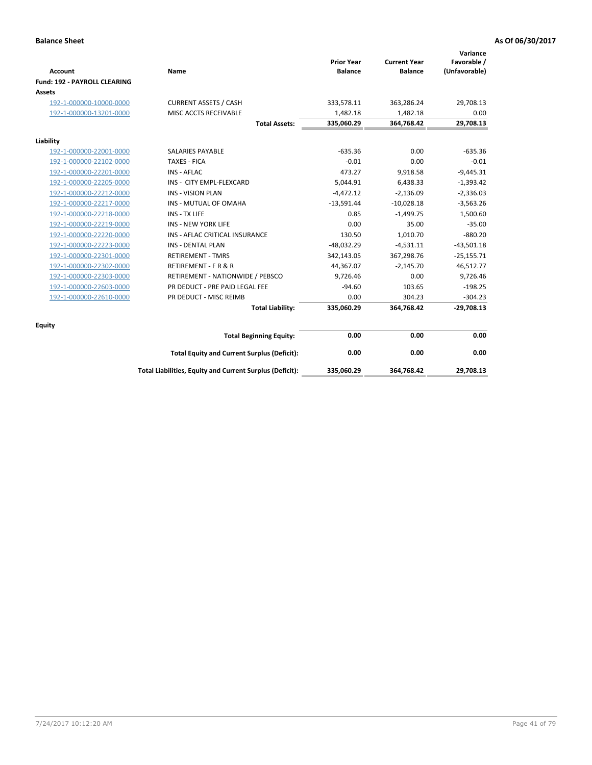| <b>Account</b>               | Name                                                     | <b>Prior Year</b><br><b>Balance</b> | <b>Current Year</b><br><b>Balance</b> | Variance<br>Favorable /<br>(Unfavorable) |
|------------------------------|----------------------------------------------------------|-------------------------------------|---------------------------------------|------------------------------------------|
| Fund: 192 - PAYROLL CLEARING |                                                          |                                     |                                       |                                          |
| Assets                       |                                                          |                                     |                                       |                                          |
| 192-1-000000-10000-0000      | <b>CURRENT ASSETS / CASH</b>                             | 333,578.11                          | 363,286.24                            | 29,708.13                                |
| 192-1-000000-13201-0000      | MISC ACCTS RECEIVABLE                                    | 1,482.18                            | 1,482.18                              | 0.00                                     |
|                              | <b>Total Assets:</b>                                     | 335,060.29                          | 364,768.42                            | 29,708.13                                |
| Liability                    |                                                          |                                     |                                       |                                          |
| 192-1-000000-22001-0000      | <b>SALARIES PAYABLE</b>                                  | $-635.36$                           | 0.00                                  | $-635.36$                                |
| 192-1-000000-22102-0000      | <b>TAXES - FICA</b>                                      | $-0.01$                             | 0.00                                  | $-0.01$                                  |
| 192-1-000000-22201-0000      | <b>INS - AFLAC</b>                                       | 473.27                              | 9,918.58                              | $-9,445.31$                              |
| 192-1-000000-22205-0000      | INS - CITY EMPL-FLEXCARD                                 | 5.044.91                            | 6,438.33                              | $-1,393.42$                              |
| 192-1-000000-22212-0000      | <b>INS - VISION PLAN</b>                                 | $-4,472.12$                         | $-2,136.09$                           | $-2,336.03$                              |
| 192-1-000000-22217-0000      | INS - MUTUAL OF OMAHA                                    | $-13,591.44$                        | $-10,028.18$                          | $-3,563.26$                              |
| 192-1-000000-22218-0000      | INS - TX LIFE                                            | 0.85                                | $-1,499.75$                           | 1,500.60                                 |
| 192-1-000000-22219-0000      | <b>INS - NEW YORK LIFE</b>                               | 0.00                                | 35.00                                 | $-35.00$                                 |
| 192-1-000000-22220-0000      | INS - AFLAC CRITICAL INSURANCE                           | 130.50                              | 1,010.70                              | $-880.20$                                |
| 192-1-000000-22223-0000      | <b>INS - DENTAL PLAN</b>                                 | $-48,032.29$                        | $-4,531.11$                           | $-43,501.18$                             |
| 192-1-000000-22301-0000      | <b>RETIREMENT - TMRS</b>                                 | 342,143.05                          | 367,298.76                            | $-25,155.71$                             |
| 192-1-000000-22302-0000      | <b>RETIREMENT - F R &amp; R</b>                          | 44,367.07                           | $-2,145.70$                           | 46,512.77                                |
| 192-1-000000-22303-0000      | RETIREMENT - NATIONWIDE / PEBSCO                         | 9.726.46                            | 0.00                                  | 9,726.46                                 |
| 192-1-000000-22603-0000      | PR DEDUCT - PRE PAID LEGAL FEE                           | $-94.60$                            | 103.65                                | $-198.25$                                |
| 192-1-000000-22610-0000      | PR DEDUCT - MISC REIMB                                   | 0.00                                | 304.23                                | $-304.23$                                |
|                              | <b>Total Liability:</b>                                  | 335,060.29                          | 364,768.42                            | $-29,708.13$                             |
| Equity                       |                                                          |                                     |                                       |                                          |
|                              | <b>Total Beginning Equity:</b>                           | 0.00                                | 0.00                                  | 0.00                                     |
|                              | <b>Total Equity and Current Surplus (Deficit):</b>       | 0.00                                | 0.00                                  | 0.00                                     |
|                              | Total Liabilities, Equity and Current Surplus (Deficit): | 335,060.29                          | 364,768.42                            | 29.708.13                                |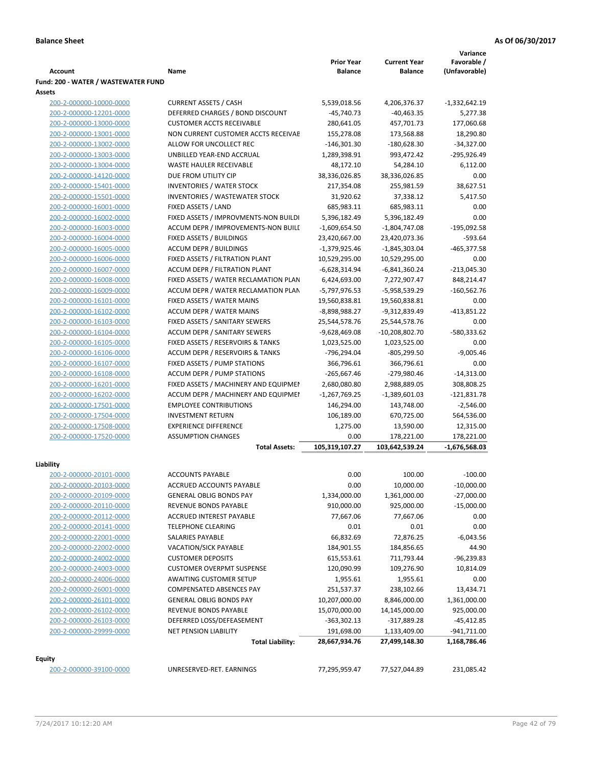**Variance**

|                                                    |                                                                | <b>Prior Year</b>           | <b>Current Year</b>         | Favorable /               |
|----------------------------------------------------|----------------------------------------------------------------|-----------------------------|-----------------------------|---------------------------|
| <b>Account</b>                                     | Name                                                           | <b>Balance</b>              | <b>Balance</b>              | (Unfavorable)             |
| Fund: 200 - WATER / WASTEWATER FUND                |                                                                |                             |                             |                           |
| Assets                                             |                                                                |                             |                             |                           |
| 200-2-000000-10000-0000                            | <b>CURRENT ASSETS / CASH</b>                                   | 5,539,018.56                | 4,206,376.37                | $-1,332,642.19$           |
| 200-2-000000-12201-0000                            | DEFERRED CHARGES / BOND DISCOUNT                               | $-45,740.73$                | $-40,463.35$                | 5,277.38                  |
| 200-2-000000-13000-0000                            | <b>CUSTOMER ACCTS RECEIVABLE</b>                               | 280,641.05                  | 457,701.73                  | 177,060.68                |
| 200-2-000000-13001-0000<br>200-2-000000-13002-0000 | NON CURRENT CUSTOMER ACCTS RECEIVAE<br>ALLOW FOR UNCOLLECT REC | 155,278.08<br>$-146,301.30$ | 173,568.88<br>$-180,628.30$ | 18,290.80<br>$-34,327.00$ |
| 200-2-000000-13003-0000                            | UNBILLED YEAR-END ACCRUAL                                      |                             | 993,472.42                  | $-295,926.49$             |
| 200-2-000000-13004-0000                            | <b>WASTE HAULER RECEIVABLE</b>                                 | 1,289,398.91<br>48,172.10   | 54,284.10                   | 6,112.00                  |
| 200-2-000000-14120-0000                            | DUE FROM UTILITY CIP                                           | 38,336,026.85               | 38,336,026.85               | 0.00                      |
| 200-2-000000-15401-0000                            | <b>INVENTORIES / WATER STOCK</b>                               | 217,354.08                  | 255,981.59                  | 38,627.51                 |
| 200-2-000000-15501-0000                            | <b>INVENTORIES / WASTEWATER STOCK</b>                          | 31,920.62                   | 37,338.12                   | 5,417.50                  |
| 200-2-000000-16001-0000                            | FIXED ASSETS / LAND                                            | 685,983.11                  | 685,983.11                  | 0.00                      |
| 200-2-000000-16002-0000                            | FIXED ASSETS / IMPROVMENTS-NON BUILDI                          | 5,396,182.49                | 5,396,182.49                | 0.00                      |
| 200-2-000000-16003-0000                            | ACCUM DEPR / IMPROVEMENTS-NON BUILI                            | $-1,609,654.50$             | $-1,804,747.08$             | $-195,092.58$             |
| 200-2-000000-16004-0000                            | FIXED ASSETS / BUILDINGS                                       | 23,420,667.00               | 23,420,073.36               | $-593.64$                 |
| 200-2-000000-16005-0000                            | <b>ACCUM DEPR / BUILDINGS</b>                                  | $-1,379,925.46$             | $-1,845,303.04$             | $-465,377.58$             |
| 200-2-000000-16006-0000                            | FIXED ASSETS / FILTRATION PLANT                                | 10,529,295.00               | 10,529,295.00               | 0.00                      |
| 200-2-000000-16007-0000                            | ACCUM DEPR / FILTRATION PLANT                                  | $-6,628,314.94$             | $-6,841,360.24$             | $-213,045.30$             |
| 200-2-000000-16008-0000                            | FIXED ASSETS / WATER RECLAMATION PLAN                          | 6,424,693.00                | 7,272,907.47                | 848,214.47                |
| 200-2-000000-16009-0000                            | ACCUM DEPR / WATER RECLAMATION PLAN                            | -5,797,976.53               | -5,958,539.29               | $-160,562.76$             |
| 200-2-000000-16101-0000                            | FIXED ASSETS / WATER MAINS                                     | 19,560,838.81               | 19,560,838.81               | 0.00                      |
| 200-2-000000-16102-0000                            | <b>ACCUM DEPR / WATER MAINS</b>                                | -8,898,988.27               | -9,312,839.49               | $-413,851.22$             |
| 200-2-000000-16103-0000                            | FIXED ASSETS / SANITARY SEWERS                                 | 25,544,578.76               | 25,544,578.76               | 0.00                      |
| 200-2-000000-16104-0000                            | <b>ACCUM DEPR / SANITARY SEWERS</b>                            | $-9,628,469.08$             | $-10,208,802.70$            | -580,333.62               |
| 200-2-000000-16105-0000                            | FIXED ASSETS / RESERVOIRS & TANKS                              | 1,023,525.00                | 1,023,525.00                | 0.00                      |
| 200-2-000000-16106-0000                            | ACCUM DEPR / RESERVOIRS & TANKS                                | -796,294.04                 | $-805,299.50$               | $-9,005.46$               |
| 200-2-000000-16107-0000                            | FIXED ASSETS / PUMP STATIONS                                   | 366,796.61                  | 366,796.61                  | 0.00                      |
| 200-2-000000-16108-0000                            | <b>ACCUM DEPR / PUMP STATIONS</b>                              | $-265,667.46$               | -279,980.46                 | $-14,313.00$              |
| 200-2-000000-16201-0000                            | FIXED ASSETS / MACHINERY AND EQUIPMEN                          | 2,680,080.80                | 2,988,889.05                | 308,808.25                |
| 200-2-000000-16202-0000                            | ACCUM DEPR / MACHINERY AND EQUIPMEI                            | $-1,267,769.25$             | $-1,389,601.03$             | $-121,831.78$             |
| 200-2-000000-17501-0000                            | <b>EMPLOYEE CONTRIBUTIONS</b>                                  | 146,294.00                  | 143,748.00                  | $-2,546.00$               |
| 200-2-000000-17504-0000                            | <b>INVESTMENT RETURN</b>                                       | 106,189.00                  | 670,725.00                  | 564,536.00                |
| 200-2-000000-17508-0000                            | <b>EXPERIENCE DIFFERENCE</b>                                   | 1,275.00                    | 13,590.00                   | 12,315.00                 |
| 200-2-000000-17520-0000                            | <b>ASSUMPTION CHANGES</b>                                      | 0.00                        | 178,221.00                  | 178,221.00                |
|                                                    | <b>Total Assets:</b>                                           | 105,319,107.27              | 103,642,539.24              | $-1,676,568.03$           |
|                                                    |                                                                |                             |                             |                           |
| Liability                                          |                                                                |                             |                             |                           |
| 200-2-000000-20101-0000                            | <b>ACCOUNTS PAYABLE</b>                                        | 0.00                        | 100.00                      | $-100.00$                 |
| 200-2-000000-20103-0000                            | ACCRUED ACCOUNTS PAYABLE                                       | 0.00                        | 10,000.00                   | $-10,000.00$              |
| 200-2-000000-20109-0000                            | <b>GENERAL OBLIG BONDS PAY</b>                                 | 1,334,000.00                | 1,361,000.00                | $-27,000.00$              |
| 200-2-000000-20110-0000                            | REVENUE BONDS PAYABLE                                          | 910,000.00                  | 925,000.00                  | $-15,000.00$              |
| 200-2-000000-20112-0000                            | <b>ACCRUED INTEREST PAYABLE</b>                                | 77,667.06                   | 77,667.06                   | 0.00                      |
| 200-2-000000-20141-0000                            | <b>TELEPHONE CLEARING</b>                                      | 0.01                        | 0.01                        | 0.00                      |
| 200-2-000000-22001-0000                            | SALARIES PAYABLE                                               | 66,832.69                   | 72,876.25                   | -6,043.56                 |
| 200-2-000000-22002-0000                            | <b>VACATION/SICK PAYABLE</b>                                   | 184,901.55                  | 184,856.65                  | 44.90                     |
| 200-2-000000-24002-0000                            | <b>CUSTOMER DEPOSITS</b>                                       | 615,553.61                  | 711,793.44                  | -96,239.83                |
| 200-2-000000-24003-0000                            | <b>CUSTOMER OVERPMT SUSPENSE</b>                               | 120,090.99                  | 109,276.90                  | 10,814.09                 |
| 200-2-000000-24006-0000                            | <b>AWAITING CUSTOMER SETUP</b>                                 | 1,955.61                    | 1,955.61                    | 0.00                      |
| 200-2-000000-26001-0000                            | COMPENSATED ABSENCES PAY                                       | 251,537.37                  | 238,102.66                  | 13,434.71                 |
| 200-2-000000-26101-0000                            | <b>GENERAL OBLIG BONDS PAY</b>                                 | 10,207,000.00               | 8,846,000.00                | 1,361,000.00              |
| 200-2-000000-26102-0000                            | REVENUE BONDS PAYABLE                                          | 15,070,000.00               | 14,145,000.00               | 925,000.00                |
| 200-2-000000-26103-0000                            | DEFERRED LOSS/DEFEASEMENT                                      | -363,302.13                 | -317,889.28                 | $-45,412.85$              |
| 200-2-000000-29999-0000                            | <b>NET PENSION LIABILITY</b>                                   | 191,698.00                  | 1,133,409.00                | -941,711.00               |
|                                                    | <b>Total Liability:</b>                                        | 28,667,934.76               | 27,499,148.30               | 1,168,786.46              |
| Equity                                             |                                                                |                             |                             |                           |
| 200-2-000000-39100-0000                            | UNRESERVED-RET. EARNINGS                                       | 77,295,959.47               | 77,527,044.89               | 231,085.42                |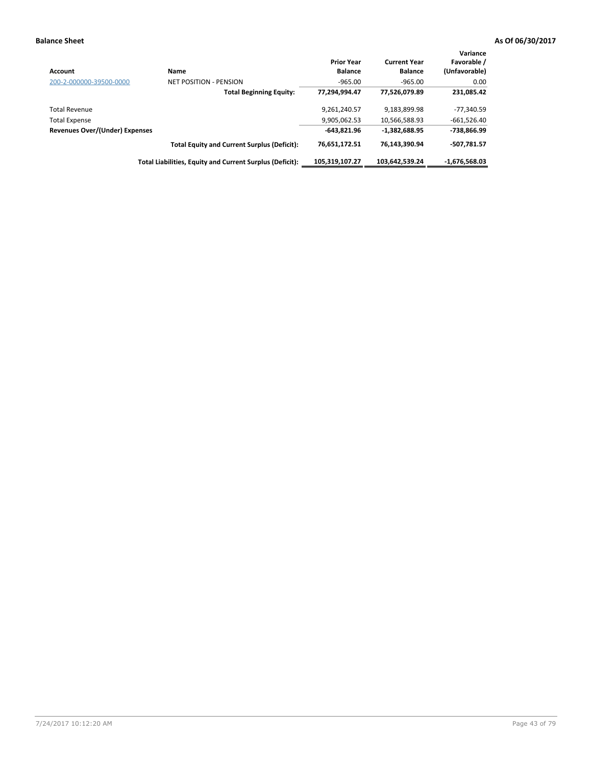| <b>Account</b>                 | <b>Name</b>                                              | <b>Prior Year</b><br><b>Balance</b> | <b>Current Year</b><br><b>Balance</b> | Variance<br>Favorable /<br>(Unfavorable) |
|--------------------------------|----------------------------------------------------------|-------------------------------------|---------------------------------------|------------------------------------------|
| 200-2-000000-39500-0000        | <b>NET POSITION - PENSION</b>                            | $-965.00$                           | $-965.00$                             | 0.00                                     |
|                                | <b>Total Beginning Equity:</b>                           | 77,294,994.47                       | 77,526,079.89                         | 231,085.42                               |
| <b>Total Revenue</b>           |                                                          | 9,261,240.57                        | 9,183,899.98                          | -77,340.59                               |
| <b>Total Expense</b>           |                                                          | 9,905,062.53                        | 10,566,588.93                         | $-661,526.40$                            |
| Revenues Over/(Under) Expenses |                                                          | $-643.821.96$                       | $-1.382.688.95$                       | -738,866.99                              |
|                                | <b>Total Equity and Current Surplus (Deficit):</b>       | 76,651,172.51                       | 76,143,390.94                         | -507.781.57                              |
|                                | Total Liabilities, Equity and Current Surplus (Deficit): | 105.319.107.27                      | 103.642.539.24                        | $-1.676.568.03$                          |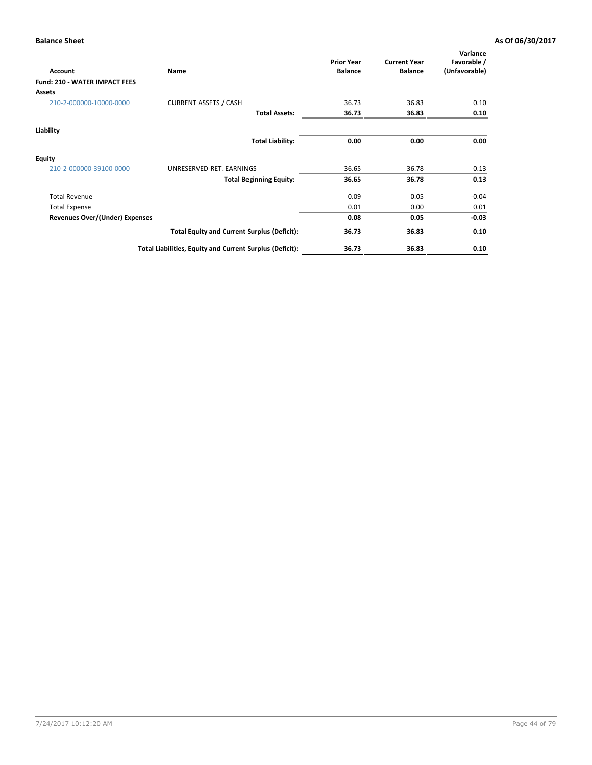| Account                               | Name                                                     | <b>Prior Year</b><br><b>Balance</b> | <b>Current Year</b><br><b>Balance</b> | Variance<br>Favorable /<br>(Unfavorable) |
|---------------------------------------|----------------------------------------------------------|-------------------------------------|---------------------------------------|------------------------------------------|
| <b>Fund: 210 - WATER IMPACT FEES</b>  |                                                          |                                     |                                       |                                          |
| <b>Assets</b>                         |                                                          |                                     |                                       |                                          |
| 210-2-000000-10000-0000               | <b>CURRENT ASSETS / CASH</b>                             | 36.73                               | 36.83                                 | 0.10                                     |
|                                       | <b>Total Assets:</b>                                     | 36.73                               | 36.83                                 | 0.10                                     |
| Liability                             |                                                          |                                     |                                       |                                          |
|                                       | <b>Total Liability:</b>                                  | 0.00                                | 0.00                                  | 0.00                                     |
| <b>Equity</b>                         |                                                          |                                     |                                       |                                          |
| 210-2-000000-39100-0000               | UNRESERVED-RET. EARNINGS                                 | 36.65                               | 36.78                                 | 0.13                                     |
|                                       | <b>Total Beginning Equity:</b>                           | 36.65                               | 36.78                                 | 0.13                                     |
| <b>Total Revenue</b>                  |                                                          | 0.09                                | 0.05                                  | $-0.04$                                  |
| <b>Total Expense</b>                  |                                                          | 0.01                                | 0.00                                  | 0.01                                     |
| <b>Revenues Over/(Under) Expenses</b> |                                                          | 0.08                                | 0.05                                  | $-0.03$                                  |
|                                       | <b>Total Equity and Current Surplus (Deficit):</b>       | 36.73                               | 36.83                                 | 0.10                                     |
|                                       | Total Liabilities, Equity and Current Surplus (Deficit): | 36.73                               | 36.83                                 | 0.10                                     |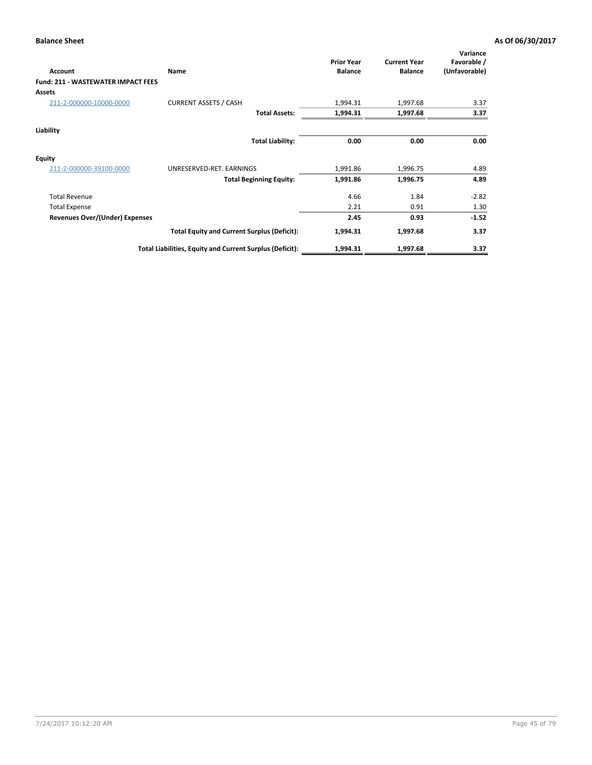| <b>Account</b>                     | Name                                                     | <b>Prior Year</b><br><b>Balance</b> | <b>Current Year</b><br><b>Balance</b> | Variance<br>Favorable /<br>(Unfavorable) |
|------------------------------------|----------------------------------------------------------|-------------------------------------|---------------------------------------|------------------------------------------|
| Fund: 211 - WASTEWATER IMPACT FEES |                                                          |                                     |                                       |                                          |
| <b>Assets</b>                      |                                                          |                                     |                                       |                                          |
| 211-2-000000-10000-0000            | <b>CURRENT ASSETS / CASH</b>                             | 1,994.31                            | 1,997.68                              | 3.37                                     |
|                                    | <b>Total Assets:</b>                                     | 1,994.31                            | 1,997.68                              | 3.37                                     |
| Liability                          |                                                          |                                     |                                       |                                          |
|                                    | <b>Total Liability:</b>                                  | 0.00                                | 0.00                                  | 0.00                                     |
| <b>Equity</b>                      |                                                          |                                     |                                       |                                          |
| 211-2-000000-39100-0000            | UNRESERVED-RET. EARNINGS                                 | 1,991.86                            | 1,996.75                              | 4.89                                     |
|                                    | <b>Total Beginning Equity:</b>                           | 1,991.86                            | 1,996.75                              | 4.89                                     |
| <b>Total Revenue</b>               |                                                          | 4.66                                | 1.84                                  | $-2.82$                                  |
| <b>Total Expense</b>               |                                                          | 2.21                                | 0.91                                  | 1.30                                     |
| Revenues Over/(Under) Expenses     |                                                          | 2.45                                | 0.93                                  | $-1.52$                                  |
|                                    | <b>Total Equity and Current Surplus (Deficit):</b>       | 1,994.31                            | 1,997.68                              | 3.37                                     |
|                                    | Total Liabilities, Equity and Current Surplus (Deficit): | 1,994.31                            | 1,997.68                              | 3.37                                     |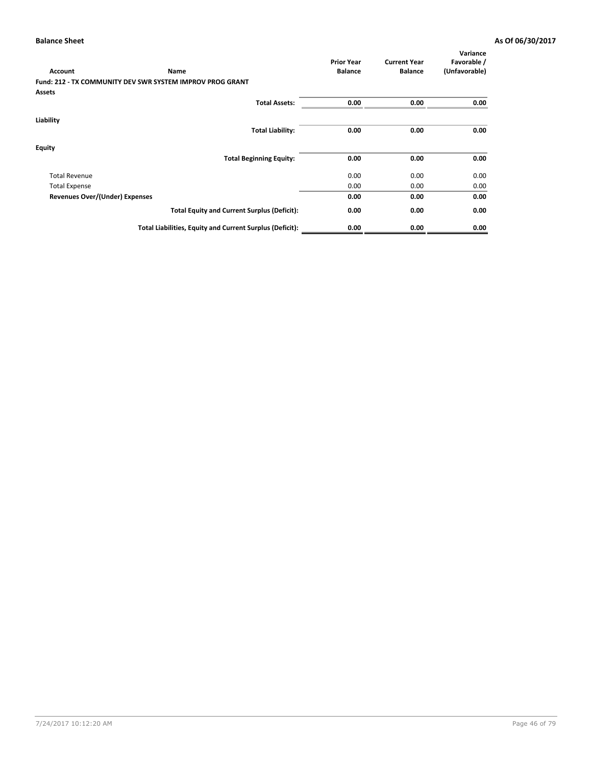|                                       |                                                                  | <b>Prior Year</b> | <b>Current Year</b> | Variance<br>Favorable / |
|---------------------------------------|------------------------------------------------------------------|-------------------|---------------------|-------------------------|
| <b>Account</b>                        | <b>Name</b>                                                      | <b>Balance</b>    | <b>Balance</b>      | (Unfavorable)           |
|                                       | <b>Fund: 212 - TX COMMUNITY DEV SWR SYSTEM IMPROV PROG GRANT</b> |                   |                     |                         |
| <b>Assets</b>                         |                                                                  |                   |                     |                         |
|                                       | <b>Total Assets:</b>                                             | 0.00              | 0.00                | 0.00                    |
| Liability                             |                                                                  |                   |                     |                         |
|                                       | <b>Total Liability:</b>                                          | 0.00              | 0.00                | 0.00                    |
| <b>Equity</b>                         |                                                                  |                   |                     |                         |
|                                       | <b>Total Beginning Equity:</b>                                   | 0.00              | 0.00                | 0.00                    |
| <b>Total Revenue</b>                  |                                                                  | 0.00              | 0.00                | 0.00                    |
| <b>Total Expense</b>                  |                                                                  | 0.00              | 0.00                | 0.00                    |
| <b>Revenues Over/(Under) Expenses</b> |                                                                  | 0.00              | 0.00                | 0.00                    |
|                                       | <b>Total Equity and Current Surplus (Deficit):</b>               | 0.00              | 0.00                | 0.00                    |
|                                       | Total Liabilities, Equity and Current Surplus (Deficit):         | 0.00              | 0.00                | 0.00                    |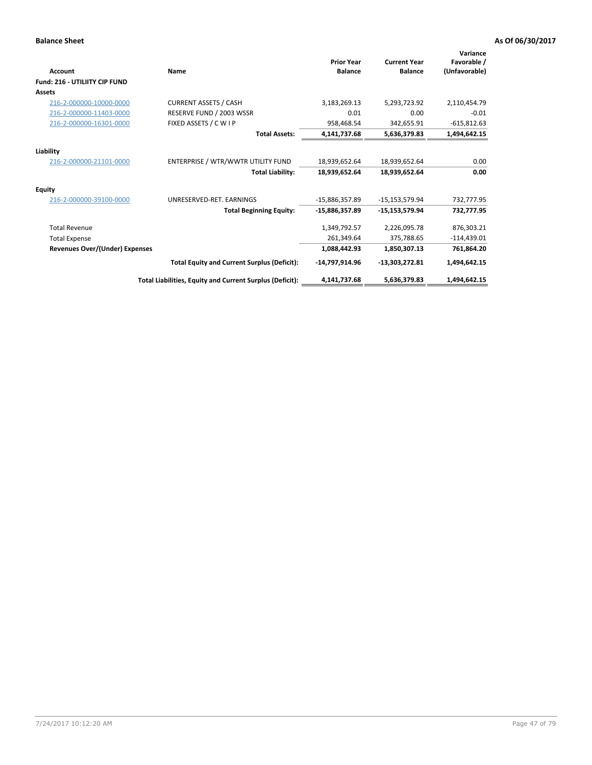| Account                               | Name                                                     | <b>Prior Year</b><br><b>Balance</b> | <b>Current Year</b><br><b>Balance</b> | Variance<br>Favorable /<br>(Unfavorable) |
|---------------------------------------|----------------------------------------------------------|-------------------------------------|---------------------------------------|------------------------------------------|
| <b>Fund: 216 - UTILIITY CIP FUND</b>  |                                                          |                                     |                                       |                                          |
| <b>Assets</b>                         |                                                          |                                     |                                       |                                          |
| 216-2-000000-10000-0000               | <b>CURRENT ASSETS / CASH</b>                             | 3,183,269.13                        | 5,293,723.92                          | 2,110,454.79                             |
| 216-2-000000-11403-0000               | RESERVE FUND / 2003 WSSR                                 | 0.01                                | 0.00                                  | $-0.01$                                  |
| 216-2-000000-16301-0000               | FIXED ASSETS / C W I P                                   | 958,468.54                          | 342,655.91                            | $-615,812.63$                            |
|                                       | <b>Total Assets:</b>                                     | 4,141,737.68                        | 5,636,379.83                          | 1,494,642.15                             |
| Liability                             |                                                          |                                     |                                       |                                          |
| 216-2-000000-21101-0000               | ENTERPRISE / WTR/WWTR UTILITY FUND                       | 18,939,652.64                       | 18,939,652.64                         | 0.00                                     |
|                                       | <b>Total Liability:</b>                                  | 18,939,652.64                       | 18,939,652.64                         | 0.00                                     |
| Equity                                |                                                          |                                     |                                       |                                          |
| 216-2-000000-39100-0000               | UNRESERVED-RET. EARNINGS                                 | -15,886,357.89                      | $-15,153,579.94$                      | 732,777.95                               |
|                                       | <b>Total Beginning Equity:</b>                           | $-15,886,357.89$                    | $-15,153,579.94$                      | 732,777.95                               |
| <b>Total Revenue</b>                  |                                                          | 1,349,792.57                        | 2,226,095.78                          | 876,303.21                               |
| <b>Total Expense</b>                  |                                                          | 261,349.64                          | 375,788.65                            | $-114,439.01$                            |
| <b>Revenues Over/(Under) Expenses</b> |                                                          | 1,088,442.93                        | 1,850,307.13                          | 761,864.20                               |
|                                       | <b>Total Equity and Current Surplus (Deficit):</b>       | -14,797,914.96                      | $-13,303,272.81$                      | 1,494,642.15                             |
|                                       | Total Liabilities, Equity and Current Surplus (Deficit): | 4,141,737.68                        | 5,636,379.83                          | 1,494,642.15                             |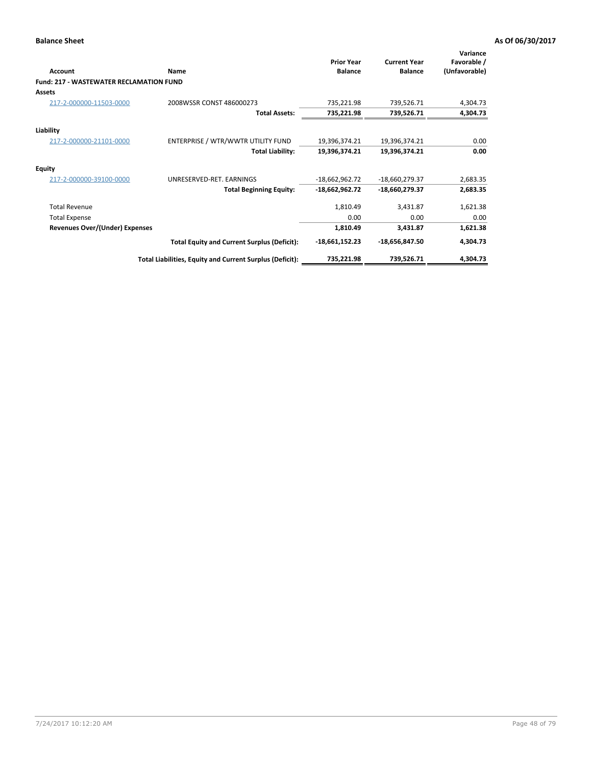| <b>Account</b>                                 | Name                                                     | <b>Prior Year</b><br><b>Balance</b> | <b>Current Year</b><br><b>Balance</b> | Variance<br>Favorable /<br>(Unfavorable) |
|------------------------------------------------|----------------------------------------------------------|-------------------------------------|---------------------------------------|------------------------------------------|
| <b>Fund: 217 - WASTEWATER RECLAMATION FUND</b> |                                                          |                                     |                                       |                                          |
| <b>Assets</b>                                  |                                                          |                                     |                                       |                                          |
| 217-2-000000-11503-0000                        | 2008WSSR CONST 486000273                                 | 735,221.98                          | 739,526.71                            | 4,304.73                                 |
|                                                | <b>Total Assets:</b>                                     | 735,221.98                          | 739,526.71                            | 4,304.73                                 |
| Liability                                      |                                                          |                                     |                                       |                                          |
| 217-2-000000-21101-0000                        | ENTERPRISE / WTR/WWTR UTILITY FUND                       | 19,396,374.21                       | 19,396,374.21                         | 0.00                                     |
|                                                | <b>Total Liability:</b>                                  | 19,396,374.21                       | 19,396,374.21                         | 0.00                                     |
| <b>Equity</b>                                  |                                                          |                                     |                                       |                                          |
| 217-2-000000-39100-0000                        | UNRESERVED-RET. EARNINGS                                 | $-18,662,962.72$                    | -18,660,279.37                        | 2,683.35                                 |
|                                                | <b>Total Beginning Equity:</b>                           | $-18,662,962.72$                    | -18,660,279.37                        | 2,683.35                                 |
| <b>Total Revenue</b>                           |                                                          | 1,810.49                            | 3,431.87                              | 1,621.38                                 |
| <b>Total Expense</b>                           |                                                          | 0.00                                | 0.00                                  | 0.00                                     |
| <b>Revenues Over/(Under) Expenses</b>          |                                                          | 1,810.49                            | 3,431.87                              | 1,621.38                                 |
|                                                | <b>Total Equity and Current Surplus (Deficit):</b>       | $-18,661,152.23$                    | -18,656,847.50                        | 4,304.73                                 |
|                                                | Total Liabilities, Equity and Current Surplus (Deficit): | 735,221.98                          | 739,526.71                            | 4,304.73                                 |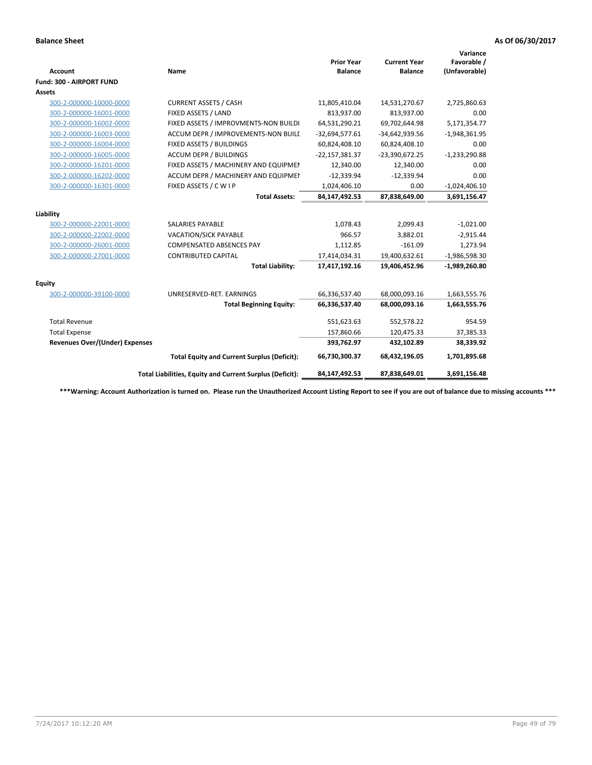| <b>Account</b>                        | <b>Name</b>                                              | <b>Prior Year</b><br><b>Balance</b> | <b>Current Year</b><br><b>Balance</b> | Variance<br>Favorable /<br>(Unfavorable) |
|---------------------------------------|----------------------------------------------------------|-------------------------------------|---------------------------------------|------------------------------------------|
| <b>Fund: 300 - AIRPORT FUND</b>       |                                                          |                                     |                                       |                                          |
| Assets                                |                                                          |                                     |                                       |                                          |
| 300-2-000000-10000-0000               | <b>CURRENT ASSETS / CASH</b>                             | 11,805,410.04                       | 14,531,270.67                         | 2,725,860.63                             |
| 300-2-000000-16001-0000               | FIXED ASSETS / LAND                                      | 813,937.00                          | 813,937.00                            | 0.00                                     |
| 300-2-000000-16002-0000               | FIXED ASSETS / IMPROVMENTS-NON BUILDI                    | 64,531,290.21                       | 69,702,644.98                         | 5,171,354.77                             |
| 300-2-000000-16003-0000               | ACCUM DEPR / IMPROVEMENTS-NON BUILL                      | $-32,694,577.61$                    | $-34,642,939.56$                      | $-1,948,361.95$                          |
| 300-2-000000-16004-0000               | FIXED ASSETS / BUILDINGS                                 | 60,824,408.10                       | 60,824,408.10                         | 0.00                                     |
| 300-2-000000-16005-0000               | <b>ACCUM DEPR / BUILDINGS</b>                            | $-22,157,381.37$                    | $-23,390,672.25$                      | $-1,233,290.88$                          |
| 300-2-000000-16201-0000               | FIXED ASSETS / MACHINERY AND EQUIPMEN                    | 12,340.00                           | 12,340.00                             | 0.00                                     |
| 300-2-000000-16202-0000               | ACCUM DEPR / MACHINERY AND EQUIPMEI                      | $-12,339.94$                        | $-12,339.94$                          | 0.00                                     |
| 300-2-000000-16301-0000               | FIXED ASSETS / C W I P                                   | 1,024,406.10                        | 0.00                                  | $-1,024,406.10$                          |
|                                       | <b>Total Assets:</b>                                     | 84,147,492.53                       | 87,838,649.00                         | 3,691,156.47                             |
|                                       |                                                          |                                     |                                       |                                          |
| Liability                             |                                                          |                                     |                                       |                                          |
| 300-2-000000-22001-0000               | <b>SALARIES PAYABLE</b>                                  | 1,078.43                            | 2,099.43                              | $-1,021.00$                              |
| 300-2-000000-22002-0000               | <b>VACATION/SICK PAYABLE</b>                             | 966.57                              | 3,882.01                              | $-2,915.44$                              |
| 300-2-000000-26001-0000               | <b>COMPENSATED ABSENCES PAY</b>                          | 1,112.85                            | $-161.09$                             | 1,273.94                                 |
| 300-2-000000-27001-0000               | <b>CONTRIBUTED CAPITAL</b>                               | 17,414,034.31                       | 19,400,632.61                         | $-1,986,598.30$                          |
|                                       | <b>Total Liability:</b>                                  | 17,417,192.16                       | 19,406,452.96                         | $-1,989,260.80$                          |
| Equity                                |                                                          |                                     |                                       |                                          |
| 300-2-000000-39100-0000               | UNRESERVED-RET. EARNINGS                                 | 66,336,537.40                       | 68,000,093.16                         | 1,663,555.76                             |
|                                       | <b>Total Beginning Equity:</b>                           | 66,336,537.40                       | 68,000,093.16                         | 1,663,555.76                             |
| <b>Total Revenue</b>                  |                                                          | 551,623.63                          | 552,578.22                            | 954.59                                   |
| <b>Total Expense</b>                  |                                                          | 157,860.66                          | 120,475.33                            | 37,385.33                                |
| <b>Revenues Over/(Under) Expenses</b> |                                                          | 393,762.97                          | 432,102.89                            | 38,339.92                                |
|                                       | <b>Total Equity and Current Surplus (Deficit):</b>       | 66,730,300.37                       | 68,432,196.05                         | 1,701,895.68                             |
|                                       | Total Liabilities, Equity and Current Surplus (Deficit): | 84,147,492.53                       | 87,838,649.01                         | 3,691,156.48                             |

**\*\*\*Warning: Account Authorization is turned on. Please run the Unauthorized Account Listing Report to see if you are out of balance due to missing accounts \*\*\***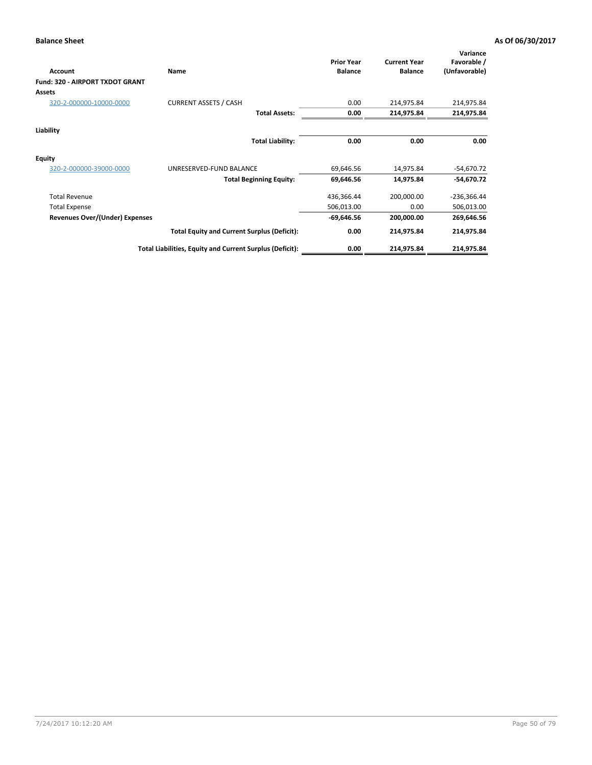| Account                         | <b>Name</b>                                              | <b>Prior Year</b><br><b>Balance</b> | <b>Current Year</b><br><b>Balance</b> | Variance<br>Favorable /<br>(Unfavorable) |
|---------------------------------|----------------------------------------------------------|-------------------------------------|---------------------------------------|------------------------------------------|
| Fund: 320 - AIRPORT TXDOT GRANT |                                                          |                                     |                                       |                                          |
| Assets                          |                                                          |                                     |                                       |                                          |
| 320-2-000000-10000-0000         | <b>CURRENT ASSETS / CASH</b>                             | 0.00                                | 214,975.84                            | 214,975.84                               |
|                                 | <b>Total Assets:</b>                                     | 0.00                                | 214,975.84                            | 214,975.84                               |
| Liability                       |                                                          |                                     |                                       |                                          |
|                                 | <b>Total Liability:</b>                                  | 0.00                                | 0.00                                  | 0.00                                     |
| <b>Equity</b>                   |                                                          |                                     |                                       |                                          |
| 320-2-000000-39000-0000         | UNRESERVED-FUND BALANCE                                  | 69,646.56                           | 14,975.84                             | $-54,670.72$                             |
|                                 | <b>Total Beginning Equity:</b>                           | 69,646.56                           | 14,975.84                             | $-54,670.72$                             |
| <b>Total Revenue</b>            |                                                          | 436,366.44                          | 200,000.00                            | -236,366.44                              |
| <b>Total Expense</b>            |                                                          | 506,013.00                          | 0.00                                  | 506,013.00                               |
| Revenues Over/(Under) Expenses  |                                                          | $-69,646.56$                        | 200,000.00                            | 269,646.56                               |
|                                 | <b>Total Equity and Current Surplus (Deficit):</b>       | 0.00                                | 214,975.84                            | 214,975.84                               |
|                                 | Total Liabilities, Equity and Current Surplus (Deficit): | 0.00                                | 214,975.84                            | 214,975.84                               |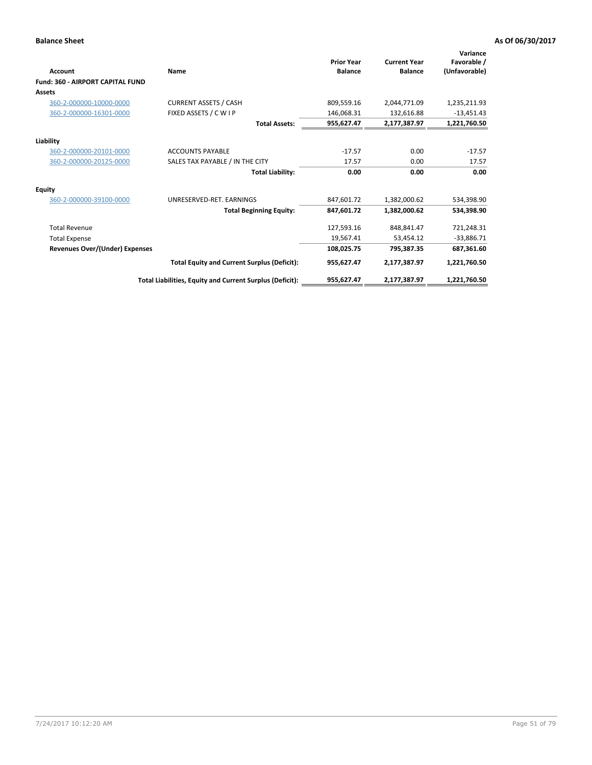| Account                                 | Name                                                     | <b>Prior Year</b><br><b>Balance</b> | <b>Current Year</b><br><b>Balance</b> | Variance<br>Favorable /<br>(Unfavorable) |
|-----------------------------------------|----------------------------------------------------------|-------------------------------------|---------------------------------------|------------------------------------------|
| <b>Fund: 360 - AIRPORT CAPITAL FUND</b> |                                                          |                                     |                                       |                                          |
| <b>Assets</b>                           |                                                          |                                     |                                       |                                          |
| 360-2-000000-10000-0000                 | <b>CURRENT ASSETS / CASH</b>                             | 809,559.16                          | 2,044,771.09                          | 1,235,211.93                             |
| 360-2-000000-16301-0000                 | FIXED ASSETS / C W I P                                   | 146.068.31                          | 132,616.88                            | $-13,451.43$                             |
|                                         | <b>Total Assets:</b>                                     | 955,627.47                          | 2,177,387.97                          | 1,221,760.50                             |
| Liability                               |                                                          |                                     |                                       |                                          |
| 360-2-000000-20101-0000                 | <b>ACCOUNTS PAYABLE</b>                                  | $-17.57$                            | 0.00                                  | $-17.57$                                 |
| 360-2-000000-20125-0000                 | SALES TAX PAYABLE / IN THE CITY                          | 17.57                               | 0.00                                  | 17.57                                    |
|                                         | <b>Total Liability:</b>                                  | 0.00                                | 0.00                                  | 0.00                                     |
| Equity                                  |                                                          |                                     |                                       |                                          |
| 360-2-000000-39100-0000                 | UNRESERVED-RET. EARNINGS                                 | 847,601.72                          | 1,382,000.62                          | 534,398.90                               |
|                                         | <b>Total Beginning Equity:</b>                           | 847,601.72                          | 1,382,000.62                          | 534,398.90                               |
| <b>Total Revenue</b>                    |                                                          | 127,593.16                          | 848,841.47                            | 721,248.31                               |
| <b>Total Expense</b>                    |                                                          | 19,567.41                           | 53,454.12                             | $-33,886.71$                             |
| Revenues Over/(Under) Expenses          |                                                          | 108,025.75                          | 795,387.35                            | 687,361.60                               |
|                                         | <b>Total Equity and Current Surplus (Deficit):</b>       | 955,627.47                          | 2,177,387.97                          | 1,221,760.50                             |
|                                         | Total Liabilities, Equity and Current Surplus (Deficit): | 955,627.47                          | 2,177,387.97                          | 1,221,760.50                             |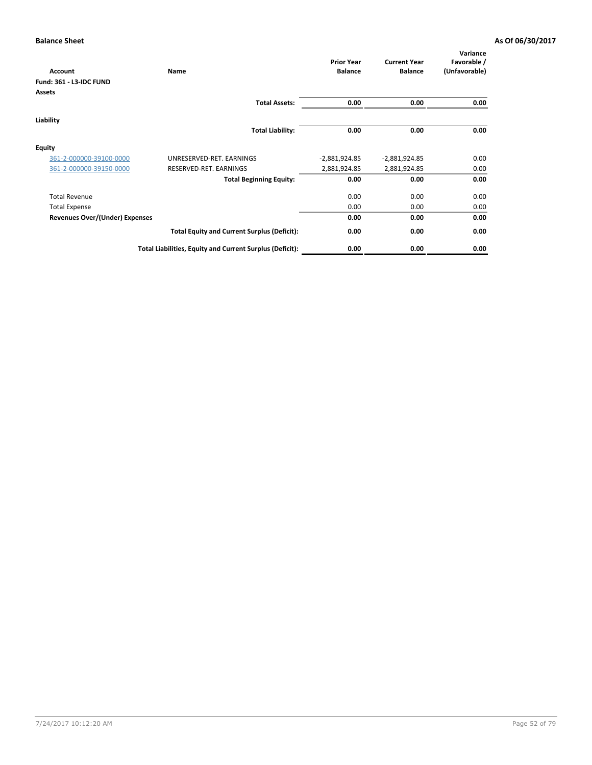| Name                                               | <b>Prior Year</b><br><b>Balance</b>                      | <b>Current Year</b><br><b>Balance</b> | Variance<br>Favorable /<br>(Unfavorable) |
|----------------------------------------------------|----------------------------------------------------------|---------------------------------------|------------------------------------------|
|                                                    |                                                          |                                       |                                          |
|                                                    |                                                          |                                       |                                          |
| <b>Total Assets:</b>                               | 0.00                                                     | 0.00                                  | 0.00                                     |
|                                                    |                                                          |                                       |                                          |
| <b>Total Liability:</b>                            | 0.00                                                     | 0.00                                  | 0.00                                     |
|                                                    |                                                          |                                       |                                          |
| UNRESERVED-RET. EARNINGS                           | $-2,881,924.85$                                          | $-2,881,924.85$                       | 0.00                                     |
| RESERVED-RET. EARNINGS                             | 2,881,924.85                                             | 2,881,924.85                          | 0.00                                     |
| <b>Total Beginning Equity:</b>                     | 0.00                                                     | 0.00                                  | 0.00                                     |
|                                                    | 0.00                                                     | 0.00                                  | 0.00                                     |
|                                                    | 0.00                                                     | 0.00                                  | 0.00                                     |
|                                                    | 0.00                                                     | 0.00                                  | 0.00                                     |
| <b>Total Equity and Current Surplus (Deficit):</b> | 0.00                                                     | 0.00                                  | 0.00                                     |
|                                                    | 0.00                                                     | 0.00                                  | 0.00                                     |
|                                                    | Total Liabilities, Equity and Current Surplus (Deficit): |                                       |                                          |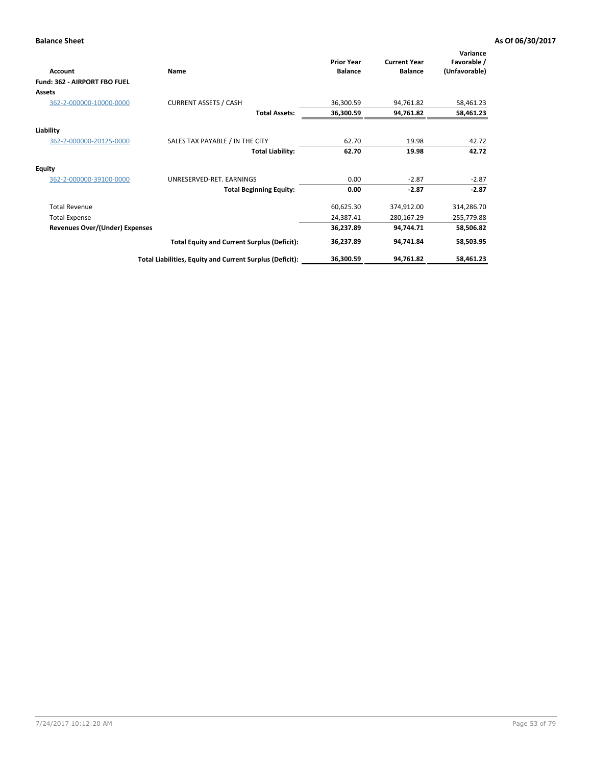| Account                               | Name                                                     | <b>Prior Year</b><br><b>Balance</b> | <b>Current Year</b><br><b>Balance</b> | Variance<br>Favorable /<br>(Unfavorable) |
|---------------------------------------|----------------------------------------------------------|-------------------------------------|---------------------------------------|------------------------------------------|
| Fund: 362 - AIRPORT FBO FUEL          |                                                          |                                     |                                       |                                          |
| <b>Assets</b>                         |                                                          |                                     |                                       |                                          |
| 362-2-000000-10000-0000               | <b>CURRENT ASSETS / CASH</b>                             | 36,300.59                           | 94,761.82                             | 58,461.23                                |
|                                       | <b>Total Assets:</b>                                     | 36,300.59                           | 94,761.82                             | 58,461.23                                |
| Liability                             |                                                          |                                     |                                       |                                          |
| 362-2-000000-20125-0000               | SALES TAX PAYABLE / IN THE CITY                          | 62.70                               | 19.98                                 | 42.72                                    |
|                                       | <b>Total Liability:</b>                                  | 62.70                               | 19.98                                 | 42.72                                    |
| <b>Equity</b>                         |                                                          |                                     |                                       |                                          |
| 362-2-000000-39100-0000               | UNRESERVED-RET. EARNINGS                                 | 0.00                                | $-2.87$                               | $-2.87$                                  |
|                                       | <b>Total Beginning Equity:</b>                           | 0.00                                | $-2.87$                               | $-2.87$                                  |
| <b>Total Revenue</b>                  |                                                          | 60,625.30                           | 374,912.00                            | 314,286.70                               |
| <b>Total Expense</b>                  |                                                          | 24,387.41                           | 280,167.29                            | -255,779.88                              |
| <b>Revenues Over/(Under) Expenses</b> |                                                          | 36,237.89                           | 94,744.71                             | 58,506.82                                |
|                                       | <b>Total Equity and Current Surplus (Deficit):</b>       | 36,237.89                           | 94,741.84                             | 58,503.95                                |
|                                       | Total Liabilities, Equity and Current Surplus (Deficit): | 36,300.59                           | 94,761.82                             | 58,461.23                                |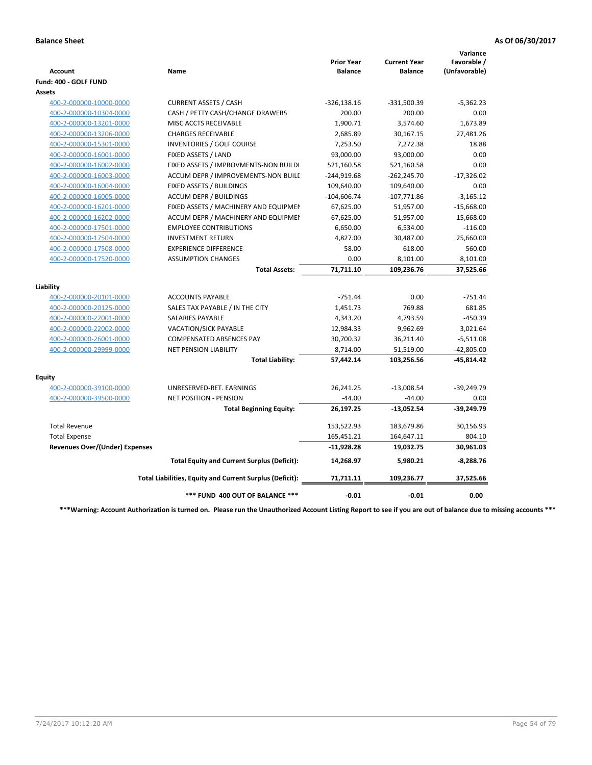| <b>Account</b>                        | Name                                                     | <b>Prior Year</b><br><b>Balance</b> | <b>Current Year</b><br><b>Balance</b> | Variance<br>Favorable /<br>(Unfavorable) |
|---------------------------------------|----------------------------------------------------------|-------------------------------------|---------------------------------------|------------------------------------------|
| Fund: 400 - GOLF FUND                 |                                                          |                                     |                                       |                                          |
| Assets                                |                                                          |                                     |                                       |                                          |
| 400-2-000000-10000-0000               | <b>CURRENT ASSETS / CASH</b>                             | $-326,138.16$                       | $-331,500.39$                         | $-5,362.23$                              |
| 400-2-000000-10304-0000               | CASH / PETTY CASH/CHANGE DRAWERS                         | 200.00                              | 200.00                                | 0.00                                     |
| 400-2-000000-13201-0000               | MISC ACCTS RECEIVABLE                                    | 1,900.71                            | 3,574.60                              | 1,673.89                                 |
| 400-2-000000-13206-0000               | <b>CHARGES RECEIVABLE</b>                                | 2,685.89                            | 30,167.15                             | 27,481.26                                |
| 400-2-000000-15301-0000               | <b>INVENTORIES / GOLF COURSE</b>                         | 7,253.50                            | 7,272.38                              | 18.88                                    |
| 400-2-000000-16001-0000               | FIXED ASSETS / LAND                                      | 93,000.00                           | 93,000.00                             | 0.00                                     |
| 400-2-000000-16002-0000               | FIXED ASSETS / IMPROVMENTS-NON BUILDI                    | 521,160.58                          | 521,160.58                            | 0.00                                     |
| 400-2-000000-16003-0000               | ACCUM DEPR / IMPROVEMENTS-NON BUILL                      | $-244,919.68$                       | $-262,245.70$                         | $-17,326.02$                             |
| 400-2-000000-16004-0000               | FIXED ASSETS / BUILDINGS                                 | 109,640.00                          | 109,640.00                            | 0.00                                     |
| 400-2-000000-16005-0000               | <b>ACCUM DEPR / BUILDINGS</b>                            | $-104,606.74$                       | $-107,771.86$                         | $-3,165.12$                              |
| 400-2-000000-16201-0000               | FIXED ASSETS / MACHINERY AND EQUIPMEN                    | 67,625.00                           | 51,957.00                             | $-15,668.00$                             |
| 400-2-000000-16202-0000               | ACCUM DEPR / MACHINERY AND EQUIPMEI                      | $-67,625.00$                        | $-51,957.00$                          | 15,668.00                                |
| 400-2-000000-17501-0000               | <b>EMPLOYEE CONTRIBUTIONS</b>                            | 6,650.00                            | 6,534.00                              | $-116.00$                                |
| 400-2-000000-17504-0000               | <b>INVESTMENT RETURN</b>                                 | 4,827.00                            | 30,487.00                             | 25,660.00                                |
| 400-2-000000-17508-0000               | <b>EXPERIENCE DIFFERENCE</b>                             | 58.00                               | 618.00                                | 560.00                                   |
| 400-2-000000-17520-0000               | <b>ASSUMPTION CHANGES</b>                                | 0.00                                | 8,101.00                              | 8,101.00                                 |
|                                       | <b>Total Assets:</b>                                     | 71,711.10                           | 109,236.76                            | 37,525.66                                |
|                                       |                                                          |                                     |                                       |                                          |
| Liability                             |                                                          |                                     |                                       |                                          |
| 400-2-000000-20101-0000               | <b>ACCOUNTS PAYABLE</b>                                  | $-751.44$                           | 0.00                                  | $-751.44$                                |
| 400-2-000000-20125-0000               | SALES TAX PAYABLE / IN THE CITY                          | 1,451.73                            | 769.88                                | 681.85                                   |
| 400-2-000000-22001-0000               | <b>SALARIES PAYABLE</b>                                  | 4,343.20                            | 4,793.59                              | $-450.39$                                |
| 400-2-000000-22002-0000               | <b>VACATION/SICK PAYABLE</b>                             | 12,984.33                           | 9,962.69                              | 3,021.64                                 |
| 400-2-000000-26001-0000               | <b>COMPENSATED ABSENCES PAY</b>                          | 30,700.32                           | 36,211.40                             | $-5,511.08$                              |
| 400-2-000000-29999-0000               | <b>NET PENSION LIABILITY</b>                             | 8,714.00                            | 51,519.00                             | $-42,805.00$                             |
|                                       | <b>Total Liability:</b>                                  | 57,442.14                           | 103,256.56                            | -45,814.42                               |
| Fquity                                |                                                          |                                     |                                       |                                          |
| 400-2-000000-39100-0000               | UNRESERVED-RET. EARNINGS                                 | 26,241.25                           | $-13,008.54$                          | $-39,249.79$                             |
| 400-2-000000-39500-0000               | <b>NET POSITION - PENSION</b>                            | $-44.00$                            | $-44.00$                              | 0.00                                     |
|                                       | <b>Total Beginning Equity:</b>                           | 26,197.25                           | $-13,052.54$                          | $-39,249.79$                             |
|                                       |                                                          |                                     |                                       |                                          |
| <b>Total Revenue</b>                  |                                                          | 153,522.93                          | 183,679.86                            | 30,156.93                                |
| <b>Total Expense</b>                  |                                                          | 165,451.21                          | 164,647.11                            | 804.10                                   |
| <b>Revenues Over/(Under) Expenses</b> |                                                          | $-11,928.28$                        | 19,032.75                             | 30,961.03                                |
|                                       | <b>Total Equity and Current Surplus (Deficit):</b>       | 14,268.97                           | 5,980.21                              | $-8,288.76$                              |
|                                       | Total Liabilities, Equity and Current Surplus (Deficit): | 71,711.11                           | 109,236.77                            | 37,525.66                                |
|                                       | *** FUND 400 OUT OF BALANCE ***                          | $-0.01$                             | $-0.01$                               | 0.00                                     |

**\*\*\*Warning: Account Authorization is turned on. Please run the Unauthorized Account Listing Report to see if you are out of balance due to missing accounts \*\*\***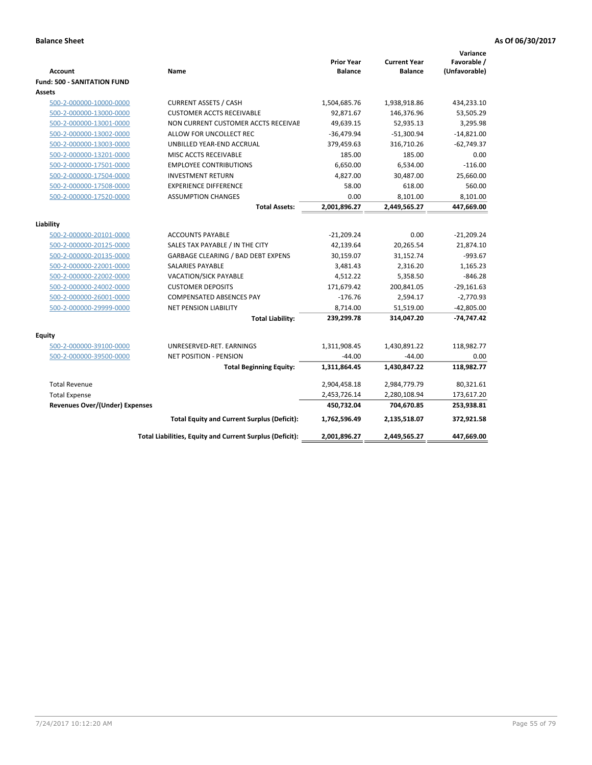| <b>Account</b><br><b>Fund: 500 - SANITATION FUND</b> | Name                                                     | <b>Prior Year</b><br><b>Balance</b> | <b>Current Year</b><br><b>Balance</b> | Variance<br>Favorable /<br>(Unfavorable) |
|------------------------------------------------------|----------------------------------------------------------|-------------------------------------|---------------------------------------|------------------------------------------|
| Assets                                               |                                                          |                                     |                                       |                                          |
| 500-2-000000-10000-0000                              | <b>CURRENT ASSETS / CASH</b>                             | 1,504,685.76                        | 1,938,918.86                          | 434,233.10                               |
| 500-2-000000-13000-0000                              | <b>CUSTOMER ACCTS RECEIVABLE</b>                         | 92,871.67                           | 146,376.96                            | 53,505.29                                |
| 500-2-000000-13001-0000                              | NON CURRENT CUSTOMER ACCTS RECEIVAE                      | 49,639.15                           | 52,935.13                             | 3,295.98                                 |
| 500-2-000000-13002-0000                              | ALLOW FOR UNCOLLECT REC                                  | $-36,479.94$                        | $-51,300.94$                          | $-14,821.00$                             |
| 500-2-000000-13003-0000                              | UNBILLED YEAR-END ACCRUAL                                | 379,459.63                          | 316,710.26                            | $-62,749.37$                             |
| 500-2-000000-13201-0000                              | MISC ACCTS RECEIVABLE                                    | 185.00                              | 185.00                                | 0.00                                     |
| 500-2-000000-17501-0000                              | <b>EMPLOYEE CONTRIBUTIONS</b>                            | 6,650.00                            | 6,534.00                              | $-116.00$                                |
| 500-2-000000-17504-0000                              | <b>INVESTMENT RETURN</b>                                 | 4,827.00                            | 30,487.00                             | 25,660.00                                |
| 500-2-000000-17508-0000                              | <b>EXPERIENCE DIFFERENCE</b>                             | 58.00                               | 618.00                                | 560.00                                   |
| 500-2-000000-17520-0000                              | <b>ASSUMPTION CHANGES</b>                                | 0.00                                | 8,101.00                              | 8,101.00                                 |
|                                                      | <b>Total Assets:</b>                                     | 2,001,896.27                        | 2,449,565.27                          | 447,669.00                               |
|                                                      |                                                          |                                     |                                       |                                          |
| Liability                                            |                                                          |                                     |                                       |                                          |
| 500-2-000000-20101-0000                              | <b>ACCOUNTS PAYABLE</b>                                  | $-21,209.24$                        | 0.00                                  | $-21,209.24$                             |
| 500-2-000000-20125-0000                              | SALES TAX PAYABLE / IN THE CITY                          | 42,139.64                           | 20,265.54                             | 21,874.10                                |
| 500-2-000000-20135-0000                              | GARBAGE CLEARING / BAD DEBT EXPENS                       | 30,159.07                           | 31,152.74                             | -993.67                                  |
| 500-2-000000-22001-0000                              | <b>SALARIES PAYABLE</b>                                  | 3,481.43                            | 2,316.20                              | 1,165.23                                 |
| 500-2-000000-22002-0000                              | <b>VACATION/SICK PAYABLE</b>                             | 4,512.22                            | 5,358.50                              | $-846.28$                                |
| 500-2-000000-24002-0000                              | <b>CUSTOMER DEPOSITS</b>                                 | 171,679.42                          | 200,841.05                            | $-29,161.63$                             |
| 500-2-000000-26001-0000                              | <b>COMPENSATED ABSENCES PAY</b>                          | $-176.76$                           | 2,594.17                              | $-2,770.93$                              |
| 500-2-000000-29999-0000                              | <b>NET PENSION LIABILITY</b>                             | 8,714.00                            | 51,519.00                             | $-42,805.00$                             |
|                                                      | <b>Total Liability:</b>                                  | 239,299.78                          | 314,047.20                            | $-74,747.42$                             |
| Equity                                               |                                                          |                                     |                                       |                                          |
| 500-2-000000-39100-0000                              | UNRESERVED-RET. EARNINGS                                 | 1,311,908.45                        | 1,430,891.22                          | 118,982.77                               |
| 500-2-000000-39500-0000                              | <b>NET POSITION - PENSION</b>                            | $-44.00$                            | $-44.00$                              | 0.00                                     |
|                                                      | <b>Total Beginning Equity:</b>                           | 1,311,864.45                        | 1,430,847.22                          | 118,982.77                               |
| <b>Total Revenue</b>                                 |                                                          | 2,904,458.18                        | 2,984,779.79                          | 80,321.61                                |
| <b>Total Expense</b>                                 |                                                          | 2,453,726.14                        | 2,280,108.94                          | 173,617.20                               |
| <b>Revenues Over/(Under) Expenses</b>                |                                                          | 450,732.04                          | 704,670.85                            | 253,938.81                               |
|                                                      | <b>Total Equity and Current Surplus (Deficit):</b>       | 1,762,596.49                        | 2,135,518.07                          | 372,921.58                               |
|                                                      | Total Liabilities, Equity and Current Surplus (Deficit): | 2,001,896.27                        | 2,449,565.27                          | 447,669.00                               |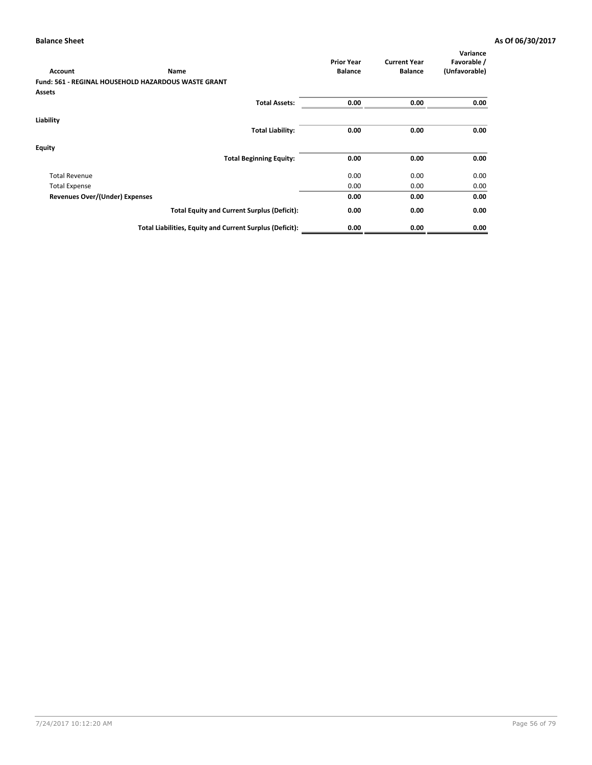|                                       |                                                            | <b>Prior Year</b> | <b>Current Year</b> | Variance<br>Favorable / |
|---------------------------------------|------------------------------------------------------------|-------------------|---------------------|-------------------------|
| <b>Account</b>                        | Name                                                       | <b>Balance</b>    | <b>Balance</b>      | (Unfavorable)           |
|                                       | <b>Fund: 561 - REGINAL HOUSEHOLD HAZARDOUS WASTE GRANT</b> |                   |                     |                         |
| <b>Assets</b>                         |                                                            |                   |                     |                         |
|                                       | <b>Total Assets:</b>                                       | 0.00              | 0.00                | 0.00                    |
| Liability                             |                                                            |                   |                     |                         |
|                                       | <b>Total Liability:</b>                                    | 0.00              | 0.00                | 0.00                    |
| Equity                                |                                                            |                   |                     |                         |
|                                       | <b>Total Beginning Equity:</b>                             | 0.00              | 0.00                | 0.00                    |
| <b>Total Revenue</b>                  |                                                            | 0.00              | 0.00                | 0.00                    |
| <b>Total Expense</b>                  |                                                            | 0.00              | 0.00                | 0.00                    |
| <b>Revenues Over/(Under) Expenses</b> |                                                            | 0.00              | 0.00                | 0.00                    |
|                                       | <b>Total Equity and Current Surplus (Deficit):</b>         | 0.00              | 0.00                | 0.00                    |
|                                       | Total Liabilities, Equity and Current Surplus (Deficit):   | 0.00              | 0.00                | 0.00                    |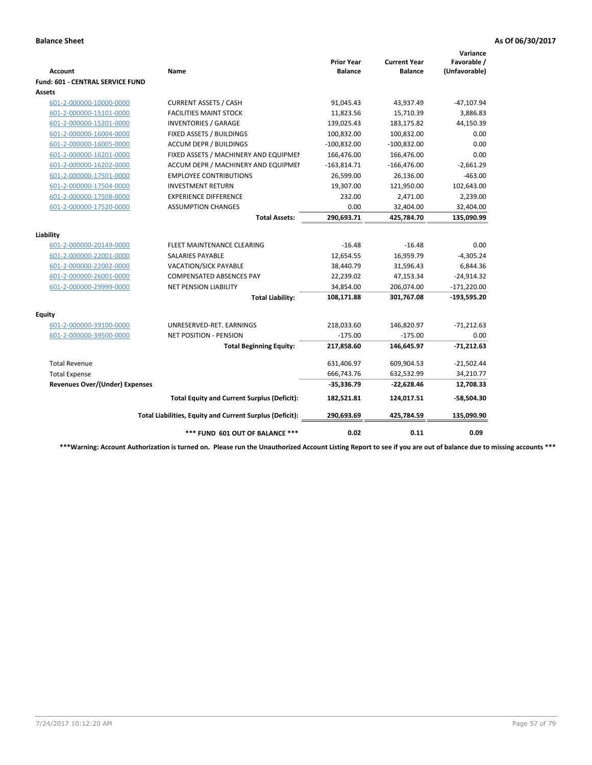| <b>Account</b>                          | Name                                                     | <b>Prior Year</b><br><b>Balance</b> | <b>Current Year</b><br><b>Balance</b> | Variance<br>Favorable /<br>(Unfavorable) |
|-----------------------------------------|----------------------------------------------------------|-------------------------------------|---------------------------------------|------------------------------------------|
| <b>Fund: 601 - CENTRAL SERVICE FUND</b> |                                                          |                                     |                                       |                                          |
| <b>Assets</b>                           |                                                          |                                     |                                       |                                          |
| 601-2-000000-10000-0000                 | <b>CURRENT ASSETS / CASH</b>                             | 91,045.43                           | 43,937.49                             | $-47,107.94$                             |
| 601-2-000000-15101-0000                 | <b>FACILITIES MAINT STOCK</b>                            | 11,823.56                           | 15,710.39                             | 3,886.83                                 |
| 601-2-000000-15201-0000                 | <b>INVENTORIES / GARAGE</b>                              | 139,025.43                          | 183,175.82                            | 44,150.39                                |
| 601-2-000000-16004-0000                 | FIXED ASSETS / BUILDINGS                                 | 100,832.00                          | 100,832.00                            | 0.00                                     |
| 601-2-000000-16005-0000                 | <b>ACCUM DEPR / BUILDINGS</b>                            | $-100,832.00$                       | $-100,832.00$                         | 0.00                                     |
| 601-2-000000-16201-0000                 | FIXED ASSETS / MACHINERY AND EQUIPMEN                    | 166,476.00                          | 166,476.00                            | 0.00                                     |
| 601-2-000000-16202-0000                 | ACCUM DEPR / MACHINERY AND EQUIPMEI                      | $-163,814.71$                       | $-166,476.00$                         | $-2,661.29$                              |
| 601-2-000000-17501-0000                 | <b>EMPLOYEE CONTRIBUTIONS</b>                            | 26,599.00                           | 26,136.00                             | $-463.00$                                |
| 601-2-000000-17504-0000                 | <b>INVESTMENT RETURN</b>                                 | 19,307.00                           | 121,950.00                            | 102,643.00                               |
| 601-2-000000-17508-0000                 | <b>EXPERIENCE DIFFERENCE</b>                             | 232.00                              | 2,471.00                              | 2,239.00                                 |
| 601-2-000000-17520-0000                 | <b>ASSUMPTION CHANGES</b>                                | 0.00                                | 32,404.00                             | 32,404.00                                |
|                                         | <b>Total Assets:</b>                                     | 290,693.71                          | 425,784.70                            | 135,090.99                               |
| Liability                               |                                                          |                                     |                                       |                                          |
| 601-2-000000-20149-0000                 | FLEET MAINTENANCE CLEARING                               | $-16.48$                            | $-16.48$                              | 0.00                                     |
| 601-2-000000-22001-0000                 | SALARIES PAYABLE                                         | 12,654.55                           | 16,959.79                             | $-4,305.24$                              |
| 601-2-000000-22002-0000                 | <b>VACATION/SICK PAYABLE</b>                             | 38,440.79                           | 31,596.43                             | 6,844.36                                 |
| 601-2-000000-26001-0000                 | <b>COMPENSATED ABSENCES PAY</b>                          | 22,239.02                           | 47,153.34                             | $-24,914.32$                             |
| 601-2-000000-29999-0000                 | <b>NET PENSION LIABILITY</b>                             | 34,854.00                           | 206,074.00                            | $-171,220.00$                            |
|                                         | <b>Total Liability:</b>                                  | 108,171.88                          | 301,767.08                            | $-193,595.20$                            |
| <b>Equity</b>                           |                                                          |                                     |                                       |                                          |
| 601-2-000000-39100-0000                 | UNRESERVED-RET. EARNINGS                                 | 218,033.60                          | 146,820.97                            | $-71,212.63$                             |
| 601-2-000000-39500-0000                 | <b>NET POSITION - PENSION</b>                            | $-175.00$                           | $-175.00$                             | 0.00                                     |
|                                         | <b>Total Beginning Equity:</b>                           | 217,858.60                          | 146,645.97                            | $-71,212.63$                             |
| <b>Total Revenue</b>                    |                                                          | 631,406.97                          | 609,904.53                            | $-21,502.44$                             |
| <b>Total Expense</b>                    |                                                          | 666,743.76                          | 632,532.99                            | 34,210.77                                |
| <b>Revenues Over/(Under) Expenses</b>   |                                                          | $-35,336.79$                        | $-22,628.46$                          | 12,708.33                                |
|                                         | <b>Total Equity and Current Surplus (Deficit):</b>       | 182,521.81                          | 124,017.51                            | -58,504.30                               |
|                                         | Total Liabilities, Equity and Current Surplus (Deficit): | 290,693.69                          | 425,784.59                            | 135,090.90                               |
|                                         | *** FUND 601 OUT OF BALANCE ***                          | 0.02                                | 0.11                                  | 0.09                                     |

**\*\*\*Warning: Account Authorization is turned on. Please run the Unauthorized Account Listing Report to see if you are out of balance due to missing accounts \*\*\***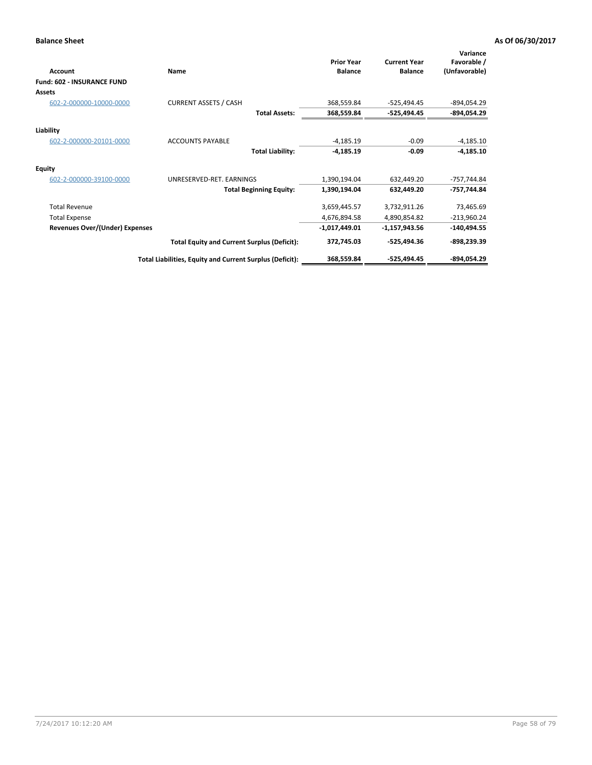| Account                               | Name                                                     | <b>Prior Year</b><br><b>Balance</b> | <b>Current Year</b><br><b>Balance</b> | Variance<br>Favorable /<br>(Unfavorable) |
|---------------------------------------|----------------------------------------------------------|-------------------------------------|---------------------------------------|------------------------------------------|
| <b>Fund: 602 - INSURANCE FUND</b>     |                                                          |                                     |                                       |                                          |
| Assets                                |                                                          |                                     |                                       |                                          |
| 602-2-000000-10000-0000               | <b>CURRENT ASSETS / CASH</b>                             | 368,559.84                          | $-525,494.45$                         | -894,054.29                              |
|                                       | <b>Total Assets:</b>                                     | 368,559.84                          | -525,494.45                           | -894,054.29                              |
| Liability                             |                                                          |                                     |                                       |                                          |
| 602-2-000000-20101-0000               | <b>ACCOUNTS PAYABLE</b>                                  | $-4,185.19$                         | $-0.09$                               | $-4,185.10$                              |
|                                       | <b>Total Liability:</b>                                  | $-4,185.19$                         | $-0.09$                               | $-4,185.10$                              |
| <b>Equity</b>                         |                                                          |                                     |                                       |                                          |
| 602-2-000000-39100-0000               | UNRESERVED-RET. EARNINGS                                 | 1,390,194.04                        | 632,449.20                            | -757,744.84                              |
|                                       | <b>Total Beginning Equity:</b>                           | 1,390,194.04                        | 632,449.20                            | -757,744.84                              |
| <b>Total Revenue</b>                  |                                                          | 3,659,445.57                        | 3,732,911.26                          | 73,465.69                                |
| <b>Total Expense</b>                  |                                                          | 4,676,894.58                        | 4,890,854.82                          | $-213,960.24$                            |
| <b>Revenues Over/(Under) Expenses</b> |                                                          | $-1,017,449.01$                     | $-1,157,943.56$                       | $-140,494.55$                            |
|                                       | <b>Total Equity and Current Surplus (Deficit):</b>       | 372,745.03                          | $-525,494.36$                         | $-898,239.39$                            |
|                                       | Total Liabilities, Equity and Current Surplus (Deficit): | 368,559.84                          | $-525,494.45$                         | -894,054.29                              |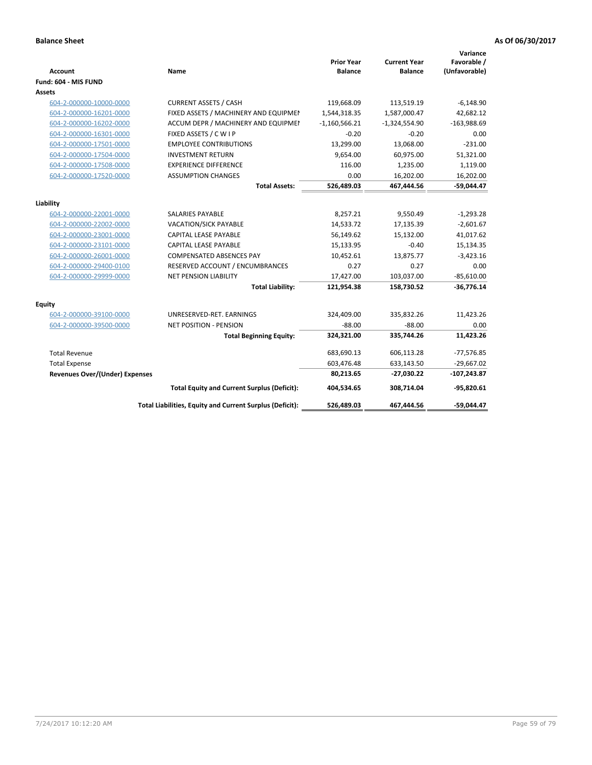| <b>Account</b>                        | <b>Name</b>                                                     | <b>Prior Year</b><br><b>Balance</b> | <b>Current Year</b><br><b>Balance</b> | Variance<br>Favorable /<br>(Unfavorable) |
|---------------------------------------|-----------------------------------------------------------------|-------------------------------------|---------------------------------------|------------------------------------------|
| Fund: 604 - MIS FUND                  |                                                                 |                                     |                                       |                                          |
| Assets                                |                                                                 |                                     |                                       |                                          |
| 604-2-000000-10000-0000               | <b>CURRENT ASSETS / CASH</b>                                    | 119,668.09                          | 113,519.19                            | $-6,148.90$                              |
| 604-2-000000-16201-0000               | FIXED ASSETS / MACHINERY AND EQUIPMEN                           | 1,544,318.35                        | 1,587,000.47                          | 42,682.12                                |
| 604-2-000000-16202-0000               | ACCUM DEPR / MACHINERY AND EQUIPMEI                             | $-1,160,566.21$                     | $-1,324,554.90$                       | $-163,988.69$                            |
| 604-2-000000-16301-0000               | FIXED ASSETS / C W I P                                          | $-0.20$                             | $-0.20$                               | 0.00                                     |
| 604-2-000000-17501-0000               | <b>EMPLOYEE CONTRIBUTIONS</b>                                   | 13,299.00                           | 13,068.00                             | $-231.00$                                |
| 604-2-000000-17504-0000               | <b>INVESTMENT RETURN</b>                                        | 9,654.00                            | 60,975.00                             | 51,321.00                                |
| 604-2-000000-17508-0000               | <b>EXPERIENCE DIFFERENCE</b>                                    | 116.00                              | 1,235.00                              | 1,119.00                                 |
| 604-2-000000-17520-0000               | <b>ASSUMPTION CHANGES</b>                                       | 0.00                                | 16,202.00                             | 16,202.00                                |
|                                       | <b>Total Assets:</b>                                            | 526,489.03                          | 467,444.56                            | $-59,044.47$                             |
|                                       |                                                                 |                                     |                                       |                                          |
| Liability                             |                                                                 |                                     |                                       |                                          |
| 604-2-000000-22001-0000               | SALARIES PAYABLE                                                | 8,257.21                            | 9,550.49                              | $-1,293.28$                              |
| 604-2-000000-22002-0000               | VACATION/SICK PAYABLE                                           | 14,533.72                           | 17,135.39                             | $-2,601.67$                              |
| 604-2-000000-23001-0000               | CAPITAL LEASE PAYABLE                                           | 56,149.62                           | 15,132.00                             | 41,017.62                                |
| 604-2-000000-23101-0000               | CAPITAL LEASE PAYABLE                                           | 15,133.95                           | $-0.40$                               | 15,134.35                                |
| 604-2-000000-26001-0000               | <b>COMPENSATED ABSENCES PAY</b>                                 | 10,452.61<br>0.27                   | 13,875.77<br>0.27                     | $-3,423.16$<br>0.00                      |
| 604-2-000000-29400-0100               | RESERVED ACCOUNT / ENCUMBRANCES<br><b>NET PENSION LIABILITY</b> |                                     |                                       |                                          |
| 604-2-000000-29999-0000               | <b>Total Liability:</b>                                         | 17,427.00                           | 103,037.00                            | $-85,610.00$<br>$-36,776.14$             |
|                                       |                                                                 | 121,954.38                          | 158,730.52                            |                                          |
| Equity                                |                                                                 |                                     |                                       |                                          |
| 604-2-000000-39100-0000               | UNRESERVED-RET. EARNINGS                                        | 324,409.00                          | 335,832.26                            | 11,423.26                                |
| 604-2-000000-39500-0000               | <b>NET POSITION - PENSION</b>                                   | $-88.00$                            | $-88.00$                              | 0.00                                     |
|                                       | <b>Total Beginning Equity:</b>                                  | 324,321.00                          | 335,744.26                            | 11,423.26                                |
| <b>Total Revenue</b>                  |                                                                 | 683,690.13                          | 606,113.28                            | $-77,576.85$                             |
| <b>Total Expense</b>                  |                                                                 | 603,476.48                          | 633,143.50                            | $-29,667.02$                             |
| <b>Revenues Over/(Under) Expenses</b> |                                                                 | 80,213.65                           | $-27,030.22$                          | $-107,243.87$                            |
|                                       | <b>Total Equity and Current Surplus (Deficit):</b>              | 404,534.65                          | 308,714.04                            | $-95,820.61$                             |
|                                       | Total Liabilities, Equity and Current Surplus (Deficit):        | 526,489.03                          | 467,444.56                            | -59,044.47                               |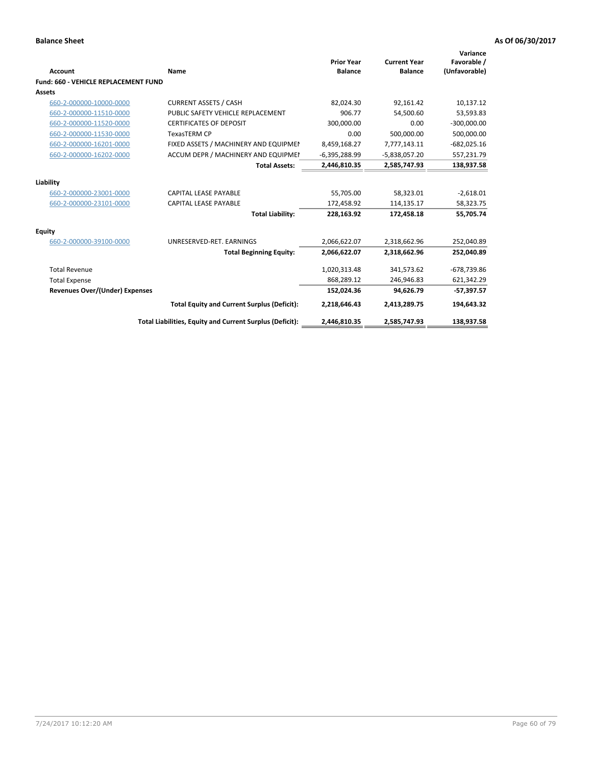|                                       |                                                          | <b>Prior Year</b> | <b>Current Year</b> | Variance<br>Favorable / |
|---------------------------------------|----------------------------------------------------------|-------------------|---------------------|-------------------------|
| Account                               | Name                                                     | <b>Balance</b>    | <b>Balance</b>      | (Unfavorable)           |
| Fund: 660 - VEHICLE REPLACEMENT FUND  |                                                          |                   |                     |                         |
| <b>Assets</b>                         |                                                          |                   |                     |                         |
| 660-2-000000-10000-0000               | <b>CURRENT ASSETS / CASH</b>                             | 82,024.30         | 92,161.42           | 10,137.12               |
| 660-2-000000-11510-0000               | PUBLIC SAFETY VEHICLE REPLACEMENT                        | 906.77            | 54,500.60           | 53,593.83               |
| 660-2-000000-11520-0000               | <b>CERTIFICATES OF DEPOSIT</b>                           | 300,000.00        | 0.00                | $-300,000.00$           |
| 660-2-000000-11530-0000               | <b>TexasTERM CP</b>                                      | 0.00              | 500,000.00          | 500,000.00              |
| 660-2-000000-16201-0000               | FIXED ASSETS / MACHINERY AND EQUIPMEN                    | 8,459,168.27      | 7,777,143.11        | $-682,025.16$           |
| 660-2-000000-16202-0000               | ACCUM DEPR / MACHINERY AND EQUIPMEI                      | $-6,395,288.99$   | $-5,838,057.20$     | 557,231.79              |
|                                       | <b>Total Assets:</b>                                     | 2,446,810.35      | 2,585,747.93        | 138,937.58              |
| Liability                             |                                                          |                   |                     |                         |
| 660-2-000000-23001-0000               | CAPITAL LEASE PAYABLE                                    | 55,705.00         | 58,323.01           | $-2,618.01$             |
| 660-2-000000-23101-0000               | <b>CAPITAL LEASE PAYABLE</b>                             | 172,458.92        | 114,135.17          | 58,323.75               |
|                                       | <b>Total Liability:</b>                                  | 228,163.92        | 172,458.18          | 55,705.74               |
| Equity                                |                                                          |                   |                     |                         |
| 660-2-000000-39100-0000               | UNRESERVED-RET. EARNINGS                                 | 2,066,622.07      | 2,318,662.96        | 252,040.89              |
|                                       | <b>Total Beginning Equity:</b>                           | 2,066,622.07      | 2,318,662.96        | 252,040.89              |
| <b>Total Revenue</b>                  |                                                          | 1,020,313.48      | 341,573.62          | $-678,739.86$           |
| <b>Total Expense</b>                  |                                                          | 868,289.12        | 246,946.83          | 621,342.29              |
| <b>Revenues Over/(Under) Expenses</b> |                                                          | 152,024.36        | 94,626.79           | $-57,397.57$            |
|                                       | <b>Total Equity and Current Surplus (Deficit):</b>       | 2,218,646.43      | 2,413,289.75        | 194,643.32              |
|                                       | Total Liabilities, Equity and Current Surplus (Deficit): | 2,446,810.35      | 2,585,747.93        | 138,937.58              |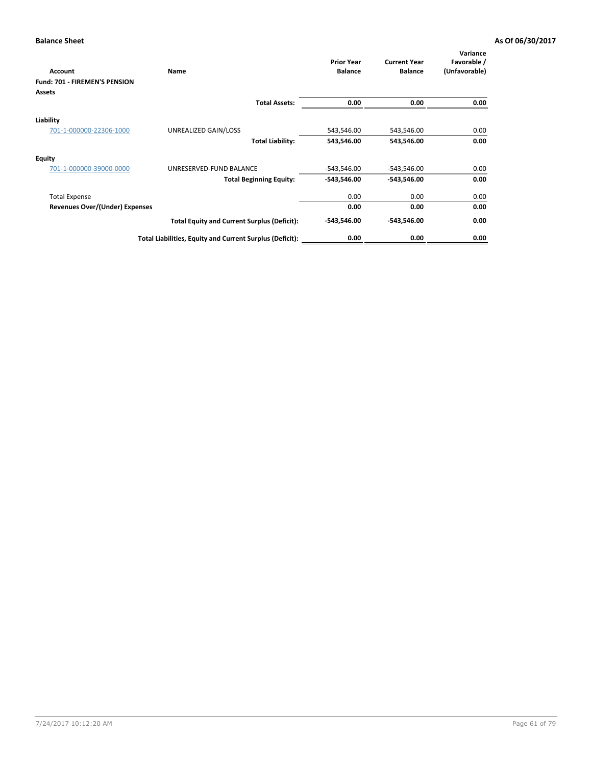| <b>Account</b>                 | Name                                                     | <b>Prior Year</b><br><b>Balance</b> | <b>Current Year</b><br><b>Balance</b> | Variance<br>Favorable /<br>(Unfavorable) |
|--------------------------------|----------------------------------------------------------|-------------------------------------|---------------------------------------|------------------------------------------|
| Fund: 701 - FIREMEN'S PENSION  |                                                          |                                     |                                       |                                          |
| Assets                         |                                                          |                                     |                                       |                                          |
|                                | <b>Total Assets:</b>                                     | 0.00                                | 0.00                                  | 0.00                                     |
| Liability                      |                                                          |                                     |                                       |                                          |
| 701-1-000000-22306-1000        | UNREALIZED GAIN/LOSS                                     | 543,546.00                          | 543,546.00                            | 0.00                                     |
|                                | <b>Total Liability:</b>                                  | 543,546.00                          | 543,546.00                            | 0.00                                     |
| <b>Equity</b>                  |                                                          |                                     |                                       |                                          |
| 701-1-000000-39000-0000        | UNRESERVED-FUND BALANCE                                  | -543,546.00                         | -543,546.00                           | 0.00                                     |
|                                | <b>Total Beginning Equity:</b>                           | $-543,546.00$                       | $-543,546.00$                         | 0.00                                     |
| <b>Total Expense</b>           |                                                          | 0.00                                | 0.00                                  | 0.00                                     |
| Revenues Over/(Under) Expenses |                                                          | 0.00                                | 0.00                                  | 0.00                                     |
|                                | <b>Total Equity and Current Surplus (Deficit):</b>       | $-543,546.00$                       | $-543,546.00$                         | 0.00                                     |
|                                | Total Liabilities, Equity and Current Surplus (Deficit): | 0.00                                | 0.00                                  | 0.00                                     |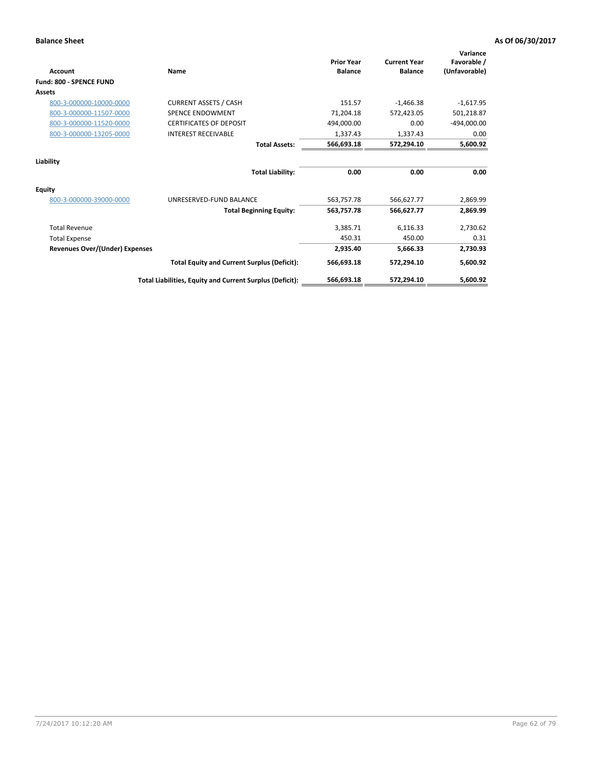| Account                               | Name                                                     | <b>Prior Year</b><br><b>Balance</b> | <b>Current Year</b><br><b>Balance</b> | Variance<br>Favorable /<br>(Unfavorable) |
|---------------------------------------|----------------------------------------------------------|-------------------------------------|---------------------------------------|------------------------------------------|
| <b>Fund: 800 - SPENCE FUND</b>        |                                                          |                                     |                                       |                                          |
| <b>Assets</b>                         |                                                          |                                     |                                       |                                          |
| 800-3-000000-10000-0000               | <b>CURRENT ASSETS / CASH</b>                             | 151.57                              | $-1,466.38$                           | $-1,617.95$                              |
| 800-3-000000-11507-0000               | <b>SPENCE ENDOWMENT</b>                                  | 71,204.18                           | 572,423.05                            | 501,218.87                               |
| 800-3-000000-11520-0000               | <b>CERTIFICATES OF DEPOSIT</b>                           | 494,000.00                          | 0.00                                  | $-494,000.00$                            |
| 800-3-000000-13205-0000               | <b>INTEREST RECEIVABLE</b>                               | 1,337.43                            | 1,337.43                              | 0.00                                     |
|                                       | <b>Total Assets:</b>                                     | 566,693.18                          | 572,294.10                            | 5,600.92                                 |
| Liability                             |                                                          |                                     |                                       |                                          |
|                                       | <b>Total Liability:</b>                                  | 0.00                                | 0.00                                  | 0.00                                     |
| Equity                                |                                                          |                                     |                                       |                                          |
| 800-3-000000-39000-0000               | UNRESERVED-FUND BALANCE                                  | 563,757.78                          | 566,627.77                            | 2,869.99                                 |
|                                       | <b>Total Beginning Equity:</b>                           | 563,757.78                          | 566,627.77                            | 2,869.99                                 |
| <b>Total Revenue</b>                  |                                                          | 3,385.71                            | 6,116.33                              | 2,730.62                                 |
| <b>Total Expense</b>                  |                                                          | 450.31                              | 450.00                                | 0.31                                     |
| <b>Revenues Over/(Under) Expenses</b> |                                                          | 2,935.40                            | 5,666.33                              | 2,730.93                                 |
|                                       | <b>Total Equity and Current Surplus (Deficit):</b>       | 566,693.18                          | 572,294.10                            | 5,600.92                                 |
|                                       | Total Liabilities, Equity and Current Surplus (Deficit): | 566,693.18                          | 572,294.10                            | 5,600.92                                 |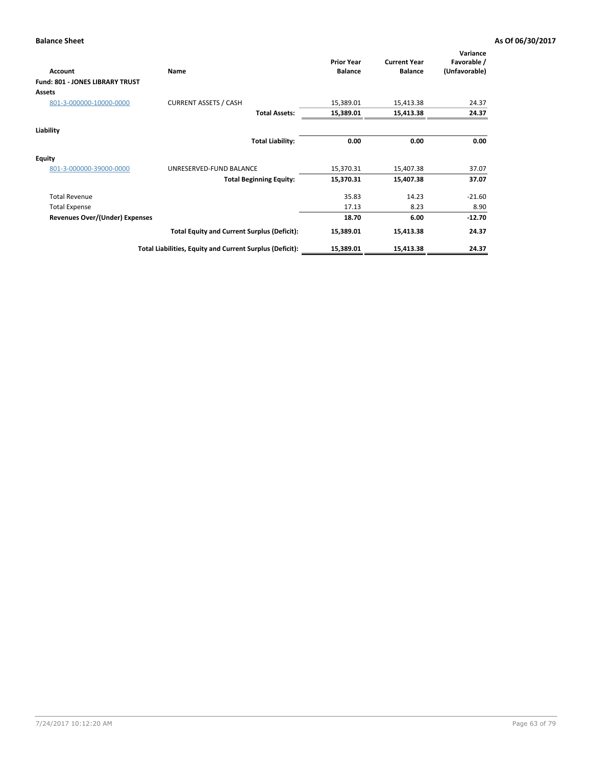| Account                                | <b>Name</b>                                              | <b>Prior Year</b><br><b>Balance</b> | <b>Current Year</b><br><b>Balance</b> | Variance<br>Favorable /<br>(Unfavorable) |
|----------------------------------------|----------------------------------------------------------|-------------------------------------|---------------------------------------|------------------------------------------|
| <b>Fund: 801 - JONES LIBRARY TRUST</b> |                                                          |                                     |                                       |                                          |
| Assets                                 |                                                          |                                     |                                       |                                          |
| 801-3-000000-10000-0000                | <b>CURRENT ASSETS / CASH</b>                             | 15,389.01                           | 15,413.38                             | 24.37                                    |
|                                        | <b>Total Assets:</b>                                     | 15,389.01                           | 15,413.38                             | 24.37                                    |
| Liability                              |                                                          |                                     |                                       |                                          |
|                                        | <b>Total Liability:</b>                                  | 0.00                                | 0.00                                  | 0.00                                     |
| <b>Equity</b>                          |                                                          |                                     |                                       |                                          |
| 801-3-000000-39000-0000                | UNRESERVED-FUND BALANCE                                  | 15,370.31                           | 15,407.38                             | 37.07                                    |
|                                        | <b>Total Beginning Equity:</b>                           | 15,370.31                           | 15,407.38                             | 37.07                                    |
| <b>Total Revenue</b>                   |                                                          | 35.83                               | 14.23                                 | $-21.60$                                 |
| <b>Total Expense</b>                   |                                                          | 17.13                               | 8.23                                  | 8.90                                     |
| Revenues Over/(Under) Expenses         |                                                          | 18.70                               | 6.00                                  | $-12.70$                                 |
|                                        | <b>Total Equity and Current Surplus (Deficit):</b>       | 15,389.01                           | 15,413.38                             | 24.37                                    |
|                                        | Total Liabilities, Equity and Current Surplus (Deficit): | 15,389.01                           | 15,413.38                             | 24.37                                    |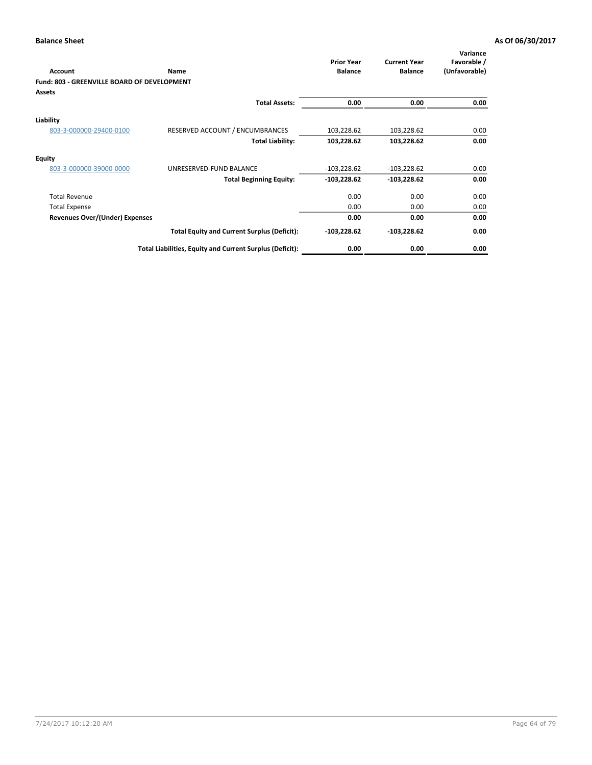| Account                                            | <b>Name</b>                                              | <b>Prior Year</b><br><b>Balance</b> | <b>Current Year</b><br><b>Balance</b> | Variance<br>Favorable /<br>(Unfavorable) |
|----------------------------------------------------|----------------------------------------------------------|-------------------------------------|---------------------------------------|------------------------------------------|
| <b>Fund: 803 - GREENVILLE BOARD OF DEVELOPMENT</b> |                                                          |                                     |                                       |                                          |
| <b>Assets</b>                                      |                                                          |                                     |                                       |                                          |
|                                                    | <b>Total Assets:</b>                                     | 0.00                                | 0.00                                  | 0.00                                     |
| Liability                                          |                                                          |                                     |                                       |                                          |
| 803-3-000000-29400-0100                            | RESERVED ACCOUNT / ENCUMBRANCES                          | 103,228.62                          | 103,228.62                            | 0.00                                     |
|                                                    | <b>Total Liability:</b>                                  | 103,228.62                          | 103,228.62                            | 0.00                                     |
| <b>Equity</b>                                      |                                                          |                                     |                                       |                                          |
| 803-3-000000-39000-0000                            | UNRESERVED-FUND BALANCE                                  | $-103,228.62$                       | $-103,228.62$                         | 0.00                                     |
|                                                    | <b>Total Beginning Equity:</b>                           | $-103,228.62$                       | $-103,228.62$                         | 0.00                                     |
| <b>Total Revenue</b>                               |                                                          | 0.00                                | 0.00                                  | 0.00                                     |
| <b>Total Expense</b>                               |                                                          | 0.00                                | 0.00                                  | 0.00                                     |
| <b>Revenues Over/(Under) Expenses</b>              |                                                          | 0.00                                | 0.00                                  | 0.00                                     |
|                                                    | <b>Total Equity and Current Surplus (Deficit):</b>       | -103,228.62                         | $-103,228.62$                         | 0.00                                     |
|                                                    | Total Liabilities, Equity and Current Surplus (Deficit): | 0.00                                | 0.00                                  | 0.00                                     |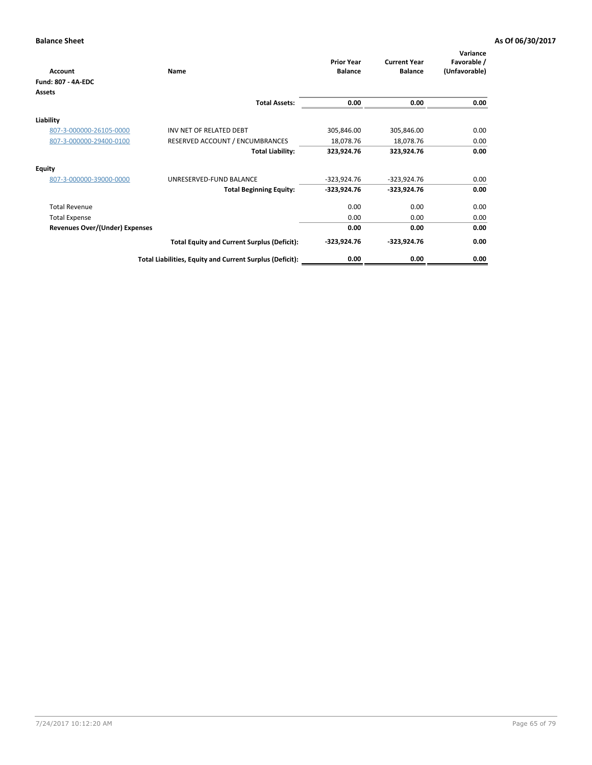| <b>Account</b>                        | Name                                                     | <b>Prior Year</b><br><b>Balance</b> | <b>Current Year</b><br><b>Balance</b> | Variance<br>Favorable /<br>(Unfavorable) |
|---------------------------------------|----------------------------------------------------------|-------------------------------------|---------------------------------------|------------------------------------------|
| Fund: 807 - 4A-EDC                    |                                                          |                                     |                                       |                                          |
| Assets                                |                                                          |                                     |                                       |                                          |
|                                       | <b>Total Assets:</b>                                     | 0.00                                | 0.00                                  | 0.00                                     |
| Liability                             |                                                          |                                     |                                       |                                          |
| 807-3-000000-26105-0000               | INV NET OF RELATED DEBT                                  | 305,846.00                          | 305,846.00                            | 0.00                                     |
| 807-3-000000-29400-0100               | RESERVED ACCOUNT / ENCUMBRANCES                          | 18,078.76                           | 18,078.76                             | 0.00                                     |
|                                       | <b>Total Liability:</b>                                  | 323,924.76                          | 323,924.76                            | 0.00                                     |
| <b>Equity</b>                         |                                                          |                                     |                                       |                                          |
| 807-3-000000-39000-0000               | UNRESERVED-FUND BALANCE                                  | $-323,924.76$                       | $-323,924.76$                         | 0.00                                     |
|                                       | <b>Total Beginning Equity:</b>                           | $-323,924.76$                       | $-323,924.76$                         | 0.00                                     |
| <b>Total Revenue</b>                  |                                                          | 0.00                                | 0.00                                  | 0.00                                     |
| <b>Total Expense</b>                  |                                                          | 0.00                                | 0.00                                  | 0.00                                     |
| <b>Revenues Over/(Under) Expenses</b> |                                                          | 0.00                                | 0.00                                  | 0.00                                     |
|                                       | <b>Total Equity and Current Surplus (Deficit):</b>       | $-323,924.76$                       | $-323,924.76$                         | 0.00                                     |
|                                       | Total Liabilities, Equity and Current Surplus (Deficit): | 0.00                                | 0.00                                  | 0.00                                     |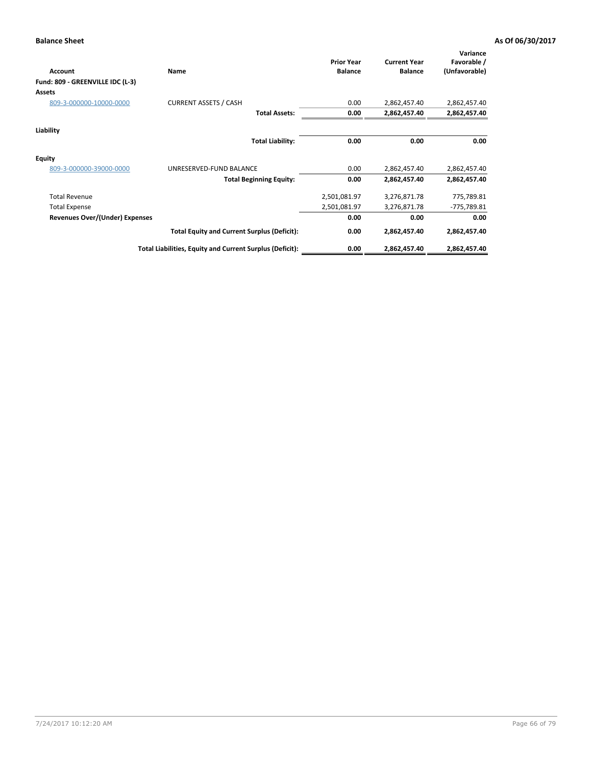| Account                          | <b>Name</b>                                              | <b>Prior Year</b><br><b>Balance</b> | <b>Current Year</b><br><b>Balance</b> | Variance<br>Favorable /<br>(Unfavorable) |
|----------------------------------|----------------------------------------------------------|-------------------------------------|---------------------------------------|------------------------------------------|
| Fund: 809 - GREENVILLE IDC (L-3) |                                                          |                                     |                                       |                                          |
| Assets                           |                                                          |                                     |                                       |                                          |
| 809-3-000000-10000-0000          | <b>CURRENT ASSETS / CASH</b>                             | 0.00                                | 2,862,457.40                          | 2,862,457.40                             |
|                                  | <b>Total Assets:</b>                                     | 0.00                                | 2,862,457.40                          | 2,862,457.40                             |
| Liability                        |                                                          |                                     |                                       |                                          |
|                                  | <b>Total Liability:</b>                                  | 0.00                                | 0.00                                  | 0.00                                     |
| <b>Equity</b>                    |                                                          |                                     |                                       |                                          |
| 809-3-000000-39000-0000          | UNRESERVED-FUND BALANCE                                  | 0.00                                | 2,862,457.40                          | 2,862,457.40                             |
|                                  | <b>Total Beginning Equity:</b>                           | 0.00                                | 2,862,457.40                          | 2,862,457.40                             |
| <b>Total Revenue</b>             |                                                          | 2,501,081.97                        | 3,276,871.78                          | 775,789.81                               |
| <b>Total Expense</b>             |                                                          | 2,501,081.97                        | 3,276,871.78                          | -775,789.81                              |
| Revenues Over/(Under) Expenses   |                                                          | 0.00                                | 0.00                                  | 0.00                                     |
|                                  | <b>Total Equity and Current Surplus (Deficit):</b>       | 0.00                                | 2,862,457.40                          | 2,862,457.40                             |
|                                  | Total Liabilities, Equity and Current Surplus (Deficit): | 0.00                                | 2,862,457.40                          | 2,862,457.40                             |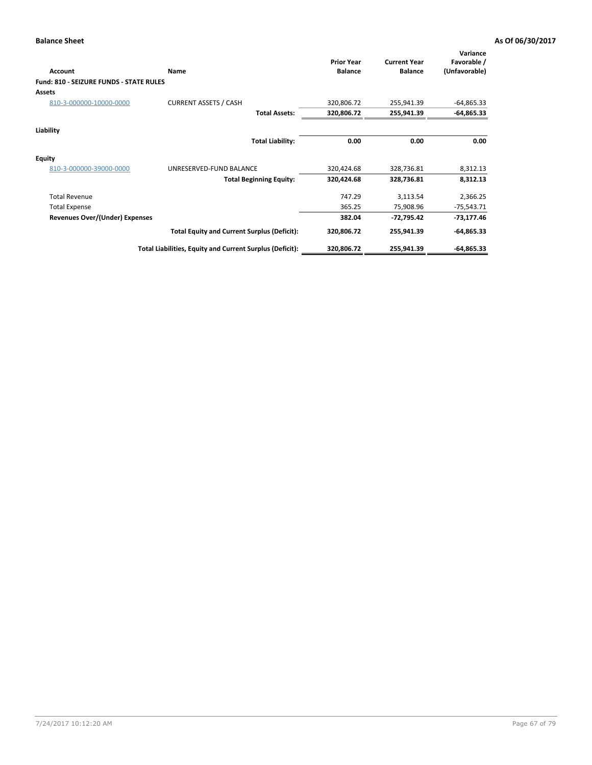| Account                                 | Name                                                     | <b>Prior Year</b><br><b>Balance</b> | <b>Current Year</b><br><b>Balance</b> | Variance<br>Favorable /<br>(Unfavorable) |
|-----------------------------------------|----------------------------------------------------------|-------------------------------------|---------------------------------------|------------------------------------------|
| Fund: 810 - SEIZURE FUNDS - STATE RULES |                                                          |                                     |                                       |                                          |
| <b>Assets</b>                           |                                                          |                                     |                                       |                                          |
| 810-3-000000-10000-0000                 | <b>CURRENT ASSETS / CASH</b>                             | 320,806.72                          | 255,941.39                            | $-64,865.33$                             |
|                                         | <b>Total Assets:</b>                                     | 320,806.72                          | 255,941.39                            | $-64,865.33$                             |
| Liability                               |                                                          |                                     |                                       |                                          |
|                                         | <b>Total Liability:</b>                                  | 0.00                                | 0.00                                  | 0.00                                     |
| <b>Equity</b>                           |                                                          |                                     |                                       |                                          |
| 810-3-000000-39000-0000                 | UNRESERVED-FUND BALANCE                                  | 320,424.68                          | 328,736.81                            | 8,312.13                                 |
|                                         | <b>Total Beginning Equity:</b>                           | 320,424.68                          | 328,736.81                            | 8,312.13                                 |
| <b>Total Revenue</b>                    |                                                          | 747.29                              | 3,113.54                              | 2,366.25                                 |
| <b>Total Expense</b>                    |                                                          | 365.25                              | 75,908.96                             | $-75,543.71$                             |
| <b>Revenues Over/(Under) Expenses</b>   |                                                          | 382.04                              | $-72,795.42$                          | $-73,177.46$                             |
|                                         | <b>Total Equity and Current Surplus (Deficit):</b>       | 320,806.72                          | 255,941.39                            | -64,865.33                               |
|                                         | Total Liabilities, Equity and Current Surplus (Deficit): | 320,806.72                          | 255,941.39                            | $-64,865.33$                             |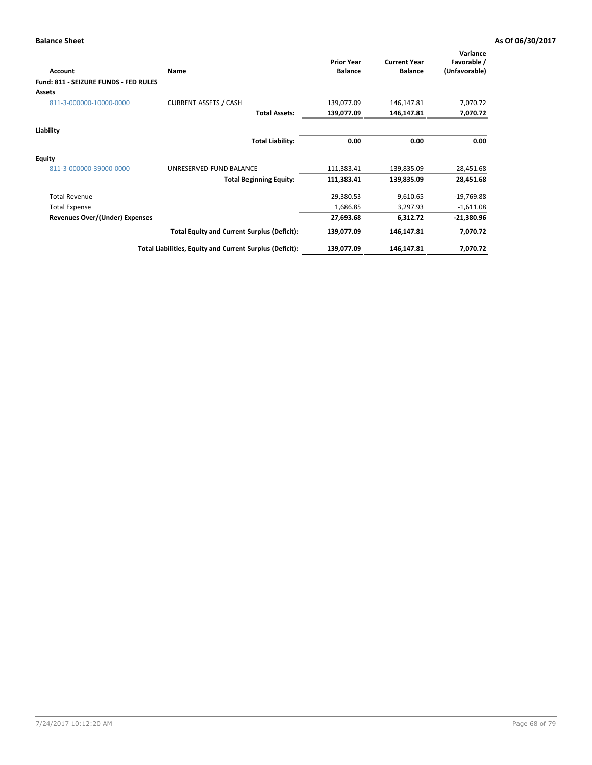| <b>Account</b>                        | <b>Name</b>                                              | <b>Prior Year</b><br><b>Balance</b> | <b>Current Year</b><br><b>Balance</b> | Variance<br>Favorable /<br>(Unfavorable) |
|---------------------------------------|----------------------------------------------------------|-------------------------------------|---------------------------------------|------------------------------------------|
| Fund: 811 - SEIZURE FUNDS - FED RULES |                                                          |                                     |                                       |                                          |
| Assets                                |                                                          |                                     |                                       |                                          |
| 811-3-000000-10000-0000               | <b>CURRENT ASSETS / CASH</b>                             | 139,077.09                          | 146,147.81                            | 7,070.72                                 |
|                                       | <b>Total Assets:</b>                                     | 139,077.09                          | 146,147.81                            | 7,070.72                                 |
| Liability                             |                                                          |                                     |                                       |                                          |
|                                       | <b>Total Liability:</b>                                  | 0.00                                | 0.00                                  | 0.00                                     |
| <b>Equity</b>                         |                                                          |                                     |                                       |                                          |
| 811-3-000000-39000-0000               | UNRESERVED-FUND BALANCE                                  | 111,383.41                          | 139,835.09                            | 28,451.68                                |
|                                       | <b>Total Beginning Equity:</b>                           | 111,383.41                          | 139,835.09                            | 28,451.68                                |
| <b>Total Revenue</b>                  |                                                          | 29,380.53                           | 9,610.65                              | $-19,769.88$                             |
| <b>Total Expense</b>                  |                                                          | 1,686.85                            | 3,297.93                              | $-1,611.08$                              |
| Revenues Over/(Under) Expenses        |                                                          | 27,693.68                           | 6,312.72                              | $-21,380.96$                             |
|                                       | <b>Total Equity and Current Surplus (Deficit):</b>       | 139,077.09                          | 146,147.81                            | 7,070.72                                 |
|                                       | Total Liabilities, Equity and Current Surplus (Deficit): | 139,077.09                          | 146,147.81                            | 7,070.72                                 |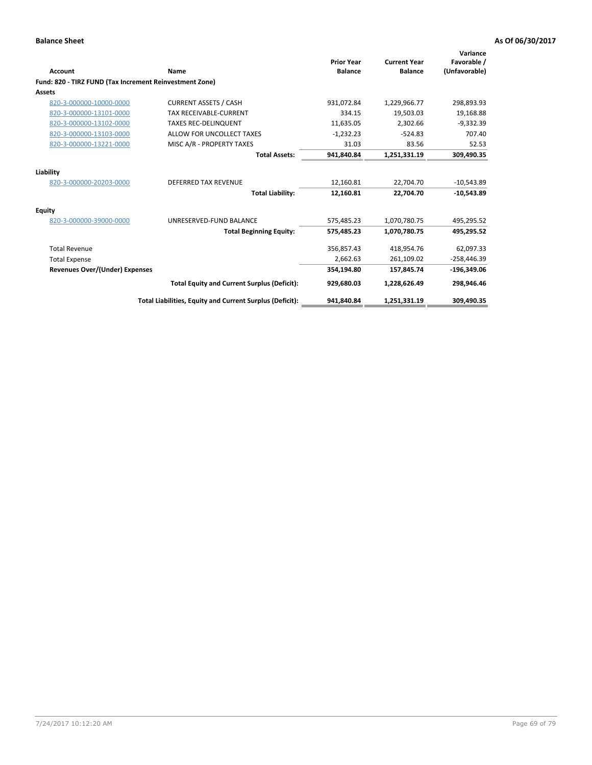| <b>Account</b>                                          | Name                                                     | <b>Prior Year</b><br><b>Balance</b> | <b>Current Year</b><br><b>Balance</b> | Variance<br>Favorable /<br>(Unfavorable) |
|---------------------------------------------------------|----------------------------------------------------------|-------------------------------------|---------------------------------------|------------------------------------------|
| Fund: 820 - TIRZ FUND (Tax Increment Reinvestment Zone) |                                                          |                                     |                                       |                                          |
| Assets                                                  |                                                          |                                     |                                       |                                          |
| 820-3-000000-10000-0000                                 | <b>CURRENT ASSETS / CASH</b>                             | 931,072.84                          | 1,229,966.77                          | 298,893.93                               |
| 820-3-000000-13101-0000                                 | <b>TAX RECEIVABLE-CURRENT</b>                            | 334.15                              | 19,503.03                             | 19,168.88                                |
| 820-3-000000-13102-0000                                 | <b>TAXES REC-DELINQUENT</b>                              | 11,635.05                           | 2,302.66                              | $-9,332.39$                              |
| 820-3-000000-13103-0000                                 | ALLOW FOR UNCOLLECT TAXES                                | $-1,232.23$                         | $-524.83$                             | 707.40                                   |
| 820-3-000000-13221-0000                                 | MISC A/R - PROPERTY TAXES                                | 31.03                               | 83.56                                 | 52.53                                    |
|                                                         | <b>Total Assets:</b>                                     | 941,840.84                          | 1,251,331.19                          | 309,490.35                               |
| Liability                                               |                                                          |                                     |                                       |                                          |
| 820-3-000000-20203-0000                                 | <b>DEFERRED TAX REVENUE</b>                              | 12,160.81                           | 22,704.70                             | $-10,543.89$                             |
|                                                         | <b>Total Liability:</b>                                  | 12,160.81                           | 22.704.70                             | $-10,543.89$                             |
| Equity                                                  |                                                          |                                     |                                       |                                          |
| 820-3-000000-39000-0000                                 | UNRESERVED-FUND BALANCE                                  | 575,485.23                          | 1,070,780.75                          | 495,295.52                               |
|                                                         | <b>Total Beginning Equity:</b>                           | 575,485.23                          | 1,070,780.75                          | 495,295.52                               |
| <b>Total Revenue</b>                                    |                                                          | 356,857.43                          | 418,954.76                            | 62,097.33                                |
| <b>Total Expense</b>                                    |                                                          | 2,662.63                            | 261,109.02                            | $-258,446.39$                            |
| Revenues Over/(Under) Expenses                          |                                                          | 354,194.80                          | 157,845.74                            | $-196,349.06$                            |
|                                                         | <b>Total Equity and Current Surplus (Deficit):</b>       | 929,680.03                          | 1,228,626.49                          | 298,946.46                               |
|                                                         | Total Liabilities, Equity and Current Surplus (Deficit): | 941,840.84                          | 1,251,331.19                          | 309,490.35                               |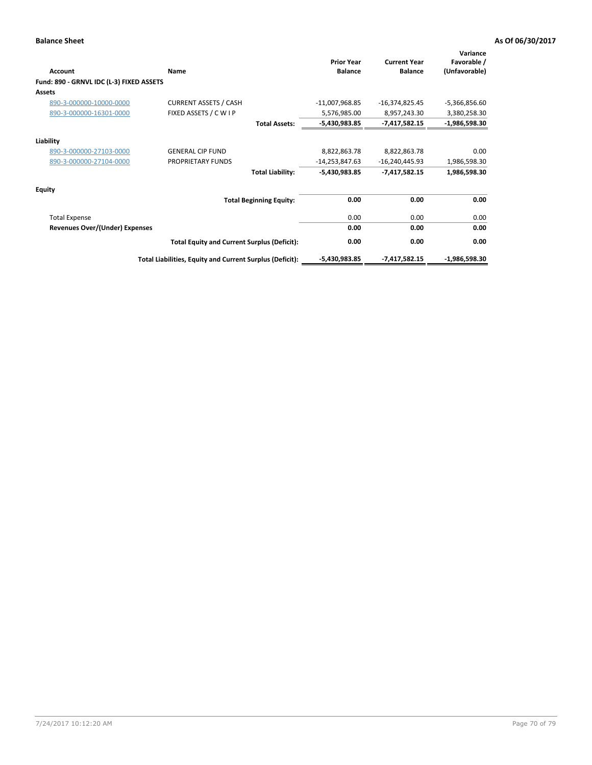| Account                                  | Name                                                     | <b>Prior Year</b><br><b>Balance</b> | <b>Current Year</b><br><b>Balance</b> | Variance<br>Favorable /<br>(Unfavorable) |
|------------------------------------------|----------------------------------------------------------|-------------------------------------|---------------------------------------|------------------------------------------|
| Fund: 890 - GRNVL IDC (L-3) FIXED ASSETS |                                                          |                                     |                                       |                                          |
| <b>Assets</b>                            |                                                          |                                     |                                       |                                          |
| 890-3-000000-10000-0000                  | <b>CURRENT ASSETS / CASH</b>                             | $-11,007,968.85$                    | $-16,374,825.45$                      | $-5,366,856.60$                          |
| 890-3-000000-16301-0000                  | FIXED ASSETS / C W I P                                   | 5,576,985.00                        | 8,957,243.30                          | 3,380,258.30                             |
|                                          | <b>Total Assets:</b>                                     | -5,430,983.85                       | $-7,417,582.15$                       | $-1,986,598.30$                          |
| Liability                                |                                                          |                                     |                                       |                                          |
| 890-3-000000-27103-0000                  | <b>GENERAL CIP FUND</b>                                  | 8,822,863.78                        | 8,822,863.78                          | 0.00                                     |
| 890-3-000000-27104-0000                  | PROPRIETARY FUNDS                                        | $-14,253,847.63$                    | $-16,240,445.93$                      | 1,986,598.30                             |
|                                          | <b>Total Liability:</b>                                  | -5,430,983.85                       | $-7,417,582.15$                       | 1,986,598.30                             |
| Equity                                   |                                                          |                                     |                                       |                                          |
|                                          | <b>Total Beginning Equity:</b>                           | 0.00                                | 0.00                                  | 0.00                                     |
| <b>Total Expense</b>                     |                                                          | 0.00                                | 0.00                                  | 0.00                                     |
| <b>Revenues Over/(Under) Expenses</b>    |                                                          | 0.00                                | 0.00                                  | 0.00                                     |
|                                          | <b>Total Equity and Current Surplus (Deficit):</b>       | 0.00                                | 0.00                                  | 0.00                                     |
|                                          | Total Liabilities, Equity and Current Surplus (Deficit): | $-5,430,983.85$                     | $-7,417,582.15$                       | $-1,986,598.30$                          |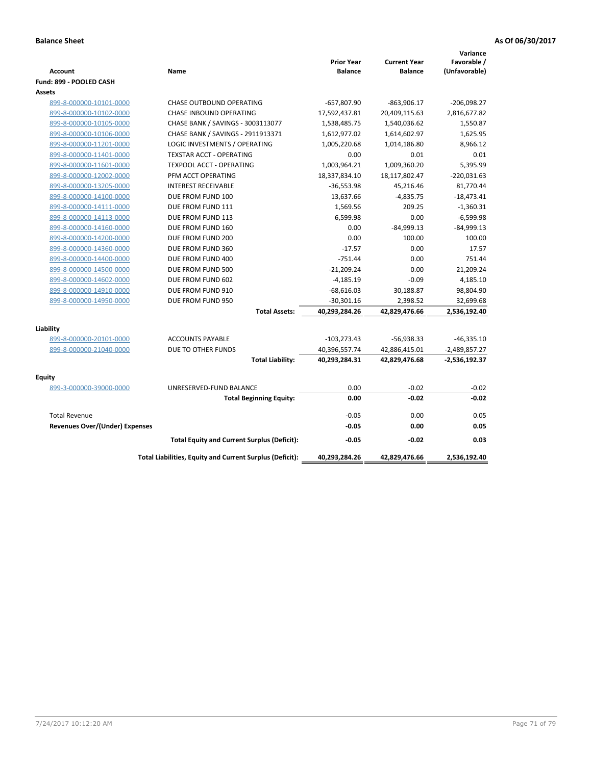|                                       |                                                          |                   |                     | Variance        |
|---------------------------------------|----------------------------------------------------------|-------------------|---------------------|-----------------|
|                                       |                                                          | <b>Prior Year</b> | <b>Current Year</b> | Favorable /     |
| <b>Account</b>                        | Name                                                     | <b>Balance</b>    | <b>Balance</b>      | (Unfavorable)   |
| Fund: 899 - POOLED CASH               |                                                          |                   |                     |                 |
| Assets                                |                                                          |                   |                     |                 |
| 899-8-000000-10101-0000               | <b>CHASE OUTBOUND OPERATING</b>                          | $-657,807.90$     | $-863,906.17$       | $-206,098.27$   |
| 899-8-000000-10102-0000               | CHASE INBOUND OPERATING                                  | 17,592,437.81     | 20,409,115.63       | 2,816,677.82    |
| 899-8-000000-10105-0000               | CHASE BANK / SAVINGS - 3003113077                        | 1,538,485.75      | 1,540,036.62        | 1,550.87        |
| 899-8-000000-10106-0000               | CHASE BANK / SAVINGS - 2911913371                        | 1,612,977.02      | 1,614,602.97        | 1,625.95        |
| 899-8-000000-11201-0000               | LOGIC INVESTMENTS / OPERATING                            | 1,005,220.68      | 1,014,186.80        | 8,966.12        |
| 899-8-000000-11401-0000               | <b>TEXSTAR ACCT - OPERATING</b>                          | 0.00              | 0.01                | 0.01            |
| 899-8-000000-11601-0000               | <b>TEXPOOL ACCT - OPERATING</b>                          | 1,003,964.21      | 1,009,360.20        | 5,395.99        |
| 899-8-000000-12002-0000               | PFM ACCT OPERATING                                       | 18,337,834.10     | 18,117,802.47       | $-220,031.63$   |
| 899-8-000000-13205-0000               | <b>INTEREST RECEIVABLE</b>                               | $-36,553.98$      | 45,216.46           | 81,770.44       |
| 899-8-000000-14100-0000               | DUE FROM FUND 100                                        | 13,637.66         | $-4,835.75$         | $-18,473.41$    |
| 899-8-000000-14111-0000               | DUE FROM FUND 111                                        | 1,569.56          | 209.25              | $-1,360.31$     |
| 899-8-000000-14113-0000               | DUE FROM FUND 113                                        | 6,599.98          | 0.00                | $-6,599.98$     |
| 899-8-000000-14160-0000               | DUE FROM FUND 160                                        | 0.00              | $-84,999.13$        | $-84,999.13$    |
| 899-8-000000-14200-0000               | DUE FROM FUND 200                                        | 0.00              | 100.00              | 100.00          |
| 899-8-000000-14360-0000               | DUE FROM FUND 360                                        | $-17.57$          | 0.00                | 17.57           |
| 899-8-000000-14400-0000               | DUE FROM FUND 400                                        | $-751.44$         | 0.00                | 751.44          |
| 899-8-000000-14500-0000               | DUE FROM FUND 500                                        | $-21,209.24$      | 0.00                | 21,209.24       |
| 899-8-000000-14602-0000               | DUE FROM FUND 602                                        | $-4,185.19$       | $-0.09$             | 4,185.10        |
| 899-8-000000-14910-0000               | DUE FROM FUND 910                                        | $-68,616.03$      | 30,188.87           | 98,804.90       |
| 899-8-000000-14950-0000               | DUE FROM FUND 950                                        | $-30,301.16$      | 2,398.52            | 32,699.68       |
|                                       | <b>Total Assets:</b>                                     | 40,293,284.26     | 42,829,476.66       | 2,536,192.40    |
|                                       |                                                          |                   |                     |                 |
| Liability                             |                                                          |                   |                     |                 |
| 899-8-000000-20101-0000               | <b>ACCOUNTS PAYABLE</b>                                  | $-103,273.43$     | $-56,938.33$        | $-46,335.10$    |
| 899-8-000000-21040-0000               | DUE TO OTHER FUNDS                                       | 40,396,557.74     | 42,886,415.01       | $-2,489,857.27$ |
|                                       | <b>Total Liability:</b>                                  | 40,293,284.31     | 42,829,476.68       | -2,536,192.37   |
| <b>Equity</b>                         |                                                          |                   |                     |                 |
| 899-3-000000-39000-0000               | UNRESERVED-FUND BALANCE                                  | 0.00              | $-0.02$             | $-0.02$         |
|                                       | <b>Total Beginning Equity:</b>                           | 0.00              | $-0.02$             | $-0.02$         |
| <b>Total Revenue</b>                  |                                                          | $-0.05$           | 0.00                | 0.05            |
| <b>Revenues Over/(Under) Expenses</b> |                                                          | $-0.05$           | 0.00                | 0.05            |
|                                       | <b>Total Equity and Current Surplus (Deficit):</b>       | $-0.05$           | $-0.02$             | 0.03            |
|                                       | Total Liabilities, Equity and Current Surplus (Deficit): | 40,293,284.26     | 42,829,476.66       | 2,536,192.40    |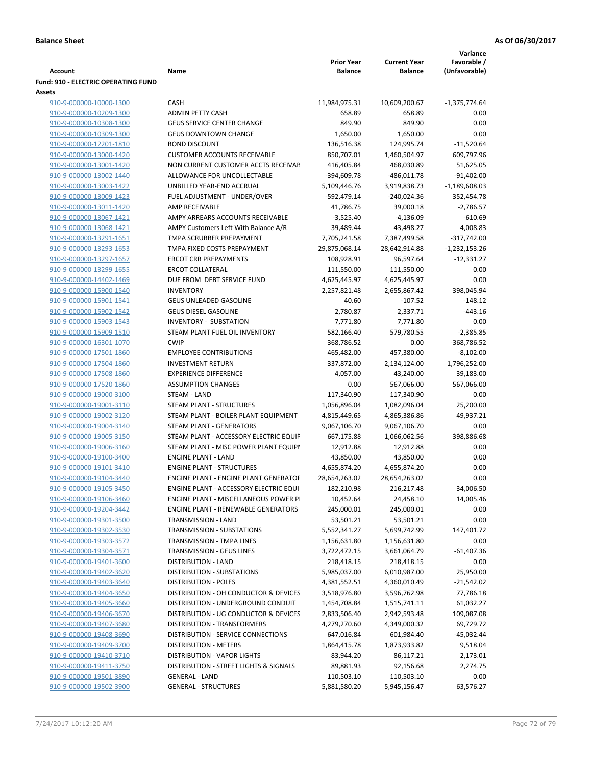|                                                    |                                                                     |                                     |                                       | Variance                     |
|----------------------------------------------------|---------------------------------------------------------------------|-------------------------------------|---------------------------------------|------------------------------|
| Account                                            | Name                                                                | <b>Prior Year</b><br><b>Balance</b> | <b>Current Year</b><br><b>Balance</b> | Favorable /<br>(Unfavorable) |
| <b>Fund: 910 - ELECTRIC OPERATING FUND</b>         |                                                                     |                                     |                                       |                              |
| Assets                                             | <b>CASH</b>                                                         |                                     |                                       | $-1,375,774.64$              |
| 910-9-000000-10000-1300<br>910-9-000000-10209-1300 | <b>ADMIN PETTY CASH</b>                                             | 11,984,975.31<br>658.89             | 10,609,200.67<br>658.89               | 0.00                         |
| 910-9-000000-10308-1300                            | <b>GEUS SERVICE CENTER CHANGE</b>                                   | 849.90                              | 849.90                                | 0.00                         |
| 910-9-000000-10309-1300                            | <b>GEUS DOWNTOWN CHANGE</b>                                         | 1,650.00                            | 1,650.00                              | 0.00                         |
| 910-9-000000-12201-1810                            | <b>BOND DISCOUNT</b>                                                | 136,516.38                          | 124,995.74                            | $-11,520.64$                 |
| 910-9-000000-13000-1420                            | <b>CUSTOMER ACCOUNTS RECEIVABLE</b>                                 | 850,707.01                          | 1,460,504.97                          | 609,797.96                   |
| 910-9-000000-13001-1420                            | NON CURRENT CUSTOMER ACCTS RECEIVAE                                 | 416,405.84                          | 468,030.89                            | 51,625.05                    |
| 910-9-000000-13002-1440                            | ALLOWANCE FOR UNCOLLECTABLE                                         | $-394,609.78$                       | $-486,011.78$                         | $-91,402.00$                 |
| 910-9-000000-13003-1422                            | UNBILLED YEAR-END ACCRUAL                                           | 5,109,446.76                        | 3,919,838.73                          | $-1,189,608.03$              |
| 910-9-000000-13009-1423                            | FUEL ADJUSTMENT - UNDER/OVER                                        | -592,479.14                         | $-240,024.36$                         | 352,454.78                   |
| 910-9-000000-13011-1420                            | AMP RECEIVABLE                                                      | 41,786.75                           | 39,000.18                             | $-2,786.57$                  |
| 910-9-000000-13067-1421                            | AMPY ARREARS ACCOUNTS RECEIVABLE                                    | $-3,525.40$                         | -4,136.09                             | $-610.69$                    |
| 910-9-000000-13068-1421                            | AMPY Customers Left With Balance A/R                                | 39,489.44                           | 43,498.27                             | 4,008.83                     |
| 910-9-000000-13291-1651                            | TMPA SCRUBBER PREPAYMENT                                            | 7,705,241.58                        | 7,387,499.58                          | $-317,742.00$                |
| 910-9-000000-13293-1653                            | TMPA FIXED COSTS PREPAYMENT                                         | 29,875,068.14                       | 28,642,914.88                         | $-1,232,153.26$              |
| 910-9-000000-13297-1657                            | <b>ERCOT CRR PREPAYMENTS</b>                                        | 108,928.91                          | 96,597.64                             | $-12,331.27$                 |
| 910-9-000000-13299-1655                            | <b>ERCOT COLLATERAL</b>                                             | 111,550.00                          | 111,550.00                            | 0.00                         |
| 910-9-000000-14402-1469                            | DUE FROM DEBT SERVICE FUND                                          | 4,625,445.97                        | 4,625,445.97                          | 0.00                         |
| 910-9-000000-15900-1540                            | <b>INVENTORY</b>                                                    | 2,257,821.48                        | 2,655,867.42                          | 398,045.94                   |
| 910-9-000000-15901-1541                            | GEUS UNLEADED GASOLINE                                              | 40.60                               | $-107.52$                             | $-148.12$                    |
| 910-9-000000-15902-1542                            | <b>GEUS DIESEL GASOLINE</b>                                         | 2,780.87                            | 2,337.71                              | $-443.16$                    |
| 910-9-000000-15903-1543                            | <b>INVENTORY - SUBSTATION</b>                                       | 7,771.80                            | 7,771.80                              | 0.00                         |
| 910-9-000000-15909-1510                            | STEAM PLANT FUEL OIL INVENTORY                                      | 582,166.40                          | 579,780.55                            | $-2,385.85$                  |
| 910-9-000000-16301-1070                            | <b>CWIP</b>                                                         | 368,786.52                          | 0.00                                  | $-368,786.52$                |
| 910-9-000000-17501-1860                            | <b>EMPLOYEE CONTRIBUTIONS</b>                                       | 465,482.00                          | 457,380.00                            | $-8,102.00$                  |
| 910-9-000000-17504-1860                            | <b>INVESTMENT RETURN</b>                                            | 337,872.00                          | 2,134,124.00                          | 1,796,252.00                 |
| 910-9-000000-17508-1860                            | <b>EXPERIENCE DIFFERENCE</b>                                        | 4,057.00                            | 43,240.00                             | 39,183.00                    |
| 910-9-000000-17520-1860                            | <b>ASSUMPTION CHANGES</b>                                           | 0.00                                | 567,066.00                            | 567,066.00                   |
| 910-9-000000-19000-3100                            | STEAM - LAND                                                        | 117,340.90                          | 117,340.90                            | 0.00                         |
| 910-9-000000-19001-3110                            | <b>STEAM PLANT - STRUCTURES</b>                                     | 1,056,896.04                        | 1,082,096.04                          | 25,200.00                    |
| 910-9-000000-19002-3120                            | STEAM PLANT - BOILER PLANT EQUIPMENT                                | 4,815,449.65                        | 4,865,386.86                          | 49,937.21                    |
| 910-9-000000-19004-3140                            | STEAM PLANT - GENERATORS                                            | 9,067,106.70                        | 9,067,106.70                          | 0.00                         |
| 910-9-000000-19005-3150                            | STEAM PLANT - ACCESSORY ELECTRIC EQUIF                              | 667,175.88                          | 1,066,062.56                          | 398,886.68                   |
| 910-9-000000-19006-3160<br>910-9-000000-19100-3400 | STEAM PLANT - MISC POWER PLANT EQUIPI<br><b>ENGINE PLANT - LAND</b> | 12,912.88<br>43,850.00              | 12,912.88<br>43,850.00                | 0.00<br>0.00                 |
| 910-9-000000-19101-3410                            | <b>ENGINE PLANT - STRUCTURES</b>                                    | 4,655,874.20                        | 4,655,874.20                          | 0.00                         |
| 910-9-000000-19104-3440                            | <b>ENGINE PLANT - ENGINE PLANT GENERATOF</b>                        | 28,654,263.02                       | 28,654,263.02                         | 0.00                         |
| 910-9-000000-19105-3450                            | ENGINE PLANT - ACCESSORY ELECTRIC EQUI                              | 182,210.98                          | 216,217.48                            | 34,006.50                    |
| 910-9-000000-19106-3460                            | ENGINE PLANT - MISCELLANEOUS POWER P                                | 10,452.64                           | 24,458.10                             | 14,005.46                    |
| 910-9-000000-19204-3442                            | <b>ENGINE PLANT - RENEWABLE GENERATORS</b>                          | 245,000.01                          | 245,000.01                            | 0.00                         |
| 910-9-000000-19301-3500                            | TRANSMISSION - LAND                                                 | 53,501.21                           | 53,501.21                             | 0.00                         |
| 910-9-000000-19302-3530                            | TRANSMISSION - SUBSTATIONS                                          | 5,552,341.27                        | 5,699,742.99                          | 147,401.72                   |
| 910-9-000000-19303-3572                            | TRANSMISSION - TMPA LINES                                           | 1,156,631.80                        | 1,156,631.80                          | 0.00                         |
| 910-9-000000-19304-3571                            | TRANSMISSION - GEUS LINES                                           | 3,722,472.15                        | 3,661,064.79                          | $-61,407.36$                 |
| 910-9-000000-19401-3600                            | <b>DISTRIBUTION - LAND</b>                                          | 218,418.15                          | 218,418.15                            | 0.00                         |
| 910-9-000000-19402-3620                            | <b>DISTRIBUTION - SUBSTATIONS</b>                                   | 5,985,037.00                        | 6,010,987.00                          | 25,950.00                    |
| 910-9-000000-19403-3640                            | <b>DISTRIBUTION - POLES</b>                                         | 4,381,552.51                        | 4,360,010.49                          | $-21,542.02$                 |
| 910-9-000000-19404-3650                            | DISTRIBUTION - OH CONDUCTOR & DEVICES                               | 3,518,976.80                        | 3,596,762.98                          | 77,786.18                    |
| 910-9-000000-19405-3660                            | DISTRIBUTION - UNDERGROUND CONDUIT                                  | 1,454,708.84                        | 1,515,741.11                          | 61,032.27                    |
| 910-9-000000-19406-3670                            | DISTRIBUTION - UG CONDUCTOR & DEVICES                               | 2,833,506.40                        | 2,942,593.48                          | 109,087.08                   |
| 910-9-000000-19407-3680                            | DISTRIBUTION - TRANSFORMERS                                         | 4,279,270.60                        | 4,349,000.32                          | 69,729.72                    |
| 910-9-000000-19408-3690                            | DISTRIBUTION - SERVICE CONNECTIONS                                  | 647,016.84                          | 601,984.40                            | -45,032.44                   |
| 910-9-000000-19409-3700                            | <b>DISTRIBUTION - METERS</b>                                        | 1,864,415.78                        | 1,873,933.82                          | 9,518.04                     |
| 910-9-000000-19410-3710                            | DISTRIBUTION - VAPOR LIGHTS                                         | 83,944.20                           | 86,117.21                             | 2,173.01                     |
| 910-9-000000-19411-3750                            | DISTRIBUTION - STREET LIGHTS & SIGNALS                              | 89,881.93                           | 92,156.68                             | 2,274.75                     |
| 910-9-000000-19501-3890                            | <b>GENERAL - LAND</b>                                               | 110,503.10                          | 110,503.10                            | 0.00                         |
| 910-9-000000-19502-3900                            | <b>GENERAL - STRUCTURES</b>                                         | 5,881,580.20                        | 5,945,156.47                          | 63,576.27                    |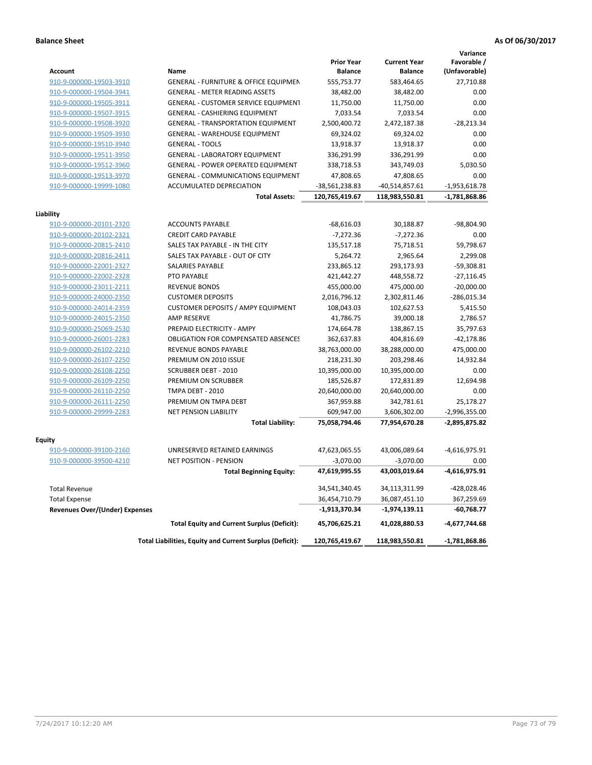# **Balance Sheet As Of 06/30/2017**

| <b>Account</b>                                     | Name                                                     | <b>Prior Year</b><br><b>Balance</b> | <b>Current Year</b><br><b>Balance</b> | Variance<br>Favorable /<br>(Unfavorable) |
|----------------------------------------------------|----------------------------------------------------------|-------------------------------------|---------------------------------------|------------------------------------------|
| 910-9-000000-19503-3910                            | GENERAL - FURNITURE & OFFICE EQUIPMEN                    | 555,753.77                          | 583,464.65                            | 27,710.88                                |
| 910-9-000000-19504-3941                            | <b>GENERAL - METER READING ASSETS</b>                    | 38,482.00                           | 38,482.00                             | 0.00                                     |
| 910-9-000000-19505-3911                            | GENERAL - CUSTOMER SERVICE EQUIPMENT                     | 11,750.00                           | 11,750.00                             | 0.00                                     |
| 910-9-000000-19507-3915                            | <b>GENERAL - CASHIERING EQUIPMENT</b>                    | 7,033.54                            | 7,033.54                              | 0.00                                     |
| 910-9-000000-19508-3920                            | <b>GENERAL - TRANSPORTATION EQUIPMENT</b>                | 2,500,400.72                        | 2,472,187.38                          | $-28,213.34$                             |
| 910-9-000000-19509-3930                            | <b>GENERAL - WAREHOUSE EQUIPMENT</b>                     | 69,324.02                           | 69,324.02                             | 0.00                                     |
| 910-9-000000-19510-3940                            | <b>GENERAL - TOOLS</b>                                   | 13,918.37                           | 13,918.37                             | 0.00                                     |
| 910-9-000000-19511-3950                            | <b>GENERAL - LABORATORY EQUIPMENT</b>                    | 336,291.99                          | 336,291.99                            | 0.00                                     |
| 910-9-000000-19512-3960                            | <b>GENERAL - POWER OPERATED EQUIPMENT</b>                | 338,718.53                          | 343,749.03                            | 5,030.50                                 |
| 910-9-000000-19513-3970                            | <b>GENERAL - COMMUNICATIONS EQUIPMENT</b>                | 47,808.65                           | 47,808.65                             | 0.00                                     |
| 910-9-000000-19999-1080                            | ACCUMULATED DEPRECIATION                                 | -38,561,238.83                      | $-40,514,857.61$                      | $-1,953,618.78$                          |
|                                                    | <b>Total Assets:</b>                                     | 120,765,419.67                      | 118,983,550.81                        | $-1,781,868.86$                          |
| Liability                                          |                                                          |                                     |                                       |                                          |
| 910-9-000000-20101-2320                            | <b>ACCOUNTS PAYABLE</b>                                  | $-68,616.03$                        | 30,188.87                             | $-98,804.90$                             |
| 910-9-000000-20102-2321                            | <b>CREDIT CARD PAYABLE</b>                               | $-7,272.36$                         | $-7,272.36$                           | 0.00                                     |
| 910-9-000000-20815-2410                            | SALES TAX PAYABLE - IN THE CITY                          | 135,517.18                          | 75,718.51                             | 59,798.67                                |
| 910-9-000000-20816-2411                            | SALES TAX PAYABLE - OUT OF CITY                          | 5,264.72                            | 2,965.64                              | 2,299.08                                 |
| 910-9-000000-22001-2327                            | <b>SALARIES PAYABLE</b>                                  | 233,865.12                          | 293,173.93                            | $-59,308.81$                             |
| 910-9-000000-22002-2328                            | <b>PTO PAYABLE</b>                                       | 421,442.27                          | 448,558.72                            | $-27,116.45$                             |
| 910-9-000000-23011-2211                            | <b>REVENUE BONDS</b>                                     | 455,000.00                          | 475,000.00                            | $-20,000.00$                             |
| 910-9-000000-24000-2350                            | <b>CUSTOMER DEPOSITS</b>                                 | 2,016,796.12                        | 2,302,811.46                          | $-286,015.34$                            |
| 910-9-000000-24014-2359                            | <b>CUSTOMER DEPOSITS / AMPY EQUIPMENT</b>                | 108,043.03                          | 102,627.53                            | 5,415.50                                 |
| 910-9-000000-24015-2350                            | AMP RESERVE                                              | 41,786.75                           | 39,000.18                             | 2,786.57                                 |
| 910-9-000000-25069-2530                            | PREPAID ELECTRICITY - AMPY                               | 174,664.78                          | 138,867.15                            | 35,797.63                                |
| 910-9-000000-26001-2283                            | <b>OBLIGATION FOR COMPENSATED ABSENCES</b>               | 362,637.83                          | 404,816.69                            | $-42,178.86$                             |
| 910-9-000000-26102-2210                            | <b>REVENUE BONDS PAYABLE</b>                             | 38,763,000.00                       | 38,288,000.00                         | 475,000.00                               |
| 910-9-000000-26107-2250                            | PREMIUM ON 2010 ISSUE<br><b>SCRUBBER DEBT - 2010</b>     | 218,231.30                          | 203,298.46                            | 14,932.84<br>0.00                        |
| 910-9-000000-26108-2250                            | PREMIUM ON SCRUBBER                                      | 10,395,000.00<br>185,526.87         | 10,395,000.00                         | 12,694.98                                |
| 910-9-000000-26109-2250<br>910-9-000000-26110-2250 | <b>TMPA DEBT - 2010</b>                                  | 20,640,000.00                       | 172,831.89<br>20,640,000.00           | 0.00                                     |
| 910-9-000000-26111-2250                            | PREMIUM ON TMPA DEBT                                     | 367,959.88                          | 342,781.61                            | 25,178.27                                |
| 910-9-000000-29999-2283                            | <b>NET PENSION LIABILITY</b>                             | 609,947.00                          | 3,606,302.00                          | $-2,996,355.00$                          |
|                                                    | <b>Total Liability:</b>                                  | 75,058,794.46                       | 77,954,670.28                         | -2,895,875.82                            |
| <b>Equity</b>                                      |                                                          |                                     |                                       |                                          |
| 910-9-000000-39100-2160                            | UNRESERVED RETAINED EARNINGS                             | 47,623,065.55                       | 43,006,089.64                         | $-4,616,975.91$                          |
| 910-9-000000-39500-4210                            | <b>NET POSITION - PENSION</b>                            | $-3,070.00$                         | $-3,070.00$                           | 0.00                                     |
|                                                    | <b>Total Beginning Equity:</b>                           | 47,619,995.55                       | 43,003,019.64                         | $-4,616,975.91$                          |
| <b>Total Revenue</b>                               |                                                          | 34,541,340.45                       | 34,113,311.99                         | $-428,028.46$                            |
| <b>Total Expense</b>                               |                                                          | 36,454,710.79                       | 36,087,451.10                         | 367,259.69                               |
| Revenues Over/(Under) Expenses                     |                                                          | $-1,913,370.34$                     | $-1,974,139.11$                       | $-60,768.77$                             |
|                                                    | <b>Total Equity and Current Surplus (Deficit):</b>       | 45,706,625.21                       | 41,028,880.53                         | -4,677,744.68                            |
|                                                    | Total Liabilities, Equity and Current Surplus (Deficit): | 120,765,419.67                      | 118,983,550.81                        | $-1,781,868.86$                          |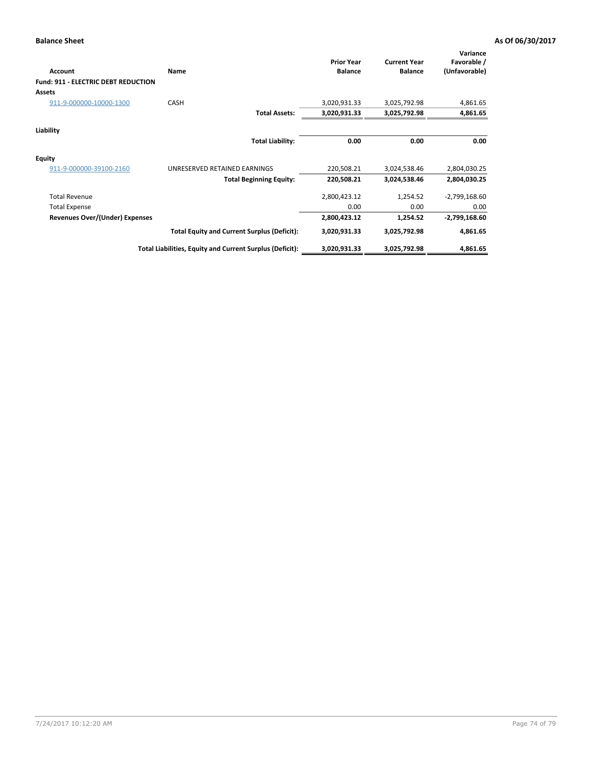# **Balance Sheet As Of 06/30/2017**

| <b>Account</b>                             | <b>Name</b>                                              | <b>Prior Year</b><br><b>Balance</b> | <b>Current Year</b><br><b>Balance</b> | Variance<br>Favorable /<br>(Unfavorable) |
|--------------------------------------------|----------------------------------------------------------|-------------------------------------|---------------------------------------|------------------------------------------|
| <b>Fund: 911 - ELECTRIC DEBT REDUCTION</b> |                                                          |                                     |                                       |                                          |
| Assets                                     |                                                          |                                     |                                       |                                          |
| 911-9-000000-10000-1300                    | CASH                                                     | 3,020,931.33                        | 3,025,792.98                          | 4,861.65                                 |
|                                            | <b>Total Assets:</b>                                     | 3,020,931.33                        | 3,025,792.98                          | 4,861.65                                 |
| Liability                                  |                                                          |                                     |                                       |                                          |
|                                            | <b>Total Liability:</b>                                  | 0.00                                | 0.00                                  | 0.00                                     |
| <b>Equity</b>                              |                                                          |                                     |                                       |                                          |
| 911-9-000000-39100-2160                    | UNRESERVED RETAINED EARNINGS                             | 220,508.21                          | 3,024,538.46                          | 2,804,030.25                             |
|                                            | <b>Total Beginning Equity:</b>                           | 220,508.21                          | 3,024,538.46                          | 2,804,030.25                             |
| <b>Total Revenue</b>                       |                                                          | 2,800,423.12                        | 1,254.52                              | $-2,799,168.60$                          |
| <b>Total Expense</b>                       |                                                          | 0.00                                | 0.00                                  | 0.00                                     |
| Revenues Over/(Under) Expenses             |                                                          | 2,800,423.12                        | 1,254.52                              | $-2,799,168.60$                          |
|                                            | <b>Total Equity and Current Surplus (Deficit):</b>       | 3,020,931.33                        | 3,025,792.98                          | 4,861.65                                 |
|                                            | Total Liabilities, Equity and Current Surplus (Deficit): | 3,020,931.33                        | 3,025,792.98                          | 4,861.65                                 |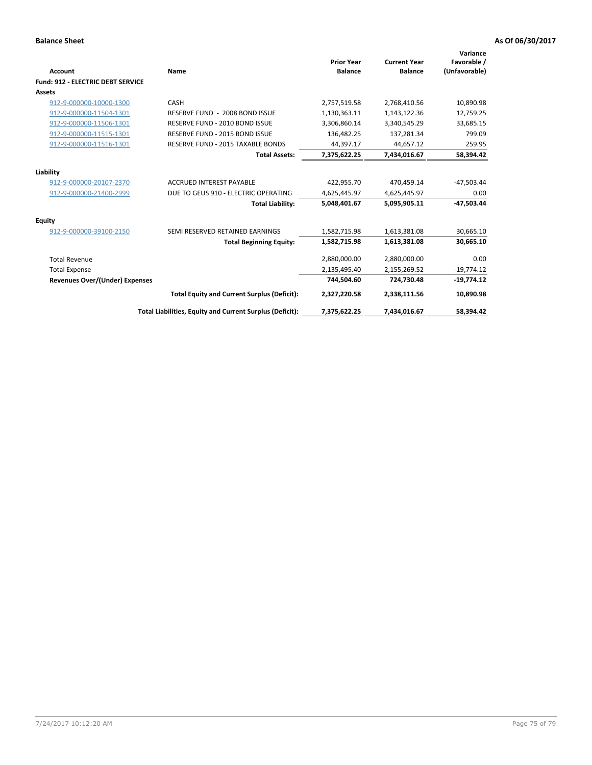| Account                               | Name                                                     | <b>Prior Year</b><br><b>Balance</b> | <b>Current Year</b><br><b>Balance</b> | Variance<br>Favorable /<br>(Unfavorable) |
|---------------------------------------|----------------------------------------------------------|-------------------------------------|---------------------------------------|------------------------------------------|
| Fund: 912 - ELECTRIC DEBT SERVICE     |                                                          |                                     |                                       |                                          |
| <b>Assets</b>                         |                                                          |                                     |                                       |                                          |
| 912-9-000000-10000-1300               | CASH                                                     | 2,757,519.58                        | 2,768,410.56                          | 10,890.98                                |
| 912-9-000000-11504-1301               | RESERVE FUND - 2008 BOND ISSUE                           | 1,130,363.11                        | 1,143,122.36                          | 12,759.25                                |
| 912-9-000000-11506-1301               | RESERVE FUND - 2010 BOND ISSUE                           | 3,306,860.14                        | 3,340,545.29                          | 33,685.15                                |
| 912-9-000000-11515-1301               | RESERVE FUND - 2015 BOND ISSUE                           | 136,482.25                          | 137,281.34                            | 799.09                                   |
| 912-9-000000-11516-1301               | RESERVE FUND - 2015 TAXABLE BONDS                        | 44,397.17                           | 44.657.12                             | 259.95                                   |
|                                       | <b>Total Assets:</b>                                     | 7,375,622.25                        | 7,434,016.67                          | 58,394.42                                |
| Liability                             |                                                          |                                     |                                       |                                          |
| 912-9-000000-20107-2370               | <b>ACCRUED INTEREST PAYABLE</b>                          | 422,955.70                          | 470,459.14                            | $-47,503.44$                             |
| 912-9-000000-21400-2999               | DUE TO GEUS 910 - ELECTRIC OPERATING                     | 4,625,445.97                        | 4,625,445.97                          | 0.00                                     |
|                                       | <b>Total Liability:</b>                                  | 5.048.401.67                        | 5.095.905.11                          | $-47,503.44$                             |
| Equity                                |                                                          |                                     |                                       |                                          |
| 912-9-000000-39100-2150               | SEMI RESERVED RETAINED EARNINGS                          | 1,582,715.98                        | 1,613,381.08                          | 30,665.10                                |
|                                       | <b>Total Beginning Equity:</b>                           | 1,582,715.98                        | 1,613,381.08                          | 30,665.10                                |
| <b>Total Revenue</b>                  |                                                          | 2,880,000.00                        | 2,880,000.00                          | 0.00                                     |
| <b>Total Expense</b>                  |                                                          | 2,135,495.40                        | 2,155,269.52                          | $-19,774.12$                             |
| <b>Revenues Over/(Under) Expenses</b> |                                                          | 744,504.60                          | 724,730.48                            | $-19,774.12$                             |
|                                       | <b>Total Equity and Current Surplus (Deficit):</b>       | 2,327,220.58                        | 2,338,111.56                          | 10,890.98                                |
|                                       | Total Liabilities, Equity and Current Surplus (Deficit): | 7,375,622.25                        | 7,434,016.67                          | 58,394.42                                |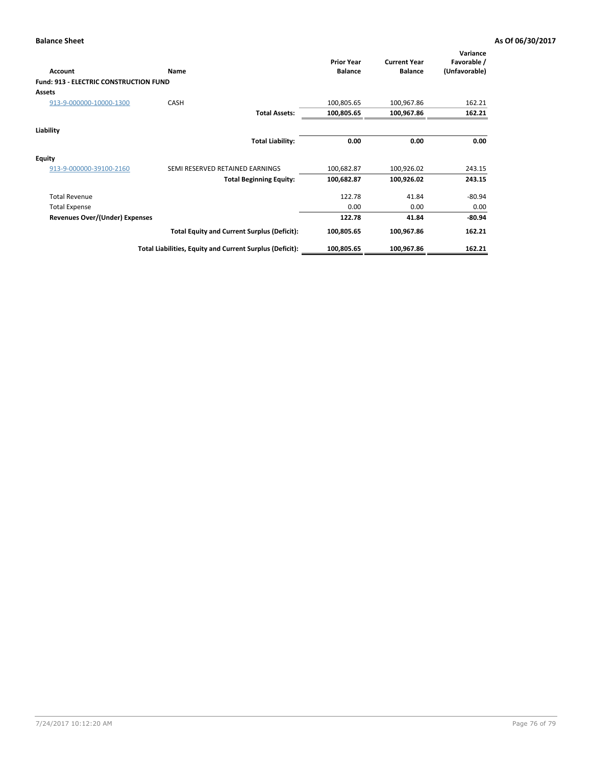| Account                                       | Name                                                     | <b>Prior Year</b><br><b>Balance</b> | <b>Current Year</b><br><b>Balance</b> | Variance<br>Favorable /<br>(Unfavorable) |
|-----------------------------------------------|----------------------------------------------------------|-------------------------------------|---------------------------------------|------------------------------------------|
| <b>Fund: 913 - ELECTRIC CONSTRUCTION FUND</b> |                                                          |                                     |                                       |                                          |
| <b>Assets</b>                                 |                                                          |                                     |                                       |                                          |
| 913-9-000000-10000-1300                       | <b>CASH</b>                                              | 100,805.65                          | 100,967.86                            | 162.21                                   |
|                                               | <b>Total Assets:</b>                                     | 100,805.65                          | 100,967.86                            | 162.21                                   |
| Liability                                     |                                                          |                                     |                                       |                                          |
|                                               | <b>Total Liability:</b>                                  | 0.00                                | 0.00                                  | 0.00                                     |
| <b>Equity</b>                                 |                                                          |                                     |                                       |                                          |
| 913-9-000000-39100-2160                       | SEMI RESERVED RETAINED EARNINGS                          | 100,682.87                          | 100,926.02                            | 243.15                                   |
|                                               | <b>Total Beginning Equity:</b>                           | 100,682.87                          | 100,926.02                            | 243.15                                   |
| <b>Total Revenue</b>                          |                                                          | 122.78                              | 41.84                                 | $-80.94$                                 |
| <b>Total Expense</b>                          |                                                          | 0.00                                | 0.00                                  | 0.00                                     |
| <b>Revenues Over/(Under) Expenses</b>         |                                                          | 122.78                              | 41.84                                 | $-80.94$                                 |
|                                               | <b>Total Equity and Current Surplus (Deficit):</b>       | 100,805.65                          | 100,967.86                            | 162.21                                   |
|                                               | Total Liabilities, Equity and Current Surplus (Deficit): | 100,805.65                          | 100,967.86                            | 162.21                                   |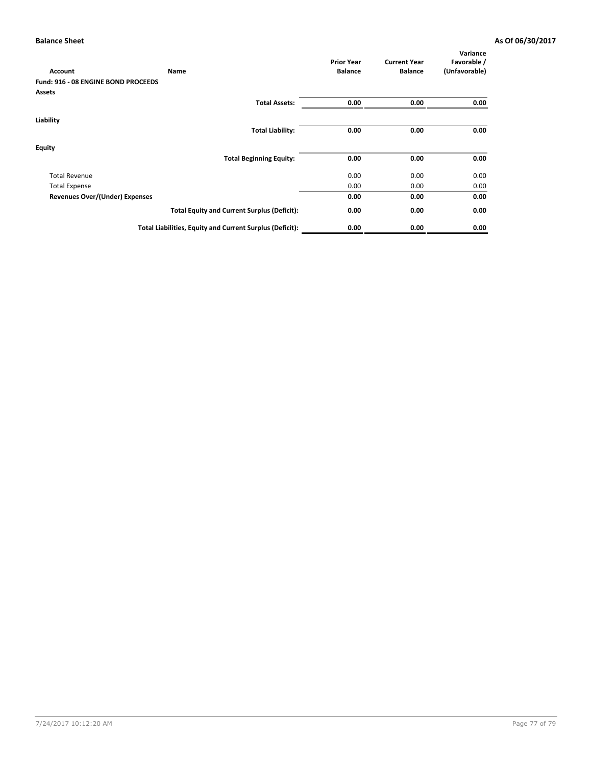| <b>Account</b>                      | Name                                                     | <b>Prior Year</b><br><b>Balance</b> | <b>Current Year</b><br><b>Balance</b> | Variance<br>Favorable /<br>(Unfavorable) |
|-------------------------------------|----------------------------------------------------------|-------------------------------------|---------------------------------------|------------------------------------------|
| Fund: 916 - 08 ENGINE BOND PROCEEDS |                                                          |                                     |                                       |                                          |
| <b>Assets</b>                       |                                                          |                                     |                                       |                                          |
|                                     | <b>Total Assets:</b>                                     | 0.00                                | 0.00                                  | 0.00                                     |
| Liability                           |                                                          |                                     |                                       |                                          |
|                                     | <b>Total Liability:</b>                                  | 0.00                                | 0.00                                  | 0.00                                     |
| Equity                              |                                                          |                                     |                                       |                                          |
|                                     | <b>Total Beginning Equity:</b>                           | 0.00                                | 0.00                                  | 0.00                                     |
| <b>Total Revenue</b>                |                                                          | 0.00                                | 0.00                                  | 0.00                                     |
| <b>Total Expense</b>                |                                                          | 0.00                                | 0.00                                  | 0.00                                     |
| Revenues Over/(Under) Expenses      |                                                          | 0.00                                | 0.00                                  | 0.00                                     |
|                                     | <b>Total Equity and Current Surplus (Deficit):</b>       | 0.00                                | 0.00                                  | 0.00                                     |
|                                     | Total Liabilities, Equity and Current Surplus (Deficit): | 0.00                                | 0.00                                  | 0.00                                     |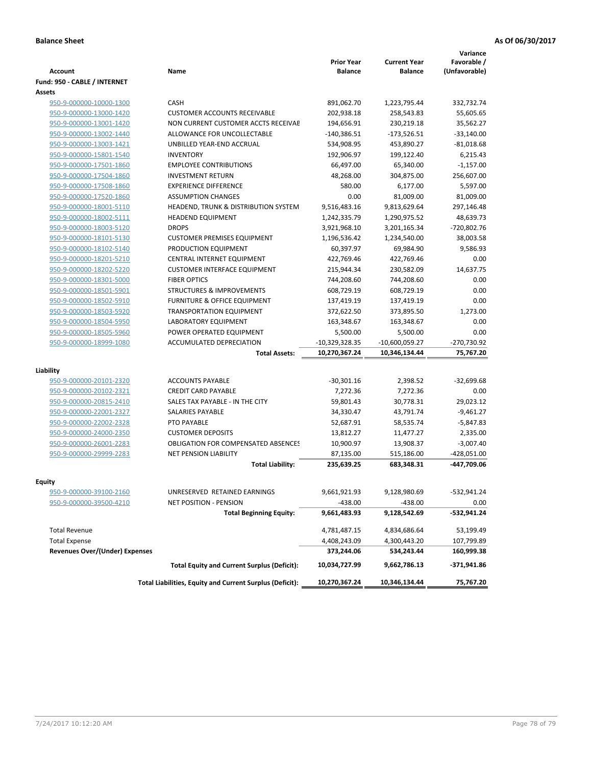|                                       |                                                             |                                     |                                       | Variance                     |
|---------------------------------------|-------------------------------------------------------------|-------------------------------------|---------------------------------------|------------------------------|
| <b>Account</b>                        | Name                                                        | <b>Prior Year</b><br><b>Balance</b> | <b>Current Year</b><br><b>Balance</b> | Favorable /<br>(Unfavorable) |
| Fund: 950 - CABLE / INTERNET          |                                                             |                                     |                                       |                              |
| Assets                                |                                                             |                                     |                                       |                              |
| 950-9-000000-10000-1300               | <b>CASH</b>                                                 | 891,062.70                          | 1,223,795.44                          | 332,732.74                   |
| 950-9-000000-13000-1420               | <b>CUSTOMER ACCOUNTS RECEIVABLE</b>                         | 202,938.18                          | 258,543.83                            | 55,605.65                    |
| 950-9-000000-13001-1420               | NON CURRENT CUSTOMER ACCTS RECEIVAE                         | 194,656.91                          | 230,219.18                            | 35,562.27                    |
| 950-9-000000-13002-1440               | ALLOWANCE FOR UNCOLLECTABLE                                 | $-140,386.51$                       | $-173,526.51$                         | $-33,140.00$                 |
| 950-9-000000-13003-1421               | UNBILLED YEAR-END ACCRUAL                                   | 534,908.95                          | 453,890.27                            | $-81,018.68$                 |
| 950-9-000000-15801-1540               | <b>INVENTORY</b>                                            | 192,906.97                          | 199,122.40                            | 6,215.43                     |
| 950-9-000000-17501-1860               | <b>EMPLOYEE CONTRIBUTIONS</b>                               | 66,497.00                           | 65,340.00                             | $-1,157.00$                  |
| 950-9-000000-17504-1860               | <b>INVESTMENT RETURN</b>                                    | 48,268.00                           | 304,875.00                            | 256,607.00                   |
| 950-9-000000-17508-1860               | <b>EXPERIENCE DIFFERENCE</b>                                | 580.00                              | 6,177.00                              | 5,597.00                     |
| 950-9-000000-17520-1860               | <b>ASSUMPTION CHANGES</b>                                   | 0.00                                | 81,009.00                             | 81,009.00                    |
| 950-9-000000-18001-5110               | HEADEND, TRUNK & DISTRIBUTION SYSTEM                        | 9,516,483.16                        | 9,813,629.64                          | 297,146.48                   |
| 950-9-000000-18002-5111               | <b>HEADEND EQUIPMENT</b>                                    | 1,242,335.79                        | 1,290,975.52                          | 48,639.73                    |
| 950-9-000000-18003-5120               | <b>DROPS</b>                                                | 3,921,968.10                        | 3,201,165.34                          | -720,802.76                  |
| 950-9-000000-18101-5130               | <b>CUSTOMER PREMISES EQUIPMENT</b>                          | 1,196,536.42                        | 1,234,540.00                          | 38,003.58                    |
| 950-9-000000-18102-5140               | PRODUCTION EQUIPMENT                                        | 60,397.97                           | 69,984.90                             | 9,586.93                     |
|                                       | CENTRAL INTERNET EQUIPMENT                                  | 422,769.46                          |                                       | 0.00                         |
| 950-9-000000-18201-5210               |                                                             |                                     | 422,769.46                            | 14,637.75                    |
| 950-9-000000-18202-5220               | <b>CUSTOMER INTERFACE EQUIPMENT</b>                         | 215,944.34                          | 230,582.09                            |                              |
| 950-9-000000-18301-5000               | <b>FIBER OPTICS</b><br><b>STRUCTURES &amp; IMPROVEMENTS</b> | 744,208.60                          | 744,208.60                            | 0.00                         |
| 950-9-000000-18501-5901               |                                                             | 608,729.19                          | 608,729.19                            | 0.00<br>0.00                 |
| 950-9-000000-18502-5910               | FURNITURE & OFFICE EQUIPMENT                                | 137,419.19                          | 137,419.19                            |                              |
| 950-9-000000-18503-5920               | <b>TRANSPORTATION EQUIPMENT</b>                             | 372,622.50                          | 373,895.50                            | 1,273.00                     |
| 950-9-000000-18504-5950               | LABORATORY EQUIPMENT                                        | 163,348.67                          | 163,348.67                            | 0.00                         |
| 950-9-000000-18505-5960               | POWER OPERATED EQUIPMENT                                    | 5,500.00                            | 5,500.00                              | 0.00                         |
| 950-9-000000-18999-1080               | ACCUMULATED DEPRECIATION                                    | $-10,329,328.35$                    | $-10,600,059.27$                      | -270,730.92                  |
|                                       | <b>Total Assets:</b>                                        | 10,270,367.24                       | 10,346,134.44                         | 75,767.20                    |
| Liability                             |                                                             |                                     |                                       |                              |
| 950-9-000000-20101-2320               | <b>ACCOUNTS PAYABLE</b>                                     | $-30,301.16$                        | 2,398.52                              | $-32,699.68$                 |
| 950-9-000000-20102-2321               | <b>CREDIT CARD PAYABLE</b>                                  | 7,272.36                            | 7,272.36                              | 0.00                         |
| 950-9-000000-20815-2410               | SALES TAX PAYABLE - IN THE CITY                             | 59,801.43                           | 30,778.31                             | 29,023.12                    |
| 950-9-000000-22001-2327               | <b>SALARIES PAYABLE</b>                                     | 34,330.47                           | 43,791.74                             | $-9,461.27$                  |
| 950-9-000000-22002-2328               | PTO PAYABLE                                                 | 52,687.91                           | 58,535.74                             | $-5,847.83$                  |
| 950-9-000000-24000-2350               | <b>CUSTOMER DEPOSITS</b>                                    | 13,812.27                           | 11,477.27                             | 2,335.00                     |
| 950-9-000000-26001-2283               | <b>OBLIGATION FOR COMPENSATED ABSENCES</b>                  | 10,900.97                           | 13,908.37                             | $-3,007.40$                  |
| 950-9-000000-29999-2283               | <b>NET PENSION LIABILITY</b>                                | 87,135.00                           | 515,186.00                            | $-428,051.00$                |
|                                       | <b>Total Liability:</b>                                     | 235,639.25                          | 683,348.31                            | -447,709.06                  |
|                                       |                                                             |                                     |                                       |                              |
| <b>Equity</b>                         |                                                             |                                     |                                       |                              |
| 950-9-000000-39100-2160               | UNRESERVED RETAINED EARNINGS                                | 9,661,921.93                        | 9,128,980.69                          | -532,941.24                  |
| 950-9-000000-39500-4210               | <b>NET POSITION - PENSION</b>                               | $-438.00$                           | -438.00                               | 0.00                         |
|                                       | <b>Total Beginning Equity:</b>                              | 9,661,483.93                        | 9,128,542.69                          | -532,941.24                  |
| <b>Total Revenue</b>                  |                                                             | 4,781,487.15                        | 4,834,686.64                          | 53,199.49                    |
| <b>Total Expense</b>                  |                                                             | 4,408,243.09                        | 4,300,443.20                          | 107,799.89                   |
| <b>Revenues Over/(Under) Expenses</b> |                                                             | 373,244.06                          | 534,243.44                            | 160,999.38                   |
|                                       | <b>Total Equity and Current Surplus (Deficit):</b>          | 10,034,727.99                       | 9,662,786.13                          | -371,941.86                  |
|                                       | Total Liabilities, Equity and Current Surplus (Deficit):    | 10,270,367.24                       | 10,346,134.44                         | 75,767.20                    |